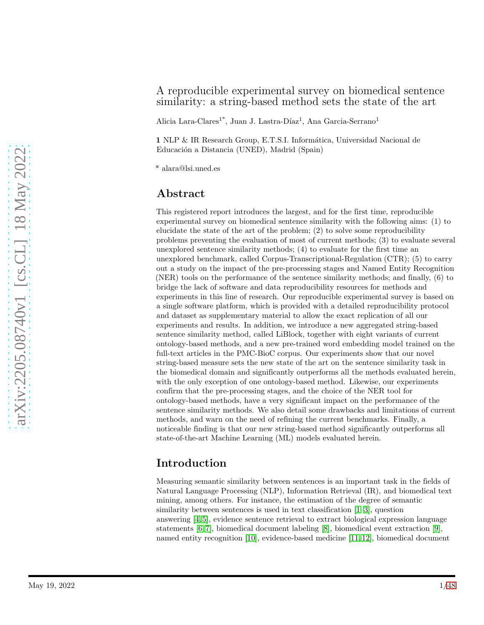### A reproducible experimental survey on biomedical sentence similarity: a string-based method sets the state of the art

Alicia Lara-Clares<sup>1\*</sup>, Juan J. Lastra-Díaz<sup>1</sup>, Ana Garcia-Serrano<sup>1</sup>

1 NLP & IR Research Group, E.T.S.I. Informática, Universidad Nacional de Educación a Distancia (UNED), Madrid (Spain)

\* alara@lsi.uned.es

## Abstract

This registered report introduces the largest, and for the first time, reproducible experimental survey on biomedical sentence similarity with the following aims: (1) to elucidate the state of the art of the problem; (2) to solve some reproducibility problems preventing the evaluation of most of current methods; (3) to evaluate several unexplored sentence similarity methods; (4) to evaluate for the first time an unexplored benchmark, called Corpus-Transcriptional-Regulation (CTR); (5) to carry out a study on the impact of the pre-processing stages and Named Entity Recognition (NER) tools on the performance of the sentence similarity methods; and finally, (6) to bridge the lack of software and data reproducibility resources for methods and experiments in this line of research. Our reproducible experimental survey is based on a single software platform, which is provided with a detailed reproducibility protocol and dataset as supplementary material to allow the exact replication of all our experiments and results. In addition, we introduce a new aggregated string-based sentence similarity method, called LiBlock, together with eight variants of current ontology-based methods, and a new pre-trained word embedding model trained on the full-text articles in the PMC-BioC corpus. Our experiments show that our novel string-based measure sets the new state of the art on the sentence similarity task in the biomedical domain and significantly outperforms all the methods evaluated herein, with the only exception of one ontology-based method. Likewise, our experiments confirm that the pre-processing stages, and the choice of the NER tool for ontology-based methods, have a very significant impact on the performance of the sentence similarity methods. We also detail some drawbacks and limitations of current methods, and warn on the need of refining the current benchmarks. Finally, a noticeable finding is that our new string-based method significantly outperforms all state-of-the-art Machine Learning (ML) models evaluated herein.

# Introduction

Measuring semantic similarity between sentences is an important task in the fields of Natural Language Processing (NLP), Information Retrieval (IR), and biomedical text mining, among others. For instance, the estimation of the degree of semantic similarity between sentences is used in text classification [\[1–](#page-40-0)[3\]](#page-40-1), question answering [\[4,](#page-40-2) [5\]](#page-40-3), evidence sentence retrieval to extract biological expression language statements [\[6,](#page-40-4) [7\]](#page-40-5), biomedical document labeling [\[8\]](#page-40-6), biomedical event extraction [\[9\]](#page-40-7), named entity recognition [\[10\]](#page-40-8), evidence-based medicine [\[11,](#page-40-9) [12\]](#page-40-10), biomedical document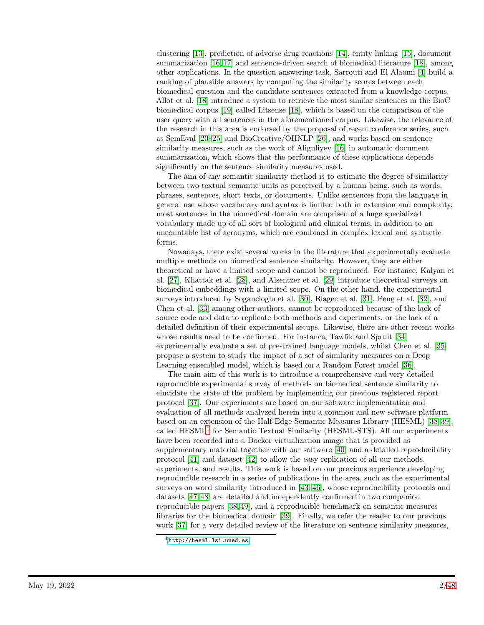clustering [\[13\]](#page-40-11), prediction of adverse drug reactions [\[14\]](#page-40-12), entity linking [\[15\]](#page-41-0), document summarization [\[16,](#page-41-1) [17\]](#page-41-2) and sentence-driven search of biomedical literature [\[18\]](#page-41-3), among other applications. In the question answering task, Sarrouti and El Alaomi [\[4\]](#page-40-2) build a ranking of plausible answers by computing the similarity scores between each biomedical question and the candidate sentences extracted from a knowledge corpus. Allot et al. [\[18\]](#page-41-3) introduce a system to retrieve the most similar sentences in the BioC biomedical corpus [\[19\]](#page-41-4) called Litsense [\[18\]](#page-41-3), which is based on the comparison of the user query with all sentences in the aforementioned corpus. Likewise, the relevance of the research in this area is endorsed by the proposal of recent conference series, such as SemEval [\[20–](#page-41-5)[25\]](#page-41-6) and BioCreative/OHNLP [\[26\]](#page-41-7), and works based on sentence similarity measures, such as the work of Aliguliyev [\[16\]](#page-41-1) in automatic document summarization, which shows that the performance of these applications depends significantly on the sentence similarity measures used.

The aim of any semantic similarity method is to estimate the degree of similarity between two textual semantic units as perceived by a human being, such as words, phrases, sentences, short texts, or documents. Unlike sentences from the language in general use whose vocabulary and syntax is limited both in extension and complexity, most sentences in the biomedical domain are comprised of a huge specialized vocabulary made up of all sort of biological and clinical terms, in addition to an uncountable list of acronyms, which are combined in complex lexical and syntactic forms.

Nowadays, there exist several works in the literature that experimentally evaluate multiple methods on biomedical sentence similarity. However, they are either theoretical or have a limited scope and cannot be reproduced. For instance, Kalyan et al. [\[27\]](#page-41-8), Khattak et al. [\[28\]](#page-42-0), and Alsentzer et al. [\[29\]](#page-42-1) introduce theoretical surveys on biomedical embeddings with a limited scope. On the other hand, the experimental surveys introduced by Sogancioglu et al. [\[30\]](#page-42-2), Blagec et al. [\[31\]](#page-42-3), Peng et al. [\[32\]](#page-42-4), and Chen et al. [\[33\]](#page-42-5) among other authors, cannot be reproduced because of the lack of source code and data to replicate both methods and experiments, or the lack of a detailed definition of their experimental setups. Likewise, there are other recent works whose results need to be confirmed. For instance, Tawfik and Spruit [\[34\]](#page-42-6) experimentally evaluate a set of pre-trained language models, whilst Chen et al. [\[35\]](#page-42-7) propose a system to study the impact of a set of similarity measures on a Deep Learning ensembled model, which is based on a Random Forest model [\[36\]](#page-42-8).

The main aim of this work is to introduce a comprehensive and very detailed reproducible experimental survey of methods on biomedical sentence similarity to elucidate the state of the problem by implementing our previous registered report protocol [\[37\]](#page-42-9). Our experiments are based on our software implementation and evaluation of all methods analyzed herein into a common and new software platform based on an extension of the Half-Edge Semantic Measures Library (HESML) [\[38,](#page-42-10) [39\]](#page-42-11), called  $\text{HESML}^1$  $\text{HESML}^1$  for Semantic Textual Similarity ( $\text{HESML-STS}$ ). All our experiments have been recorded into a Docker virtualization image that is provided as supplementary material together with our software [\[40\]](#page-42-12) and a detailed reproducibility protocol [\[41\]](#page-42-13) and dataset [\[42\]](#page-43-0) to allow the easy replication of all our methods, experiments, and results. This work is based on our previous experience developing reproducible research in a series of publications in the area, such as the experimental surveys on word similarity introduced in [\[43](#page-43-1)[–46\]](#page-43-2), whose reproducibility protocols and datasets [\[47,](#page-43-3) [48\]](#page-43-4) are detailed and independently confirmed in two companion reproducible papers [\[38,](#page-42-10) [49\]](#page-43-5), and a reproducible benchmark on semantic measures libraries for the biomedical domain [\[39\]](#page-42-11). Finally, we refer the reader to our previous work [\[37\]](#page-42-9) for a very detailed review of the literature on sentence similarity measures,

<span id="page-1-0"></span><sup>1</sup><http://hesml.lsi.uned.es>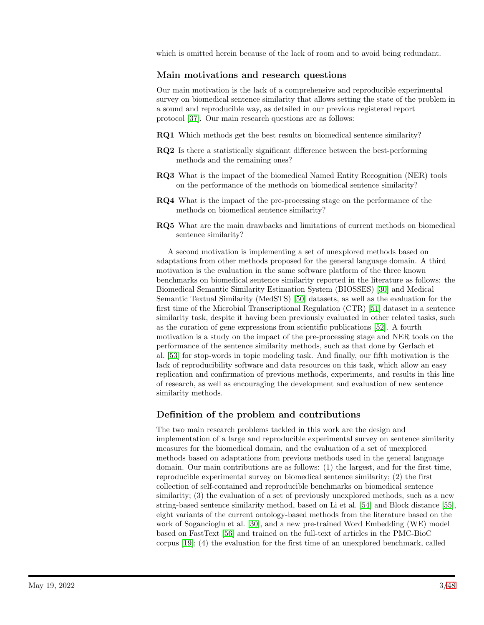which is omitted herein because of the lack of room and to avoid being redundant.

### Main motivations and research questions

Our main motivation is the lack of a comprehensive and reproducible experimental survey on biomedical sentence similarity that allows setting the state of the problem in a sound and reproducible way, as detailed in our previous registered report protocol [\[37\]](#page-42-9). Our main research questions are as follows:

- RQ1 Which methods get the best results on biomedical sentence similarity?
- RQ2 Is there a statistically significant difference between the best-performing methods and the remaining ones?
- RQ3 What is the impact of the biomedical Named Entity Recognition (NER) tools on the performance of the methods on biomedical sentence similarity?
- RQ4 What is the impact of the pre-processing stage on the performance of the methods on biomedical sentence similarity?
- RQ5 What are the main drawbacks and limitations of current methods on biomedical sentence similarity?

A second motivation is implementing a set of unexplored methods based on adaptations from other methods proposed for the general language domain. A third motivation is the evaluation in the same software platform of the three known benchmarks on biomedical sentence similarity reported in the literature as follows: the Biomedical Semantic Similarity Estimation System (BIOSSES) [\[30\]](#page-42-2) and Medical Semantic Textual Similarity (MedSTS) [\[50\]](#page-43-6) datasets, as well as the evaluation for the first time of the Microbial Transcriptional Regulation (CTR) [\[51\]](#page-43-7) dataset in a sentence similarity task, despite it having been previously evaluated in other related tasks, such as the curation of gene expressions from scientific publications [\[52\]](#page-43-8). A fourth motivation is a study on the impact of the pre-processing stage and NER tools on the performance of the sentence similarity methods, such as that done by Gerlach et al. [\[53\]](#page-43-9) for stop-words in topic modeling task. And finally, our fifth motivation is the lack of reproducibility software and data resources on this task, which allow an easy replication and confirmation of previous methods, experiments, and results in this line of research, as well as encouraging the development and evaluation of new sentence similarity methods.

## Definition of the problem and contributions

The two main research problems tackled in this work are the design and implementation of a large and reproducible experimental survey on sentence similarity measures for the biomedical domain, and the evaluation of a set of unexplored methods based on adaptations from previous methods used in the general language domain. Our main contributions are as follows: (1) the largest, and for the first time, reproducible experimental survey on biomedical sentence similarity; (2) the first collection of self-contained and reproducible benchmarks on biomedical sentence similarity; (3) the evaluation of a set of previously unexplored methods, such as a new string-based sentence similarity method, based on Li et al. [\[54\]](#page-43-10) and Block distance [\[55\]](#page-44-0), eight variants of the current ontology-based methods from the literature based on the work of Sogancioglu et al. [\[30\]](#page-42-2), and a new pre-trained Word Embedding (WE) model based on FastText [\[56\]](#page-44-1) and trained on the full-text of articles in the PMC-BioC corpus [\[19\]](#page-41-4); (4) the evaluation for the first time of an unexplored benchmark, called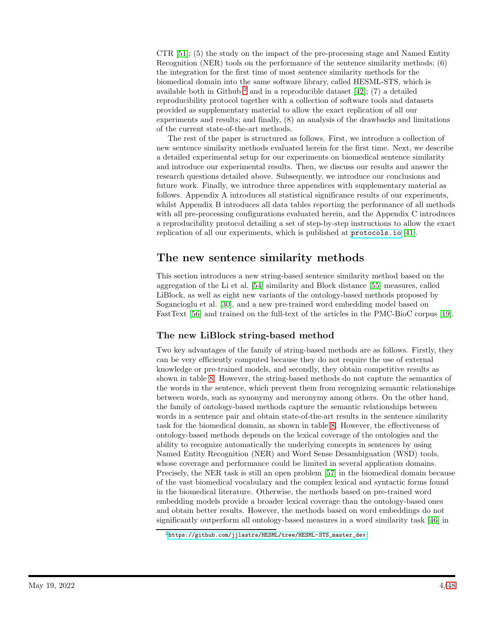CTR [\[51\]](#page-43-7); (5) the study on the impact of the pre-processing stage and Named Entity Recognition (NER) tools on the performance of the sentence similarity methods; (6) the integration for the first time of most sentence similarity methods for the biomedical domain into the same software library, called HESML-STS, which is available both in Github  $^2$  $^2$  and in a reproducible dataset [\[42\]](#page-43-0); (7) a detailed reproducibility protocol together with a collection of software tools and datasets provided as supplementary material to allow the exact replication of all our experiments and results; and finally, (8) an analysis of the drawbacks and limitations of the current state-of-the-art methods.

The rest of the paper is structured as follows. First, we introduce a collection of new sentence similarity methods evaluated herein for the first time. Next, we describe a detailed experimental setup for our experiments on biomedical sentence similarity and introduce our experimental results. Then, we discuss our results and answer the research questions detailed above. Subsequently, we introduce our conclusions and future work. Finally, we introduce three appendices with supplementary material as follows. Appendix A introduces all statistical significance results of our experiments, whilst Appendix B introduces all data tables reporting the performance of all methods with all pre-processing configurations evaluated herein, and the Appendix C introduces a reproducibility protocol detailing a set of step-by-step instructions to allow the exact replication of all our experiments, which is published at <protocols.io> [\[41\]](#page-42-13).

# The new sentence similarity methods

This section introduces a new string-based sentence similarity method based on the aggregation of the Li et al. [\[54\]](#page-43-10) similarity and Block distance [\[55\]](#page-44-0) measures, called LiBlock, as well as eight new variants of the ontology-based methods proposed by Sogancioglu et al. [\[30\]](#page-42-2), and a new pre-trained word embedding model based on FastText [\[56\]](#page-44-1) and trained on the full-text of the articles in the PMC-BioC corpus [\[19\]](#page-41-4).

## The new LiBlock string-based method

Two key advantages of the family of string-based methods are as follows. Firstly, they can be very efficiently computed because they do not require the use of external knowledge or pre-trained models, and secondly, they obtain competitive results as shown in table [8.](#page-20-0) However, the string-based methods do not capture the semantics of the words in the sentence, which prevent them from recognizing semantic relationships between words, such as synonymy and meronymy among others. On the other hand, the family of ontology-based methods capture the semantic relationships between words in a sentence pair and obtain state-of-the-art results in the sentence similarity task for the biomedical domain, as shown in table [8.](#page-20-0) However, the effectiveness of ontology-based methods depends on the lexical coverage of the ontologies and the ability to recognize automatically the underlying concepts in sentences by using Named Entity Recognition (NER) and Word Sense Desambiguation (WSD) tools, whose coverage and performance could be limited in several application domains. Precisely, the NER task is still an open problem [\[57\]](#page-44-2) in the biomedical domain because of the vast biomedical vocabulary and the complex lexical and syntactic forms found in the biomedical literature. Otherwise, the methods based on pre-trained word embedding models provide a broader lexical coverage than the ontology-based ones and obtain better results. However, the methods based on word embeddings do not significantly outperform all ontology-based measures in a word similarity task [\[46\]](#page-43-2) in

<span id="page-3-0"></span><sup>2</sup>[https://github.com/jjlastra/HESML/tree/HESML-STS\\_master\\_dev](https://github.com/jjlastra/HESML/tree/HESML-STS_master_dev)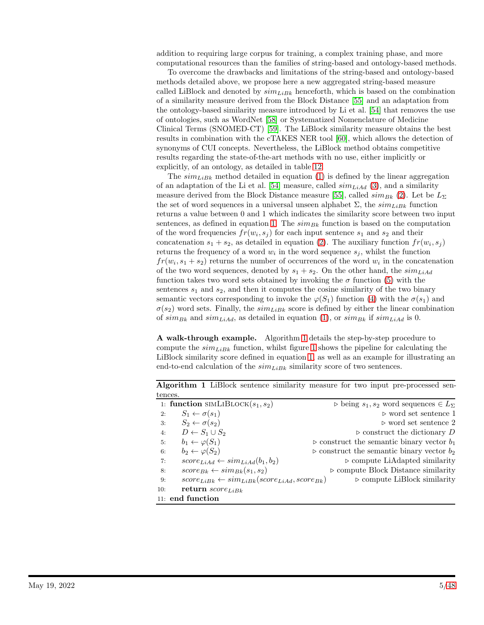addition to requiring large corpus for training, a complex training phase, and more computational resources than the families of string-based and ontology-based methods.

To overcome the drawbacks and limitations of the string-based and ontology-based methods detailed above, we propose here a new aggregated string-based measure called LiBlock and denoted by  $\text{sim}_{LiBk}$  henceforth, which is based on the combination of a similarity measure derived from the Block Distance [\[55\]](#page-44-0) and an adaptation from the ontology-based similarity measure introduced by Li et al. [\[54\]](#page-43-10) that removes the use of ontologies, such as WordNet [\[58\]](#page-44-3) or Systematized Nomenclature of Medicine Clinical Terms (SNOMED-CT) [\[59\]](#page-44-4). The LiBlock similarity measure obtains the best results in combination with the cTAKES NER tool [\[60\]](#page-44-5), which allows the detection of synonyms of CUI concepts. Nevertheless, the LiBlock method obtains competitive results regarding the state-of-the-art methods with no use, either implicitly or explicitly, of an ontology, as detailed in table [12.](#page-22-0)

The  $sim_{LiBk}$  method detailed in equation [\(1\)](#page-5-0) is defined by the linear aggregation of an adaptation of the Li et al. [\[54\]](#page-43-10) measure, called  $sim_{LiAd}$  [\(3\)](#page-5-1), and a similarity measure derived from the Block Distance measure [\[55\]](#page-44-0), called  $sim_{Bk}$  [\(2\)](#page-5-2). Let be  $L_{\Sigma}$ the set of word sequences in a universal unseen alphabet  $\Sigma$ , the  $\sin\mu_{LBk}$  function returns a value between 0 and 1 which indicates the similarity score between two input sentences, as defined in equation [1.](#page-5-0) The  $\text{sim}_{Bk}$  function is based on the computation of the word frequencies  $fr(w_i, s_j)$  for each input sentence  $s_1$  and  $s_2$  and their concatenation  $s_1 + s_2$ , as detailed in equation [\(2\)](#page-5-2). The auxiliary function  $fr(w_i, s_j)$ returns the frequency of a word  $w_i$  in the word sequence  $s_j$ , whilst the function  $fr(w_i, s_1 + s_2)$  returns the number of occurrences of the word  $w_i$  in the concatenation of the two word sequences, denoted by  $s_1 + s_2$ . On the other hand, the  $\text{sim}_{\text{LiAd}}$ function takes two word sets obtained by invoking the  $\sigma$  function [\(5\)](#page-5-3) with the sentences  $s_1$  and  $s_2$ , and then it computes the cosine similarity of the two binary semantic vectors corresponding to invoke the  $\varphi(S_1)$  function [\(4\)](#page-5-4) with the  $\sigma(s_1)$  and  $\sigma(s_2)$  word sets. Finally, the  $\text{sim}_{\text{LiBk}}$  score is defined by either the linear combination of  $\sin B_k$  and  $\sin L_i A_d$ , as detailed in equation [\(1\)](#page-5-0), or  $\sin B_k$  if  $\sin L_i A_d$  is 0.

A walk-through example. Algorithm [1](#page-4-0) details the step-by-step procedure to compute the  $sim_{LiBk}$  function, whilst figure [1](#page-6-0) shows the pipeline for calculating the LiBlock similarity score defined in equation [1,](#page-5-0) as well as an example for illustrating an end-to-end calculation of the  $\sin_{LiBk}$  similarity score of two sentences.

<span id="page-4-0"></span>

|                                                                      | Algorithm 1 LiBlock sentence similarity measure for two input pre-processed sen- |
|----------------------------------------------------------------------|----------------------------------------------------------------------------------|
| tences.                                                              |                                                                                  |
| 1: function SIMLIBLOCK $(s_1, s_2)$                                  | $\triangleright$ being $s_1, s_2$ word sequences $\in L_{\Sigma}$                |
| $S_1 \leftarrow \sigma(s_1)$<br>2:                                   | $\triangleright$ word set sentence 1                                             |
| $S_2 \leftarrow \sigma(s_2)$<br>3:                                   | $\triangleright$ word set sentence 2                                             |
| $D \leftarrow S_1 \cup S_2$<br>4:                                    | $\triangleright$ construct the dictionary D                                      |
| $b_1 \leftarrow \varphi(S_1)$<br>5:                                  | $\triangleright$ construct the semantic binary vector $b_1$                      |
| $b_2 \leftarrow \varphi(S_2)$<br>6:                                  | $\triangleright$ construct the semantic binary vector $b_2$                      |
| $score_{LiAd} \leftarrow sim_{LiAd}(b_1, b_2)$<br>7:                 | $\triangleright$ compute LiAdapted similarity                                    |
| $score_{Bk} \leftarrow sim_{Bk}(s_1, s_2)$<br>8:                     | $\triangleright$ compute Block Distance similarity                               |
| $score_{LiBk} \leftarrow sim_{LiBk}(score_{LiAd}, score_{Bk})$<br>9: | $\triangleright$ compute LiBlock similarity                                      |
| return $score_{LiBk}$<br>10:                                         |                                                                                  |
| $11:$ end function                                                   |                                                                                  |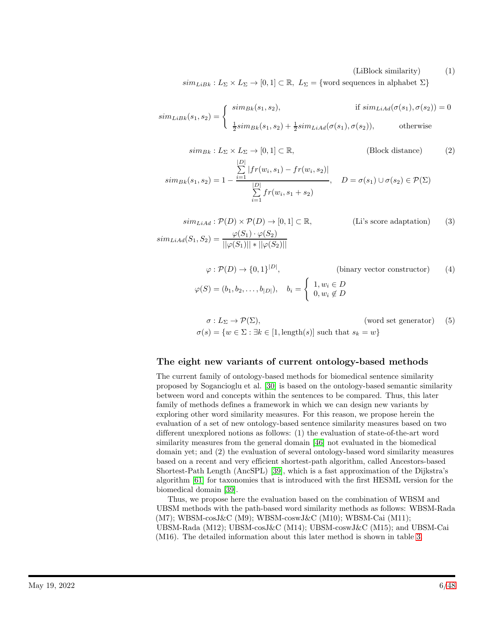#### <span id="page-5-4"></span><span id="page-5-2"></span><span id="page-5-1"></span><span id="page-5-0"></span>(LiBlock similarity) (1)

 $sim_{LibR}: L_{\Sigma} \times L_{\Sigma} \rightarrow [0,1] \subset \mathbb{R}, L_{\Sigma} = \{\text{word sequences in alphabet } \Sigma\}$ 

$$
sim_{LibR}(s_1, s_2) = \begin{cases} \n\begin{aligned}\n\quad & \text{sim}_{Bk}(s_1, s_2), \\
\frac{1}{2}\text{sim}_{Bk}(s_1, s_2) + \frac{1}{2}\text{sim}_{LiAd}(\sigma(s_1), \sigma(s_2)),\n\end{aligned}\n\end{cases} \quad \text{otherwise}
$$

$$
sim_{Bk}: L_{\Sigma} \times L_{\Sigma} \to [0, 1] \subset \mathbb{R}, \qquad \text{(Block distance)} \qquad (2)
$$

$$
sim_{Bk}(s_1, s_2) = 1 - \frac{\sum_{i=1}^{|D|} |fr(w_i, s_1) - fr(w_i, s_2)|}{\sum_{i=1}^{|D|} fr(w_i, s_1 + s_2)}, \quad D = \sigma(s_1) \cup \sigma(s_2) \in \mathcal{P}(\Sigma)
$$

$$
sim_{LiAd}: \mathcal{P}(D) \times \mathcal{P}(D) \to [0,1] \subset \mathbb{R}, \qquad \qquad \text{(Li's score adaptation)} \qquad (3)
$$

$$
sim_{LiAd}(S_1, S_2) = \frac{\varphi(S_1) \cdot \varphi(S_2)}{||\varphi(S_1)|| \cdot ||\varphi(S_2)||}
$$

$$
\varphi : \mathcal{P}(D) \to \{0, 1\}^{|D|}, \qquad \text{(binary vector constructor)} \qquad (4)
$$

$$
\varphi(S) = (b_1, b_2, \dots, b_{|D|}), \quad b_i = \begin{cases} 1, w_i \in D \\ 0, w_i \notin D \end{cases}
$$

<span id="page-5-3"></span>
$$
\sigma: L_{\Sigma} \to \mathcal{P}(\Sigma), \qquad \text{(word set generator)} \quad (5)
$$

$$
\sigma(s) = \{ w \in \Sigma : \exists k \in [1, \text{length}(s)] \text{ such that } s_k = w \}
$$

### The eight new variants of current ontology-based methods

The current family of ontology-based methods for biomedical sentence similarity proposed by Sogancioglu et al. [\[30\]](#page-42-2) is based on the ontology-based semantic similarity between word and concepts within the sentences to be compared. Thus, this later family of methods defines a framework in which we can design new variants by exploring other word similarity measures. For this reason, we propose herein the evaluation of a set of new ontology-based sentence similarity measures based on two different unexplored notions as follows: (1) the evaluation of state-of-the-art word similarity measures from the general domain [\[46\]](#page-43-2) not evaluated in the biomedical domain yet; and (2) the evaluation of several ontology-based word similarity measures based on a recent and very efficient shortest-path algorithm, called Ancestors-based Shortest-Path Length (AncSPL) [\[39\]](#page-42-11), which is a fast approximation of the Dijkstra's algorithm [\[61\]](#page-44-6) for taxonomies that is introduced with the first HESML version for the biomedical domain [\[39\]](#page-42-11).

Thus, we propose here the evaluation based on the combination of WBSM and UBSM methods with the path-based word similarity methods as follows: WBSM-Rada  $(M7)$ ; WBSM-cosJ&C  $(M9)$ ; WBSM-coswJ&C  $(M10)$ ; WBSM-Cai  $(M11)$ ; UBSM-Rada (M12); UBSM-cosJ&C (M14); UBSM-coswJ&C (M15); and UBSM-Cai (M16). The detailed information about this later method is shown in table [3.](#page-9-0)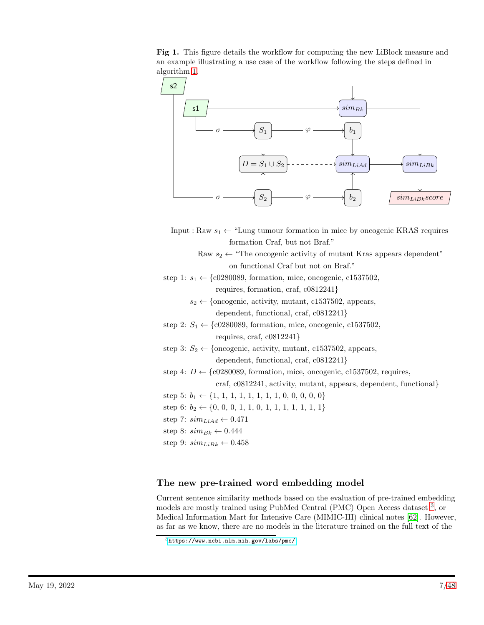<span id="page-6-0"></span>Fig 1. This figure details the workflow for computing the new LiBlock measure and an example illustrating a use case of the workflow following the steps defined in algorithm [1.](#page-4-0)



- Input : Raw  $s_1 \leftarrow$  "Lung tumour formation in mice by oncogenic KRAS requires formation Craf, but not Braf."
	- Raw  $s_2 \leftarrow$  "The oncogenic activity of mutant Kras appears dependent" on functional Craf but not on Braf."
- step 1:  $s_1 \leftarrow \{c0280089,$  formation, mice, oncogenic, c1537502, requires, formation, craf, c0812241}
	- $s_2 \leftarrow$  {oncogenic, activity, mutant, c1537502, appears, dependent, functional, craf, c0812241}
- step 2:  $S_1 \leftarrow \{c0280089,$  formation, mice, oncogenic, c1537502, requires, craf, c0812241}
- step 3:  $S_2 \leftarrow$  {oncogenic, activity, mutant, c1537502, appears,

dependent, functional, craf, c0812241}

step 4:  $D \leftarrow \{c0280089,$  formation, mice, oncogenic, c1537502, requires,

craf, c0812241, activity, mutant, appears, dependent, functional}

- step 5:  $b_1 \leftarrow \{1, 1, 1, 1, 1, 1, 1, 1, 0, 0, 0, 0, 0\}$
- step 6:  $b_2 \leftarrow \{0, 0, 0, 1, 1, 0, 1, 1, 1, 1, 1, 1, 1\}$
- step 7:  $sim_{LiAd} \leftarrow 0.471$
- step 8:  $\text{sim}_{Bk} \leftarrow 0.444$
- step 9:  $sim_{LiBk} \leftarrow 0.458$

## The new pre-trained word embedding model

Current sentence similarity methods based on the evaluation of pre-trained embedding models are mostly trained using PubMed Central (PMC) Open Access dataset <sup>[3](#page-6-1)</sup>, or Medical Information Mart for Intensive Care (MIMIC-III) clinical notes [\[62\]](#page-44-7). However, as far as we know, there are no models in the literature trained on the full text of the

<span id="page-6-1"></span><sup>3</sup><https://www.ncbi.nlm.nih.gov/labs/pmc/>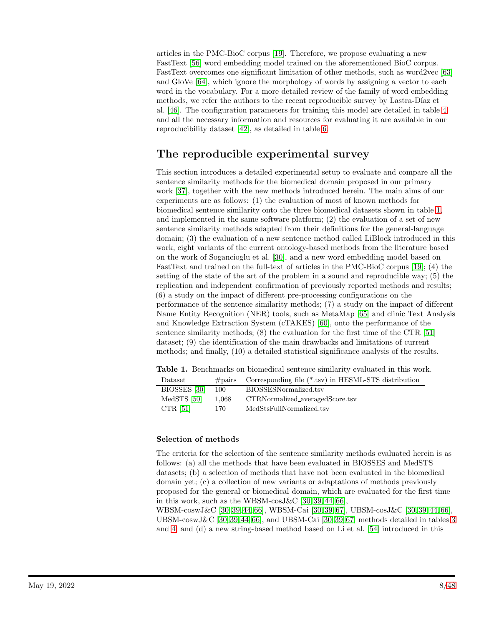articles in the PMC-BioC corpus [\[19\]](#page-41-4). Therefore, we propose evaluating a new FastText [\[56\]](#page-44-1) word embedding model trained on the aforementioned BioC corpus. FastText overcomes one significant limitation of other methods, such as word2vec [\[63\]](#page-44-8) and GloVe [\[64\]](#page-44-9), which ignore the morphology of words by assigning a vector to each word in the vocabulary. For a more detailed review of the family of word embedding methods, we refer the authors to the recent reproducible survey by Lastra-Díaz et al. [\[46\]](#page-43-2). The configuration parameters for training this model are detailed in table [4,](#page-10-0) and all the necessary information and resources for evaluating it are available in our reproducibility dataset [\[42\]](#page-43-0), as detailed in table [6.](#page-17-0)

# The reproducible experimental survey

This section introduces a detailed experimental setup to evaluate and compare all the sentence similarity methods for the biomedical domain proposed in our primary work [\[37\]](#page-42-9), together with the new methods introduced herein. The main aims of our experiments are as follows: (1) the evaluation of most of known methods for biomedical sentence similarity onto the three biomedical datasets shown in table [1,](#page-7-0) and implemented in the same software platform; (2) the evaluation of a set of new sentence similarity methods adapted from their definitions for the general-language domain; (3) the evaluation of a new sentence method called LiBlock introduced in this work, eight variants of the current ontology-based methods from the literature based on the work of Sogancioglu et al. [\[30\]](#page-42-2), and a new word embedding model based on FastText and trained on the full-text of articles in the PMC-BioC corpus [\[19\]](#page-41-4); (4) the setting of the state of the art of the problem in a sound and reproducible way; (5) the replication and independent confirmation of previously reported methods and results; (6) a study on the impact of different pre-processing configurations on the performance of the sentence similarity methods; (7) a study on the impact of different Name Entity Recognition (NER) tools, such as MetaMap [\[65\]](#page-44-10) and clinic Text Analysis and Knowledge Extraction System (cTAKES) [\[60\]](#page-44-5), onto the performance of the sentence similarity methods; (8) the evaluation for the first time of the CTR [\[51\]](#page-43-7) dataset; (9) the identification of the main drawbacks and limitations of current methods; and finally, (10) a detailed statistical significance analysis of the results.

<span id="page-7-0"></span>Table 1. Benchmarks on biomedical sentence similarity evaluated in this work.

| Dataset      | $\#\text{pairs}$ | Corresponding file (*.tsv) in HESML-STS distribution |
|--------------|------------------|------------------------------------------------------|
| BIOSSES [30] | 100              | BIOSSESNormalized.tsv                                |
| MedSTS [50]  | 1.068            | CTRNormalized_averagedScore.tsv                      |
| CTR $[51]$   | 170.             | MedStsFullNormalized.tsv                             |

### Selection of methods

The criteria for the selection of the sentence similarity methods evaluated herein is as follows: (a) all the methods that have been evaluated in BIOSSES and MedSTS datasets; (b) a selection of methods that have not been evaluated in the biomedical domain yet; (c) a collection of new variants or adaptations of methods previously proposed for the general or biomedical domain, which are evaluated for the first time in this work, such as the WBSM-cosJ &C  $[30, 39, 44, 66]$  $[30, 39, 44, 66]$  $[30, 39, 44, 66]$  $[30, 39, 44, 66]$ ,

WBSM-coswJ&C [\[30,](#page-42-2) [39,](#page-42-11) [44,](#page-43-11) [66\]](#page-44-11), WBSM-Cai [\[30,](#page-42-2) [39,](#page-42-11) [67\]](#page-44-12), UBSM-cosJ&C [\[30,](#page-42-2) [39,](#page-42-11) [44,](#page-43-11) [66\]](#page-44-11), UBSM-coswJ&C [\[30,](#page-42-2) [39,](#page-42-11) [44,](#page-43-11) [66\]](#page-44-11), and UBSM-Cai [30, 39, [67\]](#page-44-12) methods detailed in tables [3](#page-9-0) and [4;](#page-10-0) and (d) a new string-based method based on Li et al. [\[54\]](#page-43-10) introduced in this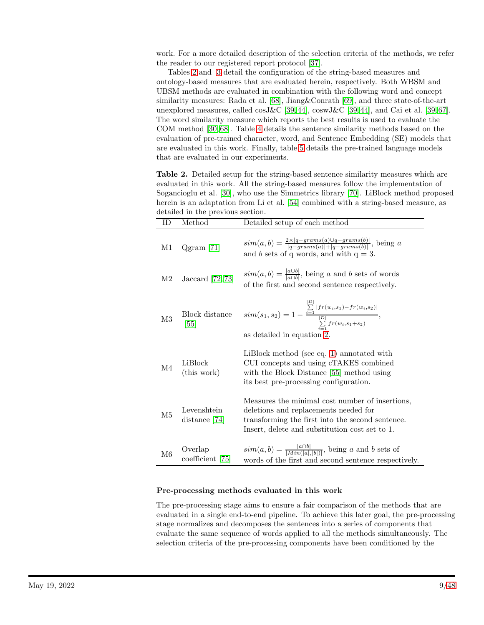work. For a more detailed description of the selection criteria of the methods, we refer the reader to our registered report protocol [\[37\]](#page-42-9).

Tables [2](#page-8-0) and [3](#page-9-0) detail the configuration of the string-based measures and ontology-based measures that are evaluated herein, respectively. Both WBSM and UBSM methods are evaluated in combination with the following word and concept similarity measures: Rada et al. [\[68\]](#page-44-13), Jiang&Conrath [\[69\]](#page-44-14), and three state-of-the-art unexplored measures, called  $\cos\frac{J\mathcal{L}}{S}$  [\[39,](#page-42-11) [44\]](#page-43-11),  $\cos\frac{J\mathcal{L}}{S}$  [39, 44], and Cai et al. [39, [67\]](#page-44-12). The word similarity measure which reports the best results is used to evaluate the COM method [\[30,](#page-42-2) [68\]](#page-44-13). Table [4](#page-10-0) details the sentence similarity methods based on the evaluation of pre-trained character, word, and Sentence Embedding (SE) models that are evaluated in this work. Finally, table [5](#page-11-0) details the pre-trained language models that are evaluated in our experiments.

<span id="page-8-0"></span>Table 2. Detailed setup for the string-based sentence similarity measures which are evaluated in this work. All the string-based measures follow the implementation of Sogancioglu et al. [\[30\]](#page-42-2), who use the Simmetrics library [\[70\]](#page-44-15). LiBlock method proposed herein is an adaptation from Li et al. [\[54\]](#page-43-10) combined with a string-based measure, as  $det$ ailed in  $th$ 

|                | retaned in the previous section. |                                                                                                                                                                                                |
|----------------|----------------------------------|------------------------------------------------------------------------------------------------------------------------------------------------------------------------------------------------|
| ID             | Method                           | Detailed setup of each method                                                                                                                                                                  |
| M1             | $Qgram$ [71]                     | $sim(a,b) = \frac{2 \times  q-grams(a) \cup q-grams(b) }{ q-grams(a) + q-grams(b) }, \text{ being } a$<br>and b sets of q words, and with $q = 3$ .                                            |
| M <sub>2</sub> | Jaccard $\left[72,73\right]$     | $\text{sim}(a, b) = \frac{ a \cup b }{ a \cap b }$ , being a and b sets of words<br>of the first and second sentence respectively.                                                             |
| M3             | Block distance<br>$[55]$         | $sim(s_1, s_2) = 1 - \frac{\sum_{i=1}^{ L }  fr(w_i, s_1) - fr(w_i, s_2) }{\sum_{i=1}^{ D } fr(w_i, s_1 + s_2)},$<br>as detailed in equation 2.                                                |
| M <sub>4</sub> | LiBlock<br>(this work)           | LiBlock method (see eq. 1) annotated with<br>CUI concepts and using cTAKES combined<br>with the Block Distance [55] method using<br>its best pre-processing configuration.                     |
| M <sub>5</sub> | Levenshtein<br>distance $[74]$   | Measures the minimal cost number of insertions,<br>deletions and replacements needed for<br>transforming the first into the second sentence.<br>Insert, delete and substitution cost set to 1. |
| M6             | Overlap<br>coefficient [75]      | $sim(a, b) = \frac{ a \cap b }{ Min( a ,  b ) }$ , being a and b sets of<br>words of the first and second sentence respectively.                                                               |

#### Pre-processing methods evaluated in this work

The pre-processing stage aims to ensure a fair comparison of the methods that are evaluated in a single end-to-end pipeline. To achieve this later goal, the pre-processing stage normalizes and decomposes the sentences into a series of components that evaluate the same sequence of words applied to all the methods simultaneously. The selection criteria of the pre-processing components have been conditioned by the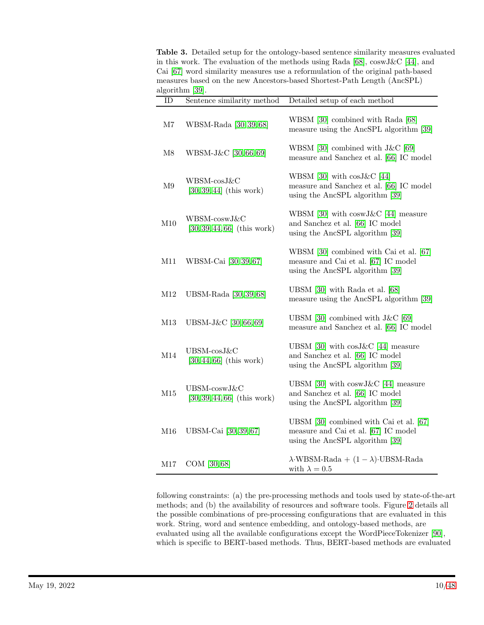<span id="page-9-0"></span>Table 3. Detailed setup for the ontology-based sentence similarity measures evaluated in this work. The evaluation of the methods using Rada [\[68\]](#page-44-13), coswJ&C [\[44\]](#page-43-11), and Cai [\[67\]](#page-44-12) word similarity measures use a reformulation of the original path-based measures based on the new Ancestors-based Shortest-Path Length (AncSPL) algorithm [\[39\]](#page-42-11).

| ID            | Sentence similarity method                     | Detailed setup of each method                                                                                          |
|---------------|------------------------------------------------|------------------------------------------------------------------------------------------------------------------------|
| $\rm M7$      | WBSM-Rada [30, 39, 68]                         | WBSM [30] combined with Rada [68]<br>measure using the AncSPL algorithm [39]                                           |
| M8            | WBSM-J&C [30, 66, 69]                          | WBSM [30] combined with $J\&C$ [69]<br>measure and Sanchez et al. [66] IC model                                        |
| $\mathbf{M}9$ | WBSM-cosJ&C<br>$[30, 39, 44]$ (this work)      | WBSM [30] with $cos J&C$ [44]<br>measure and Sanchez et al. [66] IC model<br>using the AncSPL algorithm [39]           |
| M10           | WBSM-coswJ&C<br>$[30, 39, 44, 66]$ (this work) | WBSM [30] with $coswJ\&C$ [44] measure<br>and Sanchez et al. [66] IC model<br>using the AncSPL algorithm [39]          |
| M11           | WBSM-Cai [30, 39, 67]                          | WBSM [30] combined with Cai et al. [67]<br>measure and Cai et al. [67] IC model<br>using the AncSPL algorithm [39]     |
| M12           | UBSM-Rada [30, 39, 68]                         | UBSM $[30]$ with Rada et al. $[68]$<br>measure using the AncSPL algorithm [39]                                         |
| M13           | UBSM-J&C [30, 66, 69]                          | UBSM [30] combined with J&C [69]<br>measure and Sanchez et al. [66] IC model                                           |
| M14           | UBSM-cosJ&C<br>$[30, 44, 66]$ (this work)      | UBSM [30] with $cos J&C$ [44] measure<br>and Sanchez et al. [66] IC model<br>using the AncSPL algorithm [39]           |
| M15           | UBSM-coswJ&C<br>$[30, 39, 44, 66]$ (this work) | UBSM [30] with $coswJ\&C$ [44] measure<br>and Sanchez et al. [66] IC model<br>using the AncSPL algorithm [39]          |
| M16           | UBSM-Cai [30, 39, 67]                          | UBSM $[30]$ combined with Cai et al. $[67]$<br>measure and Cai et al. [67] IC model<br>using the AncSPL algorithm [39] |
| M17           | COM [30,68]                                    | $\lambda$ ·WBSM-Rada + $(1 - \lambda)$ ·UBSM-Rada<br>with $\lambda = 0.5$                                              |

following constraints: (a) the pre-processing methods and tools used by state-of-the-art methods; and (b) the availability of resources and software tools. Figure [2](#page-13-0) details all the possible combinations of pre-processing configurations that are evaluated in this work. String, word and sentence embedding, and ontology-based methods, are evaluated using all the available configurations except the WordPieceTokenizer [\[90\]](#page-46-0), which is specific to BERT-based methods. Thus, BERT-based methods are evaluated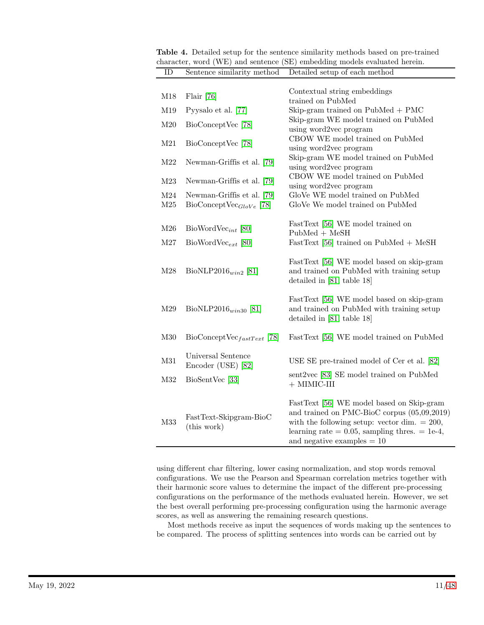<span id="page-10-0"></span>

| <b>Table 4.</b> Detailed setup for the sentence similarity methods based on pre-trained |  |
|-----------------------------------------------------------------------------------------|--|
| character, word (WE) and sentence (SE) embedding models evaluated herein.               |  |
| Sentence similarity method Detailed setup of each method                                |  |

| M18        | Flair $[76]$                                               | Contextual string embeddings<br>trained on PubMed                                                                                                                                                                               |
|------------|------------------------------------------------------------|---------------------------------------------------------------------------------------------------------------------------------------------------------------------------------------------------------------------------------|
| M19        | Pyysalo et al. [77]                                        | Skip-gram trained on $PubMed + PMC$                                                                                                                                                                                             |
| M20        | BioConceptVec [78]                                         | Skip-gram WE model trained on PubMed<br>using word2vec program                                                                                                                                                                  |
| M21        | BioConceptVec [78]                                         | CBOW WE model trained on PubMed<br>using word2vec program                                                                                                                                                                       |
| M22        | Newman-Griffis et al. [79]                                 | Skip-gram WE model trained on PubMed<br>using word2vec program                                                                                                                                                                  |
| M23        | Newman-Griffis et al. [79]                                 | CBOW WE model trained on PubMed<br>using word2vec program                                                                                                                                                                       |
| M24<br>M25 | Newman-Griffis et al. [79]<br>$BioConceptVec_{GloVe}$ [78] | GloVe WE model trained on PubMed<br>GloVe We model trained on PubMed                                                                                                                                                            |
| M26        | $BiowordVec_{int}$ [80]                                    | FastText [56] WE model trained on<br>$PubMed + MeSH$                                                                                                                                                                            |
| M27        | $BiowordVec_{ext}$ [80]                                    | FastText [56] trained on PubMed + MeSH                                                                                                                                                                                          |
| M28        | BioNLP2016 $_{win2}$ [81]                                  | FastText [56] WE model based on skip-gram<br>and trained on PubMed with training setup<br>detailed in $[81, \text{ table } 18]$                                                                                                 |
| M29        | BioNLP2016 $_{win30}$ [81]                                 | FastText [56] WE model based on skip-gram<br>and trained on PubMed with training setup<br>detailed in $[81, \text{ table } 18]$                                                                                                 |
| M30        | $BioConceptVec_{fastText}$ [78]                            | FastText [56] WE model trained on PubMed                                                                                                                                                                                        |
| M31        | Universal Sentence<br>Encoder (USE) [82]                   | USE SE pre-trained model of Cer et al. [82]                                                                                                                                                                                     |
| M32        | BioSentVec [33]                                            | sent2vec [83] SE model trained on PubMed<br>$+$ MIMIC-III                                                                                                                                                                       |
| M33        | FastText-Skipgram-BioC<br>(this work)                      | FastText [56] WE model based on Skip-gram<br>and trained on PMC-BioC corpus (05,09,2019)<br>with the following setup: vector dim. $= 200$ ,<br>learning rate = $0.05$ , sampling thres. = 1e-4,<br>and negative examples $= 10$ |

using different char filtering, lower casing normalization, and stop words removal configurations. We use the Pearson and Spearman correlation metrics together with their harmonic score values to determine the impact of the different pre-processing configurations on the performance of the methods evaluated herein. However, we set the best overall performing pre-processing configuration using the harmonic average scores, as well as answering the remaining research questions.

Most methods receive as input the sequences of words making up the sentences to be compared. The process of splitting sentences into words can be carried out by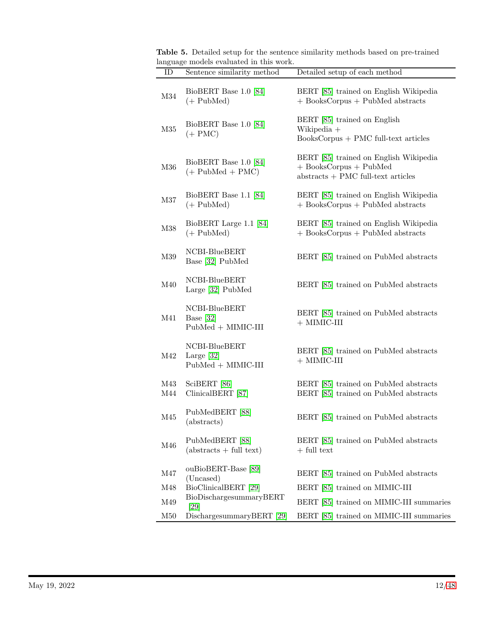| $\mathbf{ID}$ | Sentence similarity method                            | Detailed setup of each method                                                                                |
|---------------|-------------------------------------------------------|--------------------------------------------------------------------------------------------------------------|
| M34           | BioBERT Base 1.0 [84]<br>$(+$ PubMed $)$              | BERT [85] trained on English Wikipedia<br>+ BooksCorpus + PubMed abstracts                                   |
| M35           | BioBERT Base 1.0 [84]<br>$(+$ PMC $)$                 | BERT [85] trained on English<br>Wikipedia +<br>BooksCorpus + PMC full-text articles                          |
| M36           | BioBERT Base 1.0 [84]<br>$(+$ PubMed + PMC $)$        | BERT [85] trained on English Wikipedia<br>$+$ BooksCorpus $+$ PubMed<br>$abstracts + PMC full-text articles$ |
| M37           | BioBERT Base 1.1 [84]<br>$(+$ PubMed $)$              | BERT [85] trained on English Wikipedia<br>+ BooksCorpus + PubMed abstracts                                   |
| M38           | BioBERT Large 1.1 [84]<br>$(+$ PubMed $)$             | BERT [85] trained on English Wikipedia<br>+ BooksCorpus + PubMed abstracts                                   |
| M39           | NCBI-BlueBERT<br>Base [32] PubMed                     | BERT [85] trained on PubMed abstracts                                                                        |
| M40           | NCBI-BlueBERT<br>Large [32] PubMed                    | BERT [85] trained on PubMed abstracts                                                                        |
| M41           | NCBI-BlueBERT<br>Base $[32]$<br>$PubMed + MIMIC-III$  | BERT [85] trained on PubMed abstracts<br>$+$ MIMIC-III                                                       |
| M42           | NCBI-BlueBERT<br>Large $[32]$<br>$PubMed + MIMIC-III$ | BERT [85] trained on PubMed abstracts<br>$+$ MIMIC-III                                                       |
| M43<br>M44    | SciBERT [86]<br>ClinicalBERT [87]                     | BERT [85] trained on PubMed abstracts<br>BERT [85] trained on PubMed abstracts                               |
| M45           | PubMedBERT [88]<br>(abstracts)                        | BERT [85] trained on PubMed abstracts                                                                        |
| M46           | PubMedBERT [88]<br>$(abstracts + full text)$          | BERT [85] trained on PubMed abstracts<br>$+$ full text                                                       |
| M47           | ouBioBERT-Base [89]<br>(Uncased)                      | BERT [85] trained on PubMed abstracts                                                                        |
| M48           | BioClinicalBERT [29]                                  | BERT [85] trained on MIMIC-III                                                                               |
| M49           | BioDischargesummaryBERT<br>[29]                       | BERT [85] trained on MIMIC-III summaries                                                                     |
| M50           | DischargesummaryBERT [29]                             | BERT [85] trained on MIMIC-III summaries                                                                     |

<span id="page-11-0"></span>Table 5. Detailed setup for the sentence similarity methods based on pre-trained language models evaluated in this work.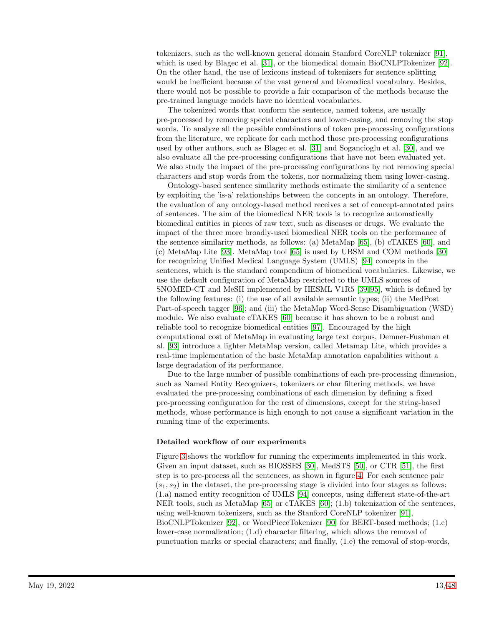tokenizers, such as the well-known general domain Stanford CoreNLP tokenizer [\[91\]](#page-46-6), which is used by Blagec et al. [\[31\]](#page-42-3), or the biomedical domain BioCNLPTokenizer [\[92\]](#page-46-7). On the other hand, the use of lexicons instead of tokenizers for sentence splitting would be inefficient because of the vast general and biomedical vocabulary. Besides, there would not be possible to provide a fair comparison of the methods because the pre-trained language models have no identical vocabularies.

The tokenized words that conform the sentence, named tokens, are usually pre-processed by removing special characters and lower-casing, and removing the stop words. To analyze all the possible combinations of token pre-processing configurations from the literature, we replicate for each method those pre-processing configurations used by other authors, such as Blagec et al. [\[31\]](#page-42-3) and Sogancioglu et al. [\[30\]](#page-42-2), and we also evaluate all the pre-processing configurations that have not been evaluated yet. We also study the impact of the pre-processing configurations by not removing special characters and stop words from the tokens, nor normalizing them using lower-casing.

Ontology-based sentence similarity methods estimate the similarity of a sentence by exploiting the 'is-a' relationships between the concepts in an ontology. Therefore, the evaluation of any ontology-based method receives a set of concept-annotated pairs of sentences. The aim of the biomedical NER tools is to recognize automatically biomedical entities in pieces of raw text, such as diseases or drugs. We evaluate the impact of the three more broadly-used biomedical NER tools on the performance of the sentence similarity methods, as follows: (a) MetaMap [\[65\]](#page-44-10), (b) cTAKES [\[60\]](#page-44-5), and (c) MetaMap Lite [\[93\]](#page-46-8). MetaMap tool [\[65\]](#page-44-10) is used by UBSM and COM methods [\[30\]](#page-42-2) for recognizing Unified Medical Language System (UMLS) [\[94\]](#page-46-9) concepts in the sentences, which is the standard compendium of biomedical vocabularies. Likewise, we use the default configuration of MetaMap restricted to the UMLS sources of SNOMED-CT and MeSH implemented by HESML V1R5 [\[39,](#page-42-11) [95\]](#page-46-10), which is defined by the following features: (i) the use of all available semantic types; (ii) the MedPost Part-of-speech tagger [\[96\]](#page-46-11); and (iii) the MetaMap Word-Sense Disambiguation (WSD) module. We also evaluate cTAKES [\[60\]](#page-44-5) because it has shown to be a robust and reliable tool to recognize biomedical entities [\[97\]](#page-46-12). Encouraged by the high computational cost of MetaMap in evaluating large text corpus, Demner-Fushman et al. [\[93\]](#page-46-8) introduce a lighter MetaMap version, called Metamap Lite, which provides a real-time implementation of the basic MetaMap annotation capabilities without a large degradation of its performance.

Due to the large number of possible combinations of each pre-processing dimension, such as Named Entity Recognizers, tokenizers or char filtering methods, we have evaluated the pre-processing combinations of each dimension by defining a fixed pre-processing configuration for the rest of dimensions, except for the string-based methods, whose performance is high enough to not cause a significant variation in the running time of the experiments.

#### Detailed workflow of our experiments

Figure [3](#page-14-0) shows the workflow for running the experiments implemented in this work. Given an input dataset, such as BIOSSES [\[30\]](#page-42-2), MedSTS [\[50\]](#page-43-6), or CTR [\[51\]](#page-43-7), the first step is to pre-process all the sentences, as shown in figure [4.](#page-14-1) For each sentence pair  $(s_1, s_2)$  in the dataset, the pre-processing stage is divided into four stages as follows: (1.a) named entity recognition of UMLS [\[94\]](#page-46-9) concepts, using different state-of-the-art NER tools, such as MetaMap [\[65\]](#page-44-10) or cTAKES [\[60\]](#page-44-5); (1.b) tokenization of the sentences, using well-known tokenizers, such as the Stanford CoreNLP tokenizer [\[91\]](#page-46-6), BioCNLPTokenizer [\[92\]](#page-46-7), or WordPieceTokenizer [\[90\]](#page-46-0) for BERT-based methods; (1.c) lower-case normalization; (1.d) character filtering, which allows the removal of punctuation marks or special characters; and finally, (1.e) the removal of stop-words,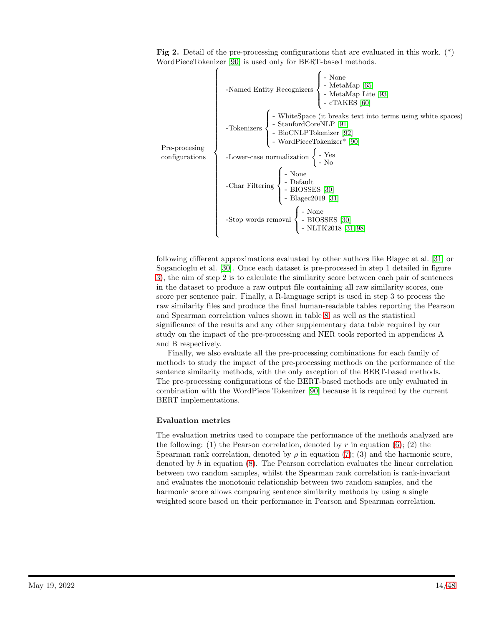<span id="page-13-0"></span>Fig 2. Detail of the pre-processing configurations that are evaluated in this work. (\*) WordPieceTokenizer [\[90\]](#page-46-0) is used only for BERT-based methods.

| -Named Entity Recognizers  | -Method 1                |
|----------------------------|--------------------------|
| -Named Entity Recognizers  | -MetaMap [65]            |
| - MetaMap Life [93]        |                          |
| - $ChetaMap$ Life [93]     |                          |
| - $ChetaMap$ Life [91]     |                          |
| - $Chkenizers$             | - $StanfordCoreNLP [91]$ |
| - BioCNLPTokenizer [92]    |                          |
| - WordPieceTokenizer* [90] |                          |
| -Lower-case normalization  | - $Yes$                  |
| - $Char Filtering$         | - $Default$              |
| - $Char Filtering$         | - $BlOSSES [30]$         |
| - $Blagec2019 [31]$        |                          |
| - $Stop$ words removal     | - $BIOSSES [30]$         |
| - $BIOSSES [30]$           |                          |
| - $BIOSSES [30]$           |                          |
| - $BIOSSES [30]$           |                          |
| - $BIOSSES [30]$           |                          |

following different approximations evaluated by other authors like Blagec et al. [\[31\]](#page-42-3) or Sogancioglu et al. [\[30\]](#page-42-2). Once each dataset is pre-processed in step 1 detailed in figure [3\)](#page-14-0), the aim of step 2 is to calculate the similarity score between each pair of sentences in the dataset to produce a raw output file containing all raw similarity scores, one score per sentence pair. Finally, a R-language script is used in step 3 to process the raw similarity files and produce the final human-readable tables reporting the Pearson and Spearman correlation values shown in table [8,](#page-20-0) as well as the statistical significance of the results and any other supplementary data table required by our study on the impact of the pre-processing and NER tools reported in appendices A and B respectively.

Finally, we also evaluate all the pre-processing combinations for each family of methods to study the impact of the pre-processing methods on the performance of the sentence similarity methods, with the only exception of the BERT-based methods. The pre-processing configurations of the BERT-based methods are only evaluated in combination with the WordPiece Tokenizer [\[90\]](#page-46-0) because it is required by the current BERT implementations.

#### Evaluation metrics

The evaluation metrics used to compare the performance of the methods analyzed are the following: (1) the Pearson correlation, denoted by r in equation  $(6)$ ; (2) the Spearman rank correlation, denoted by  $\rho$  in equation [\(7\)](#page-14-2); (3) and the harmonic score, denoted by  $h$  in equation  $(8)$ . The Pearson correlation evaluates the linear correlation between two random samples, whilst the Spearman rank correlation is rank-invariant and evaluates the monotonic relationship between two random samples, and the harmonic score allows comparing sentence similarity methods by using a single weighted score based on their performance in Pearson and Spearman correlation.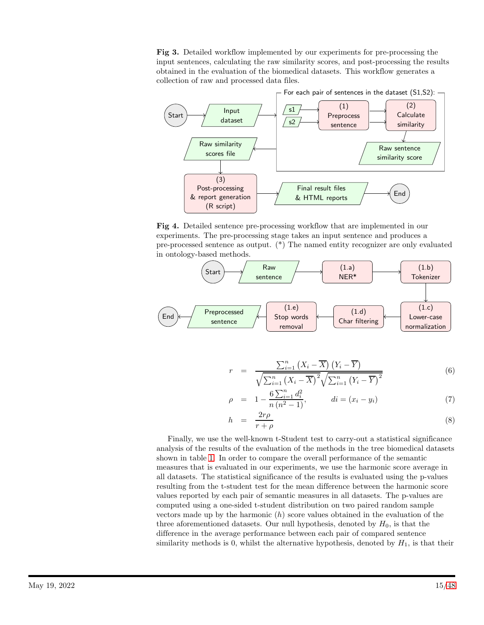<span id="page-14-0"></span>Fig 3. Detailed workflow implemented by our experiments for pre-processing the input sentences, calculating the raw similarity scores, and post-processing the results obtained in the evaluation of the biomedical datasets. This workflow generates a collection of raw and processed data files.



<span id="page-14-1"></span>Fig 4. Detailed sentence pre-processing workflow that are implemented in our experiments. The pre-processing stage takes an input sentence and produces a pre-processed sentence as output. (\*) The named entity recognizer are only evaluated in ontology-based methods.



<span id="page-14-2"></span>
$$
r = \frac{\sum_{i=1}^{n} (X_i - \overline{X}) (Y_i - \overline{Y})}{\sqrt{\sum_{i=1}^{n} (X_i - \overline{X})^2} \sqrt{\sum_{i=1}^{n} (Y_i - \overline{Y})^2}}
$$
(6)

$$
\rho = 1 - \frac{6 \sum_{i=1}^{n} d_i^2}{n (n^2 - 1)}, \qquad di = (x_i - y_i) \tag{7}
$$

$$
h = \frac{2r\rho}{r+\rho} \tag{8}
$$

Finally, we use the well-known t-Student test to carry-out a statistical significance analysis of the results of the evaluation of the methods in the tree biomedical datasets shown in table [1.](#page-7-0) In order to compare the overall performance of the semantic measures that is evaluated in our experiments, we use the harmonic score average in all datasets. The statistical significance of the results is evaluated using the p-values resulting from the t-student test for the mean difference between the harmonic score values reported by each pair of semantic measures in all datasets. The p-values are computed using a one-sided t-student distribution on two paired random sample vectors made up by the harmonic  $(h)$  score values obtained in the evaluation of the three aforementioned datasets. Our null hypothesis, denoted by  $H_0$ , is that the difference in the average performance between each pair of compared sentence similarity methods is 0, whilst the alternative hypothesis, denoted by  $H_1$ , is that their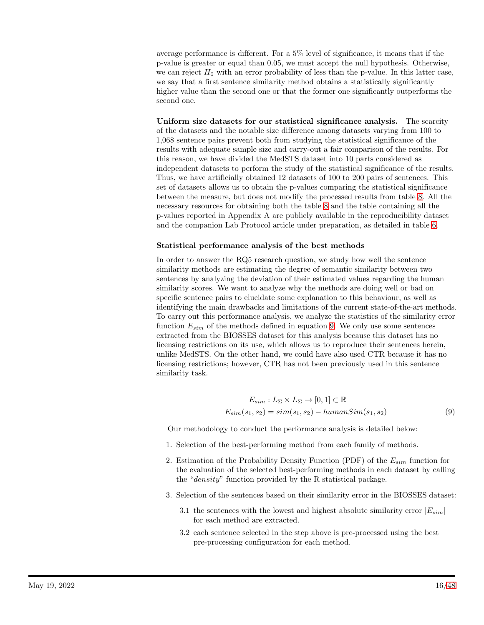average performance is different. For a 5% level of significance, it means that if the p-value is greater or equal than 0.05, we must accept the null hypothesis. Otherwise, we can reject  $H_0$  with an error probability of less than the p-value. In this latter case, we say that a first sentence similarity method obtains a statistically significantly higher value than the second one or that the former one significantly outperforms the second one.

Uniform size datasets for our statistical significance analysis. The scarcity of the datasets and the notable size difference among datasets varying from 100 to 1,068 sentence pairs prevent both from studying the statistical significance of the results with adequate sample size and carry-out a fair comparison of the results. For this reason, we have divided the MedSTS dataset into 10 parts considered as independent datasets to perform the study of the statistical significance of the results. Thus, we have artificially obtained 12 datasets of 100 to 200 pairs of sentences. This set of datasets allows us to obtain the p-values comparing the statistical significance between the measure, but does not modify the processed results from table [8.](#page-20-0) All the necessary resources for obtaining both the table [8](#page-20-0) and the table containing all the p-values reported in Appendix A are publicly available in the reproducibility dataset and the companion Lab Protocol article under preparation, as detailed in table [6.](#page-17-0)

#### Statistical performance analysis of the best methods

In order to answer the RQ5 research question, we study how well the sentence similarity methods are estimating the degree of semantic similarity between two sentences by analyzing the deviation of their estimated values regarding the human similarity scores. We want to analyze why the methods are doing well or bad on specific sentence pairs to elucidate some explanation to this behaviour, as well as identifying the main drawbacks and limitations of the current state-of-the-art methods. To carry out this performance analysis, we analyze the statistics of the similarity error function  $E_{sim}$  of the methods defined in equation [9.](#page-15-0) We only use some sentences extracted from the BIOSSES dataset for this analysis because this dataset has no licensing restrictions on its use, which allows us to reproduce their sentences herein, unlike MedSTS. On the other hand, we could have also used CTR because it has no licensing restrictions; however, CTR has not been previously used in this sentence similarity task.

<span id="page-15-0"></span>
$$
E_{sim}: L_{\Sigma} \times L_{\Sigma} \to [0, 1] \subset \mathbb{R}
$$
  

$$
E_{sim}(s_1, s_2) = sim(s_1, s_2) - humanSim(s_1, s_2)
$$
 (9)

Our methodology to conduct the performance analysis is detailed below:

- 1. Selection of the best-performing method from each family of methods.
- 2. Estimation of the Probability Density Function (PDF) of the  $E_{sim}$  function for the evaluation of the selected best-performing methods in each dataset by calling the "density" function provided by the R statistical package.
- 3. Selection of the sentences based on their similarity error in the BIOSSES dataset:
	- 3.1 the sentences with the lowest and highest absolute similarity error  $|E_{sim}|$ for each method are extracted.
	- 3.2 each sentence selected in the step above is pre-processed using the best pre-processing configuration for each method.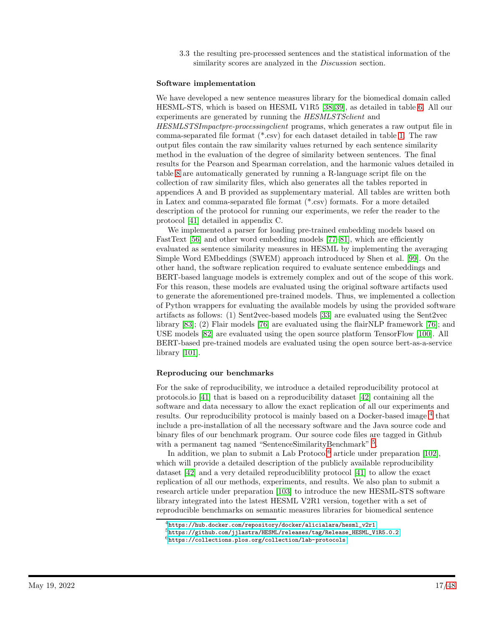3.3 the resulting pre-processed sentences and the statistical information of the similarity scores are analyzed in the *Discussion* section.

#### Software implementation

We have developed a new sentence measures library for the biomedical domain called HESML-STS, which is based on HESML V1R5 [\[38,](#page-42-10) [39\]](#page-42-11), as detailed in table [6.](#page-17-0) All our experiments are generated by running the HESMLSTSclient and HESMLSTSImpactpre-processingclient programs, which generates a raw output file in comma-separated file format (\*.csv) for each dataset detailed in table [1.](#page-7-0) The raw output files contain the raw similarity values returned by each sentence similarity method in the evaluation of the degree of similarity between sentences. The final results for the Pearson and Spearman correlation, and the harmonic values detailed in table [8](#page-20-0) are automatically generated by running a R-language script file on the collection of raw similarity files, which also generates all the tables reported in appendices A and B provided as supplementary material. All tables are written both in Latex and comma-separated file format (\*.csv) formats. For a more detailed description of the protocol for running our experiments, we refer the reader to the protocol [\[41\]](#page-42-13) detailed in appendix C.

We implemented a parser for loading pre-trained embedding models based on FastText [\[56\]](#page-44-1) and other word embedding models [\[77](#page-45-6)[–81\]](#page-45-10), which are efficiently evaluated as sentence similarity measures in HESML by implementing the averaging Simple Word EMbeddings (SWEM) approach introduced by Shen et al. [\[99\]](#page-47-2). On the other hand, the software replication required to evaluate sentence embeddings and BERT-based language models is extremely complex and out of the scope of this work. For this reason, these models are evaluated using the original software artifacts used to generate the aforementioned pre-trained models. Thus, we implemented a collection of Python wrappers for evaluating the available models by using the provided software artifacts as follows: (1) Sent2vec-based models [\[33\]](#page-42-5) are evaluated using the Sent2vec library [\[83\]](#page-45-12); (2) Flair models [\[76\]](#page-45-5) are evaluated using the flairNLP framework [\[76\]](#page-45-5); and USE models [\[82\]](#page-45-11) are evaluated using the open source platform TensorFlow [\[100\]](#page-47-3). All BERT-based pre-trained models are evaluated using the open source bert-as-a-service library [\[101\]](#page-47-4).

### Reproducing our benchmarks

For the sake of reproducibility, we introduce a detailed reproducibility protocol at protocols.io [\[41\]](#page-42-13) that is based on a reproducibility dataset [\[42\]](#page-43-0) containing all the software and data necessary to allow the exact replication of all our experiments and results. Our reproducibility protocol is mainly based on a Docker-based image  $^4$  $^4$  that include a pre-installation of all the necessary software and the Java source code and binary files of our benchmark program. Our source code files are tagged in Github with a permanent tag named "SentenceSimilarityBenchmark"<sup>[5](#page-16-1)</sup>.

In addition, we plan to submit a Lab Protocol $^6$  $^6$  article under preparation [\[102\]](#page-47-5), which will provide a detailed description of the publicly available reproducibility dataset [\[42\]](#page-43-0) and a very detailed reproduciblility protocol [\[41\]](#page-42-13) to allow the exact replication of all our methods, experiments, and results. We also plan to submit a research article under preparation [\[103\]](#page-47-6) to introduce the new HESML-STS software library integrated into the latest HESML V2R1 version, together with a set of reproducible benchmarks on semantic measures libraries for biomedical sentence

 $^4$ [https://hub.docker.com/repository/docker/alicialara/hesml\\_v2r1](https://hub.docker.com/repository/docker/alicialara/hesml_v2r1)

<span id="page-16-0"></span> ${\rm ^5}$ [https://github.com/jjlastra/HESML/releases/tag/Release\\_HESML\\_V1R5.0.2](https://github.com/jjlastra/HESML/releases/tag/Release_HESML_V1R5.0.2)

<span id="page-16-2"></span><span id="page-16-1"></span><sup>6</sup><https://collections.plos.org/collection/lab-protocols>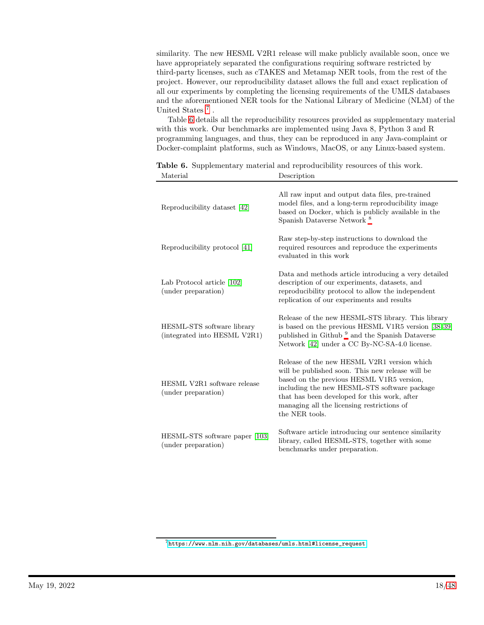similarity. The new HESML V2R1 release will make publicly available soon, once we have appropriately separated the configurations requiring software restricted by third-party licenses, such as cTAKES and Metamap NER tools, from the rest of the project. However, our reproducibility dataset allows the full and exact replication of all our experiments by completing the licensing requirements of the UMLS databases and the aforementioned NER tools for the National Library of Medicine (NLM) of the United States<sup>[7](#page-17-1)</sup>.

Table [6](#page-17-0) details all the reproducibility resources provided as supplementary material with this work. Our benchmarks are implemented using Java 8, Python 3 and R programming languages, and thus, they can be reproduced in any Java-complaint or Docker-complaint platforms, such as Windows, MacOS, or any Linux-based system.

| Reproducibility dataset [42]                               | All raw input and output data files, pre-trained<br>model files, and a long-term reproducibility image<br>based on Docker, which is publicly available in the<br>Spanish Dataverse Network <sup>8</sup>                                                                                                      |
|------------------------------------------------------------|--------------------------------------------------------------------------------------------------------------------------------------------------------------------------------------------------------------------------------------------------------------------------------------------------------------|
| Reproducibility protocol [41]                              | Raw step-by-step instructions to download the<br>required resources and reproduce the experiments<br>evaluated in this work                                                                                                                                                                                  |
| Lab Protocol article [102]<br>(under preparation)          | Data and methods article introducing a very detailed<br>description of our experiments, datasets, and<br>reproducibility protocol to allow the independent<br>replication of our experiments and results                                                                                                     |
| HESML-STS software library<br>(integrated into HESML V2R1) | Release of the new HESML-STS library. This library<br>is based on the previous HESML V1R5 version [38,39]<br>published in Github <sup>9</sup> and the Spanish Dataverse<br>Network [42] under a CC By-NC-SA-4.0 license.                                                                                     |
| HESML V2R1 software release<br>(under preparation)         | Release of the new HESML V2R1 version which<br>will be published soon. This new release will be<br>based on the previous HESML V1R5 version,<br>including the new HESML-STS software package<br>that has been developed for this work, after<br>managing all the licensing restrictions of<br>the NER tools. |
| HESML-STS software paper [103]<br>(under preparation)      | Software article introducing our sentence similarity<br>library, called HESML-STS, together with some<br>benchmarks under preparation.                                                                                                                                                                       |

<span id="page-17-0"></span>Table 6. Supplementary material and reproducibility resources of this work. Material Description

<span id="page-17-1"></span><sup>7</sup>[https://www.nlm.nih.gov/databases/umls.html#license\\_request](https://www.nlm.nih.gov/databases/umls.html#license_request)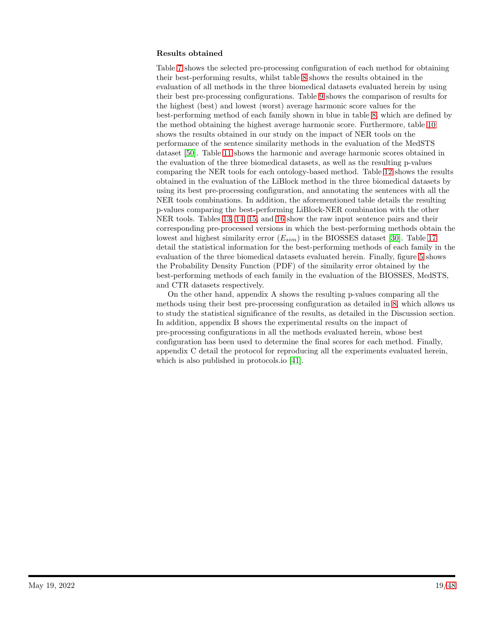### Results obtained

Table [7](#page-19-0) shows the selected pre-processing configuration of each method for obtaining their best-performing results, whilst table [8](#page-20-0) shows the results obtained in the evaluation of all methods in the three biomedical datasets evaluated herein by using their best pre-processing configurations. Table [9](#page-21-0) shows the comparison of results for the highest (best) and lowest (worst) average harmonic score values for the best-performing method of each family shown in blue in table [8,](#page-20-0) which are defined by the method obtaining the highest average harmonic score. Furthermore, table [10](#page-22-1) shows the results obtained in our study on the impact of NER tools on the performance of the sentence similarity methods in the evaluation of the MedSTS dataset [\[50\]](#page-43-6). Table [11](#page-22-2) shows the harmonic and average harmonic scores obtained in the evaluation of the three biomedical datasets, as well as the resulting p-values comparing the NER tools for each ontology-based method. Table [12](#page-22-0) shows the results obtained in the evaluation of the LiBlock method in the three biomedical datasets by using its best pre-processing configuration, and annotating the sentences with all the NER tools combinations. In addition, the aforementioned table details the resulting p-values comparing the best-performing LiBlock-NER combination with the other NER tools. Tables [13,](#page-23-0) [14,](#page-24-0) [15,](#page-24-1) and [16](#page-25-0) show the raw input sentence pairs and their corresponding pre-processed versions in which the best-performing methods obtain the lowest and highest similarity error  $(E_{sim})$  in the BIOSSES dataset [\[30\]](#page-42-2). Table [17](#page-26-0) detail the statistical information for the best-performing methods of each family in the evaluation of the three biomedical datasets evaluated herein. Finally, figure [5](#page-26-1) shows the Probability Density Function (PDF) of the similarity error obtained by the best-performing methods of each family in the evaluation of the BIOSSES, MedSTS, and CTR datasets respectively.

On the other hand, appendix A shows the resulting p-values comparing all the methods using their best pre-processing configuration as detailed in [8,](#page-20-0) which allows us to study the statistical significance of the results, as detailed in the Discussion section. In addition, appendix B shows the experimental results on the impact of pre-processing configurations in all the methods evaluated herein, whose best configuration has been used to determine the final scores for each method. Finally, appendix C detail the protocol for reproducing all the experiments evaluated herein, which is also published in protocols.io [\[41\]](#page-42-13).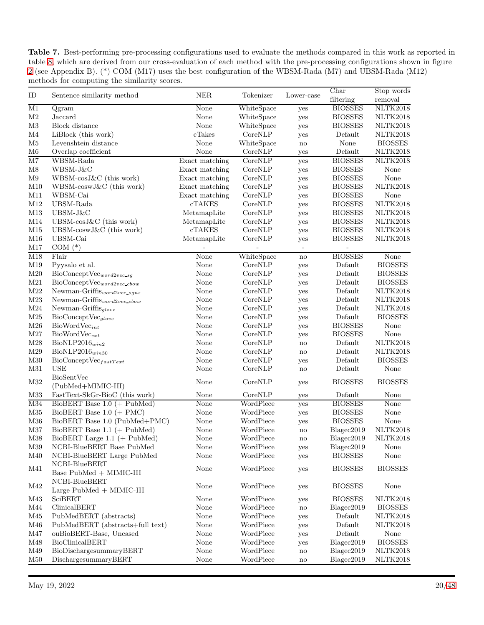<span id="page-19-0"></span>Table 7. Best-performing pre-processing configurations used to evaluate the methods compared in this work as reported in table [8,](#page-20-0) which are derived from our cross-evaluation of each method with the pre-processing configurations shown in figure [2](#page-13-0) (see Appendix B). (\*) COM (M17) uses the best configuration of the WBSM-Rada (M7) and UBSM-Rada (M12) methods for computing the similarity scores.

|                          |                                                              | ${\rm NER}$    |            |                        | $\overline{\text{Char}}$           | Stop words     |
|--------------------------|--------------------------------------------------------------|----------------|------------|------------------------|------------------------------------|----------------|
| ID                       | Sentence similarity method                                   |                | Tokenizer  | Lower-case             | filtering                          | removal        |
| $\overline{\mathrm{M1}}$ | Qgram                                                        | None           | WhiteSpace | yes                    | <b>BIOSSES</b>                     | NLTK2018       |
| $\rm M2$                 | Jaccard                                                      | None           | WhiteSpace | yes                    | <b>BIOSSES</b>                     | NLTK2018       |
| $\rm M3$                 | Block distance                                               | None           | WhiteSpace | yes                    | <b>BIOSSES</b>                     | NLTK2018       |
| $\rm M4$                 | LiBlock (this work)                                          | $c$ Takes      | CoreNLP    | yes                    | Default                            | NLTK2018       |
| $\rm M5$                 | Levenshtein distance                                         | None           | WhiteSpace | $\mathbf{no}$          | None                               | <b>BIOSSES</b> |
| $\rm M6$                 | Overlap coefficient                                          | None           | CoreNLP    | yes                    | Default                            | NLTK2018       |
| $\overline{\text{M7}}$   | WBSM-Rada                                                    | Exact matching | CoreNLP    | yes                    | <b>BIOSSES</b>                     | NLTK2018       |
| $\mathbf{M8}$            | WBSM-J&C                                                     | Exact matching | CoreNLP    | yes                    | <b>BIOSSES</b>                     | None           |
| M9                       | WBSM-cosJ&C (this work)                                      | Exact matching | CoreNLP    | yes                    | <b>BIOSSES</b>                     | None           |
| M10                      | WBSM-coswJ&C (this work)                                     | Exact matching | CoreNLP    | yes                    | <b>BIOSSES</b>                     | NLTK2018       |
| M11                      | WBSM-Cai                                                     | Exact matching | CoreNLP    | yes                    | <b>BIOSSES</b>                     | None           |
| M12                      | UBSM-Rada                                                    | <b>cTAKES</b>  | CoreNLP    | yes                    | <b>BIOSSES</b>                     | NLTK2018       |
| M13                      | UBSM-J&C                                                     | MetamapLite    | CoreNLP    | yes                    | <b>BIOSSES</b>                     | NLTK2018       |
| M14                      | UBSM- $\cos J\&C$ (this work)                                | MetamapLite    | CoreNLP    | yes                    | <b>BIOSSES</b>                     | NLTK2018       |
| M15                      | UBSM- $coswJ\&C$ (this work)                                 | <b>cTAKES</b>  | CoreNLP    | yes                    | <b>BIOSSES</b>                     | NLTK2018       |
| M16                      | UBSM-Cai                                                     | MetamapLite    | CoreNLP    | yes                    | <b>BIOSSES</b>                     | NLTK2018       |
| M17                      | COM $(*)$                                                    |                |            |                        | $\overline{\phantom{a}}$           |                |
| $\overline{M18}$         | Flair                                                        | None           | WhiteSpace | $\mathbf{n}$           | <b>BIOSSES</b>                     | None           |
| M19                      | Pyysalo et al.                                               | None           | CoreNLP    | yes                    | Default                            | <b>BIOSSES</b> |
| M20                      | ${\rm BioConceptVec}_{word2vec\_sg}$                         | None           | CoreNLP    | yes                    | Default                            | <b>BIOSSES</b> |
| $\rm M21$                | $BioConceptVec_{word2vec\_cbow}$                             | None           | CoreNLP    | yes                    | Default                            | <b>BIOSSES</b> |
| M22                      | Newman-Griffis $_{word2vec-sgns}$                            | None           | CoreNLP    | yes                    | Default                            | NLTK2018       |
| $\rm M23$                | $\mathrm{Newman\text{-}Griffis}_{word2vec\text{-}cbow}$      | None           | CoreNLP    | yes                    | Default                            | NLTK2018       |
| $\rm M24$                | Newman-Griffis <sub>glove</sub>                              | None           | CoreNLP    | yes                    | $\label{eq:DefA} \textbf{Default}$ | NLTK2018       |
| M25                      | $BioConceptVec_{glove}$                                      | None           | CoreNLP    | yes                    | Default                            | <b>BIOSSES</b> |
| M26                      | $BioWordVec_{int}$                                           | None           | CoreNLP    | yes                    | <b>BIOSSES</b>                     | None           |
| $\rm M27$                | $BioWordVec_{ext}$                                           | None           | CoreNLP    | yes                    | <b>BIOSSES</b>                     | None           |
| M28                      | $BioNLP2016_{win2}$                                          | None           | CoreNLP    | $\mathbf{n}$           | Default                            | NLTK2018       |
| M29                      | $BioNLP2016_{win30}$                                         | None           | CoreNLP    | $\mathbf{n}$           | Default                            | NLTK2018       |
| M30                      | $BioConceptVec_{fastText}$                                   | None           | CoreNLP    | yes                    | Default                            | <b>BIOSSES</b> |
| M31                      | <b>USE</b>                                                   | None           | CoreNLP    | $\mathbf{n}$           | Default                            | None           |
| M32                      | <b>BioSentVec</b>                                            | None           | CoreNLP    | yes                    | <b>BIOSSES</b>                     | <b>BIOSSES</b> |
|                          | (PubMed+MIMIC-III)                                           |                |            |                        |                                    |                |
| M33                      | FastText-SkGr-BioC (this work)                               | None           | CoreNLP    | yes                    | Default                            | None           |
| M34                      | BioBERT Base $1.0$ (+ PubMed)                                | None           | WordPiece  | yes                    | <b>BIOSSES</b>                     | None           |
| $\rm M35$                | BioBERT Base $1.0$ (+ PMC)                                   | None           | WordPiece  | yes                    | <b>BIOSSES</b>                     | None           |
| M36                      | BioBERT Base 1.0 (PubMed+PMC)                                | None           | WordPiece  | yes                    | <b>BIOSSES</b>                     | None           |
| M37                      | BioBERT Base $1.1$ (+ PubMed)                                | None           | WordPiece  | $\mathbf{no}$          | Blagec2019                         | NLTK2018       |
| M38                      | $BiobERT Large 1.1 (+ PubMed)$                               | None           | WordPiece  | $\mathbf{n}$           | Blagec2019                         | NLTK2018       |
| M39                      | NCBI-BlueBERT Base PubMed                                    | None           | WordPiece  | yes                    | Blagec2019                         | None           |
| M40                      | NCBI-BlueBERT Large PubMed                                   | None           | WordPiece  | yes                    | <b>BIOSSES</b>                     | None           |
| M41                      | NCBI-BlueBERT<br>Base $\mbox{PubMed}{}$ + $\mbox{MIMIC-III}$ | None           | WordPiece  | yes                    | <b>BIOSSES</b>                     | <b>BIOSSES</b> |
|                          |                                                              |                |            |                        |                                    |                |
| M42                      | NCBI-BlueBERT                                                | None           | WordPiece  | yes                    | <b>BIOSSES</b>                     | None           |
| M43                      | $Large PubMed + MIMIC-III$<br>SciBERT                        | None           | WordPiece  |                        | <b>BIOSSES</b>                     | NLTK2018       |
| M44                      | ClinicalBERT                                                 | None           | WordPiece  | yes                    |                                    | <b>BIOSSES</b> |
| M45                      |                                                              | None           | WordPiece  | $\rm{no}$              | Blagec2019<br>Default              | NLTK2018       |
| M46                      | PubMedBERT (abstracts)<br>PubMedBERT (abstracts+full text)   | None           | WordPiece  | yes                    | Default                            | NLTK2018       |
| M47                      | ouBioBERT-Base, Uncased                                      | None           | WordPiece  | yes                    | Default                            | None           |
| M48                      | BioClinicalBERT                                              | None           | WordPiece  | yes                    | Blagec2019                         | <b>BIOSSES</b> |
| M49                      | BioDischargesummaryBERT                                      | None           | WordPiece  | yes<br>no              | Blagec2019                         | NLTK2018       |
| M50                      | DischargesummaryBERT                                         | None           | WordPiece  |                        | Blagec2019                         | NLTK2018       |
|                          |                                                              |                |            | $\mathbf{n}\mathbf{o}$ |                                    |                |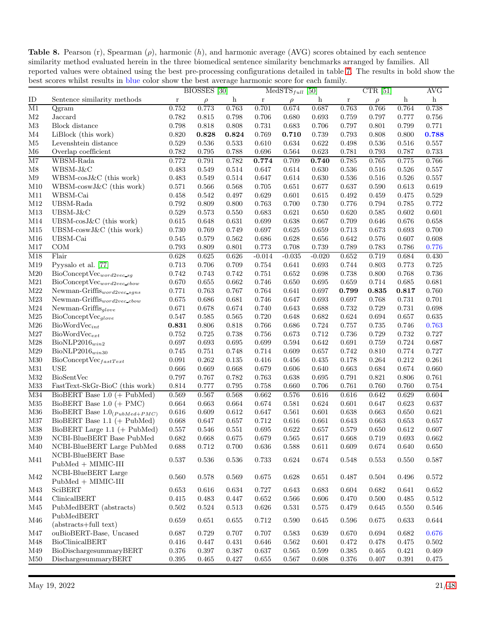<span id="page-20-0"></span>Table 8. Pearson (r), Spearman  $(\rho)$ , harmonic  $(h)$ , and harmonic average (AVG) scores obtained by each sentence similarity method evaluated herein in the three biomedical sentence similarity benchmarks arranged by families. All reported values were obtained using the best pre-processing configurations detailed in table [7.](#page-19-0) The results in bold show the best scores whilst results in blue color show the best average harmonic score for each family.

| ID                                                                                                                                                                                                               | CTR $[51]$                          |                |  |
|------------------------------------------------------------------------------------------------------------------------------------------------------------------------------------------------------------------|-------------------------------------|----------------|--|
| Sentence similarity methods<br>$\boldsymbol{\mathrm{h}}$<br>$\boldsymbol{\mathrm{h}}$<br>$\bf r$<br>$\bf r$<br>r<br>$\rho$<br>$\rho$                                                                             | $\boldsymbol{\mathrm{h}}$<br>$\rho$ | $\,$ h         |  |
| M1<br>0.752<br>0.773<br>0.763<br>0.701<br>0.674<br>$\overline{\text{Qgram}}$<br>0.687<br>0.763                                                                                                                   | 0.766<br>0.764                      | 0.738          |  |
| M <sub>2</sub><br>Jaccard<br>0.782<br>0.815<br>0.798<br>0.706<br>0.680<br>0.693<br>0.759                                                                                                                         | 0.797<br>0.777                      | 0.756          |  |
| M3<br>Block distance<br>0.798<br>0.818<br>0.808<br>0.731<br>0.683<br>0.706<br>0.797                                                                                                                              | 0.801<br>0.799                      | 0.771          |  |
| $\rm M4$<br>LiBlock (this work)<br>0.820<br>0.828<br>0.824<br>0.769<br>0.710<br>0.739<br>0.793                                                                                                                   | 0.808<br>0.800                      | 0.788          |  |
| M5<br>Levenshtein distance<br>0.536<br>0.610<br>0.634<br>0.622<br>0.529<br>0.533<br>0.498                                                                                                                        | 0.536<br>0.516                      | 0.557          |  |
| M <sub>6</sub><br>0.782<br>0.795<br>0.788<br>0.696<br>0.623<br>0.781<br>Overlap coefficient<br>0.564                                                                                                             | 0.793<br>0.787                      | 0.733          |  |
| $\overline{\text{M7}}$<br>0.774<br>WBSM-Rada<br>0.772<br>0.791<br>0.782<br>0.709<br>0.740<br>0.785                                                                                                               | 0.775<br>0.765                      | 0.766          |  |
| M8<br>WBSM-J&C<br>0.483<br>0.549<br>0.514<br>0.647<br>0.630<br>0.536<br>0.614                                                                                                                                    | 0.516<br>0.526                      | 0.557          |  |
| M9<br>WBSM-cosJ&C (this work)<br>0.483<br>0.549<br>0.614<br>0.630<br>0.536<br>0.514<br>0.647                                                                                                                     | 0.526<br>0.516                      | 0.557          |  |
| M10<br>WBSM-coswJ&C (this work)<br>0.571<br>0.566<br>0.705<br>0.637<br>0.568<br>0.651<br>0.677                                                                                                                   | 0.613<br>0.590                      | 0.619          |  |
| M11<br>WBSM-Cai<br>0.542<br>0.629<br>0.458<br>0.497<br>0.601<br>0.615<br>0.492                                                                                                                                   | 0.459<br>0.475                      | 0.529          |  |
| M12<br>UBSM-Rada<br>0.792<br>0.763<br>0.730<br>0.809<br>0.800<br>0.700<br>0.776                                                                                                                                  | 0.794<br>0.785                      | 0.772          |  |
| $UBSM-J\&C$<br>M13<br>0.529<br>0.621<br>0.650<br>0.620<br>0.573<br>0.550<br>0.683                                                                                                                                | 0.585<br>0.602                      | 0.601          |  |
| M14<br>$UBSM-cosJ&C$ (this work)<br>0.615<br>0.648<br>0.631<br>0.699<br>0.638<br>0.667<br>0.709                                                                                                                  | 0.646<br>0.676                      | 0.658          |  |
| M15<br>UBSM- $coswJ\&C$ (this work)<br>0.730<br>0.769<br>0.697<br>0.625<br>0.659<br>0.713<br>0.749                                                                                                               | 0.673<br>0.693                      | 0.700          |  |
| UBSM-Cai<br>M16<br>0.579<br>0.562<br>0.686<br>0.545<br>0.628<br>0.656<br>0.642                                                                                                                                   | 0.576<br>0.607                      | 0.608          |  |
| COM<br>0.773<br>M17<br>0.793<br>0.809<br>0.801<br>0.708<br>0.739<br>0.789                                                                                                                                        | 0.783<br>0.786                      | 0.776          |  |
| $\overline{\mathrm{M18}}$<br>Flair<br>0.628<br>0.625<br>0.652<br>0.626<br>$-0.014$<br>$-0.035$<br>$-0.020$                                                                                                       | 0.719<br>0.684                      | 0.430          |  |
| M19<br>Pyysalo et al. [77]<br>0.713<br>0.706<br>0.709<br>0.754<br>0.641<br>0.693<br>0.744                                                                                                                        | 0.803<br>0.773                      | 0.725          |  |
| M20<br>0.742<br>0.698<br>0.738<br>$BioConceptVec_{word2vec\_sg}$<br>0.743<br>0.742<br>0.751<br>0.652                                                                                                             | 0.800<br>0.768                      | 0.736          |  |
| M21<br>0.670<br>0.655<br>0.662<br>0.746<br>0.695<br>0.659<br>$\text{BioConceptVec}_{word2vec\_cbow}$<br>0.650                                                                                                    | 0.685<br>0.714                      | 0.681          |  |
| M22<br>0.763<br>0.767<br>0.764<br>$\mathrm{Newman\text{-}Griffis}_{word2vec\_sgns}$<br>0.771<br>0.641<br>0.697<br>$\boldsymbol{0.799}$                                                                           | 0.835<br>0.817                      | 0.760          |  |
| M23<br>0.697<br>Newman-Griffis <sub>word2vec_cbow</sub><br>0.675<br>0.686<br>0.681<br>0.746<br>0.647<br>0.693                                                                                                    | 0.731<br>0.768                      | 0.701          |  |
| M24<br>0.671<br>0.678<br>0.688<br>0.732<br>Newman-Griffis <sub>glove</sub><br>0.674<br>0.740<br>0.643                                                                                                            | 0.729<br>0.731                      | 0.698          |  |
| M25<br>$BioConceptVec_{glove}$<br>0.547<br>0.585<br>0.565<br>0.720<br>0.682<br>0.624<br>0.648                                                                                                                    | 0.657<br>0.694                      | 0.635          |  |
| M26<br>$BioWordVec_{int}$<br>0.831<br>0.806<br>0.818<br>0.766<br>0.686<br>0.724<br>0.757                                                                                                                         | 0.735<br>0.746                      | 0.763          |  |
| M27<br>$BioWordVec_{ext}$<br>0.752<br>0.725<br>0.738<br>0.712<br>0.736<br>0.756<br>0.673                                                                                                                         | 0.729<br>0.732                      | 0.727          |  |
| M28<br>$BioNLP2016_{win2}$<br>0.697<br>0.693<br>0.699<br>0.642<br>0.691<br>0.695<br>0.594                                                                                                                        | 0.759<br>0.724                      | 0.687          |  |
| M29<br>$BioNLP2016_{win30}$<br>0.745<br>0.751<br>0.748<br>0.714<br>0.609<br>0.657<br>0.742                                                                                                                       | 0.810<br>0.774                      | 0.727          |  |
| M30<br>0.262<br>0.135<br>0.435<br>$BioConceptVec_{fastText}$<br>0.091<br>0.416<br>0.456<br>0.178                                                                                                                 | 0.264<br>0.212                      | 0.261          |  |
| M31<br><b>USE</b><br>0.666<br>0.669<br>0.668<br>0.679<br>0.606<br>0.663<br>0.640                                                                                                                                 | 0.684<br>0.674                      | 0.660          |  |
| M32<br><b>BioSentVec</b><br>0.797<br>0.767<br>0.638<br>0.791<br>0.782<br>0.763<br>0.695                                                                                                                          | 0.821<br>0.806                      | 0.761          |  |
| M33<br>FastText-SkGr-BioC (this work)<br>0.814<br>0.777<br>0.795<br>0.758<br>0.660<br>0.706<br>0.761                                                                                                             | 0.760<br>0.760                      | 0.754          |  |
| M34<br>BioBERT Base $1.0$ (+ PubMed)<br>0.569<br>0.567<br>0.568<br>0.662<br>0.576<br>0.616<br>0.616                                                                                                              | 0.642<br>0.629                      | 0.604          |  |
| M35<br>BioBERT Base $1.0$ (+ PMC)<br>0.601<br>0.664<br>0.663<br>0.664<br>0.674<br>0.581<br>0.624                                                                                                                 | 0.623<br>0.647                      | 0.637          |  |
| M36<br>BioBERT Base $1.0_{(PubMed + PMC)}$<br>0.609<br>0.601<br>0.638<br>0.616<br>0.612<br>0.647<br>0.561<br>M37<br>BioBERT Base $1.1$ (+ PubMed)<br>0.647<br>0.657<br>0.712<br>0.616<br>0.668<br>0.661<br>0.643 | 0.663<br>0.650<br>0.663<br>0.653    | 0.621<br>0.657 |  |
| M38<br>BioBERT Large $1.1$ (+ PubMed)<br>0.557<br>0.546<br>0.551<br>0.695<br>0.622<br>0.657<br>0.579                                                                                                             | 0.612<br>0.650                      | 0.607          |  |
| NCBI-BlueBERT Base PubMed<br>0.682<br>M39<br>0.668<br>$0.675\,$<br>0.679<br>$0.565\,$<br>0.617<br>0.668                                                                                                          | 0.719<br>$\,0.693\,$                | $\,0.662\,$    |  |
| NCBI-BlueBERT Large PubMed<br>0.712<br>0.636<br>0.611<br>M40<br>0.688<br>0.700<br>0.588<br>0.609                                                                                                                 | 0.674<br>0.640                      | 0.650          |  |
| NCBI-BlueBERT Base                                                                                                                                                                                               |                                     |                |  |
| $\rm M41$<br>0.537<br>0.536<br>0.536<br>0.733<br>$0.624\,$<br>0.674<br>0.548<br>$\mbox{PubMed}{}$ + MIMIC-III                                                                                                    | 0.553<br>0.550                      | 0.587          |  |
| NCBI-BlueBERT Large                                                                                                                                                                                              |                                     |                |  |
| M42<br>0.560<br>0.578<br>0.569<br>0.675<br>0.628<br>0.651<br>0.487<br>$PubMed + MIME-III$                                                                                                                        | 0.504<br>0.496                      | 0.572          |  |
| M43<br>SciBERT<br>0.653<br>0.616<br>0.634<br>0.683<br>0.604<br>0.727<br>0.643                                                                                                                                    | 0.682<br>0.641                      | 0.652          |  |
| M44<br>ClinicalBERT<br>0.415<br>0.483<br>0.652<br>0.566<br>0.606<br>0.470<br>0.447                                                                                                                               | 0.500<br>0.485                      | 0.512          |  |
| M45<br>PubMedBERT (abstracts)<br>$0.626\,$<br>$0.575\,$<br>0.502<br>0.524<br>0.513<br>0.531<br>0.479                                                                                                             | 0.645<br>0.550                      | 0.546          |  |
| PubMedBERT                                                                                                                                                                                                       |                                     |                |  |
| $\rm M46$<br>0.659<br>0.651<br>0.655<br>0.712<br>0.590<br>0.645<br>0.596<br>(abstracts+full text)                                                                                                                | 0.675<br>0.633                      | 0.644          |  |
| M47<br>ouBioBERT-Base, Uncased<br>0.687<br>0.729<br>0.707<br>0.639<br>0.707<br>0.583<br>0.670                                                                                                                    | 0.694<br>0.682                      | 0.676          |  |
| M48<br>BioClinicalBERT<br>0.562<br>0.601<br>0.472<br>0.416<br>0.447<br>0.431<br>0.646                                                                                                                            | 0.478<br>0.475                      | 0.502          |  |
| M49<br>BioDischargesummaryBERT<br>0.376<br>0.397<br>0.637<br>0.565<br>0.599<br>0.385<br>0.387                                                                                                                    | 0.465<br>0.421                      | 0.469          |  |
| $\rm M50$<br>DischargesummaryBERT<br>0.567<br>0.376<br>0.395<br>0.465<br>0.427<br>0.655<br>0.608                                                                                                                 | 0.391<br>0.407                      | 0.475          |  |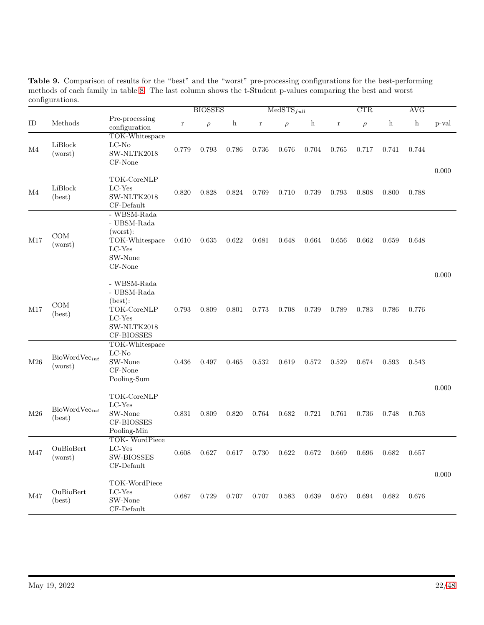|     |                               |                                                                                               | <b>BIOSSES</b> |        | $MedSTS_{full}$ |         |        | CTR                       |             |        | <b>AVG</b>   |              |       |
|-----|-------------------------------|-----------------------------------------------------------------------------------------------|----------------|--------|-----------------|---------|--------|---------------------------|-------------|--------|--------------|--------------|-------|
| ID  | Methods                       | Pre-processing<br>configuration                                                               | $\bf r$        | $\rho$ | $\mathbf{h}$    | $\bf r$ | $\rho$ | $\boldsymbol{\mathrm{h}}$ | $\mathbf r$ | $\rho$ | $\mathbf{h}$ | $\mathbf{h}$ | p-val |
| M4  | LiBlock<br>(worst)            | TOK-Whitespace<br>$LC-No$<br>SW-NLTK2018<br>CF-None                                           | 0.779          | 0.793  | 0.786           | 0.736   | 0.676  | 0.704                     | 0.765       | 0.717  | 0.741        | 0.744        |       |
| M4  | LiBlock<br>(best)             | TOK-CoreNLP<br>LC-Yes<br>SW-NLTK2018<br>CF-Default                                            | 0.820          | 0.828  | 0.824           | 0.769   | 0.710  | 0.739                     | $\,0.793\,$ | 0.808  | 0.800        | 0.788        | 0.000 |
| M17 | COM<br>(worst)                | - WBSM-Rada<br>- UBSM-Rada<br>(worst):<br>TOK-Whitespace<br>LC-Yes<br>SW-None<br>CF-None      | 0.610          | 0.635  | 0.622           | 0.681   | 0.648  | 0.664                     | 0.656       | 0.662  | 0.659        | 0.648        |       |
| M17 | COM<br>(best)                 | - WBSM-Rada<br>- UBSM-Rada<br>text).<br>TOK-CoreNLP<br>$LC$ -Yes<br>SW-NLTK2018<br>CF-BIOSSES | 0.793          | 0.809  | 0.801           | 0.773   | 0.708  | 0.739                     | 0.789       | 0.783  | 0.786        | 0.776        | 0.000 |
| M26 | $BiowordVec_{int}$<br>(worst) | TOK-Whitespace<br>$LC-No$<br>SW-None<br>CF-None<br>Pooling-Sum                                | 0.436          | 0.497  | 0.465           | 0.532   | 0.619  | 0.572                     | 0.529       | 0.674  | 0.593        | 0.543        |       |
| M26 | $BioWordVec_{int}$<br>(best)  | TOK-CoreNLP<br>$LC-Yes$<br>SW-None<br>CF-BIOSSES<br>Pooling-Min                               | 0.831          | 0.809  | 0.820           | 0.764   | 0.682  | 0.721                     | 0.761       | 0.736  | 0.748        | 0.763        | 0.000 |
| M47 | OuBioBert<br>(worst)          | TOK-WordPiece<br>$LC$ -Yes<br><b>SW-BIOSSES</b><br>CF-Default                                 | 0.608          | 0.627  | 0.617           | 0.730   | 0.622  | 0.672                     | 0.669       | 0.696  | 0.682        | 0.657        |       |
| M47 | OuBioBert<br>(best)           | TOK-WordPiece<br>LC-Yes<br>SW-None<br>CF-Default                                              | 0.687          | 0.729  | 0.707           | 0.707   | 0.583  | 0.639                     | 0.670       | 0.694  | 0.682        | 0.676        | 0.000 |

<span id="page-21-0"></span>Table 9. Comparison of results for the "best" and the "worst" pre-processing configurations for the best-performing methods of each family in table [8.](#page-20-0) The last column shows the t-Student p-values comparing the best and worst configurations.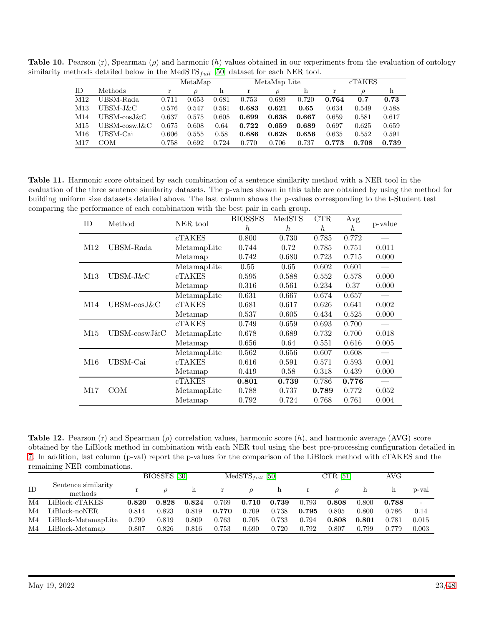**Table 10.** Pearson (r), Spearman ( $\rho$ ) and harmonic (h) values obtained in our experiments from the evaluation of ontology similarity methods detailed below in the MedSTS $_{full}$  [\[50\]](#page-43-6) dataset for each NER tool.

<span id="page-22-1"></span>

|     |                 |       | MetaMap       |       |       | MetaMap Lite |       | <b>cTAKES</b> |       |       |  |
|-----|-----------------|-------|---------------|-------|-------|--------------|-------|---------------|-------|-------|--|
| ΙD  | Methods         | r     | $\mathcal{D}$ | h     | r     | ρ            | h     |               | D     | h     |  |
| M12 | UBSM-Rada       | 0.711 | 0.653         | 0.681 | 0.753 | 0.689        | 0.720 | 0.764         | 0.7   | 0.73  |  |
| M13 | UBSM-J&C        | 0.576 | 0.547         | 0.561 | 0.683 | 0.621        | 0.65  | 0.634         | 0.549 | 0.588 |  |
| M14 | $UBSM-cosJ\&C$  | 0.637 | 0.575         | 0.605 | 0.699 | 0.638        | 0.667 | 0.659         | 0.581 | 0.617 |  |
| M15 | $UBSM-coswJ\&C$ | 0.675 | 0.608         | 0.64  | 0.722 | 0.659        | 0.689 | 0.697         | 0.625 | 0.659 |  |
| M16 | UBSM-Cai        | 0.606 | 0.555         | 0.58  | 0.686 | 0.628        | 0.656 | 0.635         | 0.552 | 0.591 |  |
| M17 | COM             | 0.758 | 0.692         | 0.724 | 0.770 | 0.706        | 0.737 | 0.773         | 0.708 | 0.739 |  |

Table 11. Harmonic score obtained by each combination of a sentence similarity method with a NER tool in the evaluation of the three sentence similarity datasets. The p-values shown in this table are obtained by using the method for building uniform size datasets detailed above. The last column shows the p-values corresponding to the t-Student test comparing the performance of each combination with the best pair in each group.

<span id="page-22-2"></span>

| ID  | Method          | NER tool      | <b>BIOSSES</b><br>$\hbar$ | MedSTS<br>$\boldsymbol{h}$ | CTR<br>$\hbar$ | Avg<br>h | p-value   |
|-----|-----------------|---------------|---------------------------|----------------------------|----------------|----------|-----------|
|     |                 | cTAKES        | 0.800                     | 0.730                      | 0.785          | 0.772    |           |
| M12 | UBSM-Rada       | MetamapLite   | 0.744                     | 0.72                       | 0.785          | 0.751    | $0.011\,$ |
|     |                 | Metamap       | 0.742                     | 0.680                      | 0.723          | 0.715    | 0.000     |
|     |                 | MetamapLite   | 0.55                      | 0.65                       | 0.602          | 0.601    |           |
| M13 | UBSM-J&C        | <b>cTAKES</b> | 0.595                     | 0.588                      | 0.552          | 0.578    | 0.000     |
|     |                 | Metamap       | 0.316                     | 0.561                      | 0.234          | 0.37     | 0.000     |
|     |                 | MetamapLite   | 0.631                     | 0.667                      | 0.674          | 0.657    |           |
| M14 | $UBSM-cosJ\&C$  | cTAKES        | 0.681                     | 0.617                      | 0.626          | 0.641    | 0.002     |
|     |                 | Metamap       | 0.537                     | 0.605                      | 0.434          | 0.525    | 0.000     |
|     |                 | <b>cTAKES</b> | 0.749                     | 0.659                      | 0.693          | 0.700    |           |
| M15 | $UBSM-coswJ\&C$ | MetamapLite   | 0.678                     | 0.689                      | 0.732          | 0.700    | 0.018     |
|     |                 | Metamap       | 0.656                     | 0.64                       | 0.551          | 0.616    | 0.005     |
|     |                 | MetamapLite   | 0.562                     | 0.656                      | 0.607          | 0.608    |           |
| M16 | UBSM-Cai        | <b>cTAKES</b> | 0.616                     | 0.591                      | 0.571          | 0.593    | 0.001     |
|     |                 | Metamap       | 0.419                     | 0.58                       | 0.318          | 0.439    | 0.000     |
|     |                 | <b>cTAKES</b> | 0.801                     | 0.739                      | 0.786          | 0.776    |           |
| M17 | <b>COM</b>      | MetamapLite   | 0.788                     | 0.737                      | 0.789          | 0.772    | 0.052     |
|     |                 | Metamap       | 0.792                     | 0.724                      | 0.768          | 0.761    | 0.004     |

<span id="page-22-0"></span>**Table 12.** Pearson (r) and Spearman  $(\rho)$  correlation values, harmonic score  $(h)$ , and harmonic average (AVG) score obtained by the LiBlock method in combination with each NER tool using the best pre-processing configuration detailed in [7.](#page-19-0) In addition, last column (p-val) report the p-values for the comparison of the LiBlock method with cTAKES and the remaining NER combinations.

|    |                                |       | BIOSSES [30]  |       |              | $MedSTS_{full}$ [50] |       |       | CTR $[51]$ |       | AVG   |       |
|----|--------------------------------|-------|---------------|-------|--------------|----------------------|-------|-------|------------|-------|-------|-------|
| ID | Sentence similarity<br>methods | r     | $\mathcal{D}$ | h     | $\mathbf{r}$ |                      | h     |       |            | h     |       | p-val |
| M4 | LiBlock-cTAKES                 | 0.820 | 0.828         | 0.824 | 0.769        | 0.710                | 0.739 | 0.793 | 0.808      | 0.800 | 0.788 |       |
| M4 | LiBlock-noNER                  | 0.814 | 0.823         | 0.819 | 0.770        | 0.709                | 0.738 | 0.795 | 0.805      | 0.800 | 0.786 | 0.14  |
| M4 | LiBlock-MetamapLite            | 0.799 | 0.819         | 0.809 | 0.763        | 0.705                | 0.733 | 0.794 | 0.808      | 0.801 | 0.781 | 0.015 |
| M4 | LiBlock-Metamap                | 0.807 | 0.826         | 0.816 | 0.753        | 0.690                | 0.720 | 0.792 | 0.807      | 0.799 | 0.779 | 0.003 |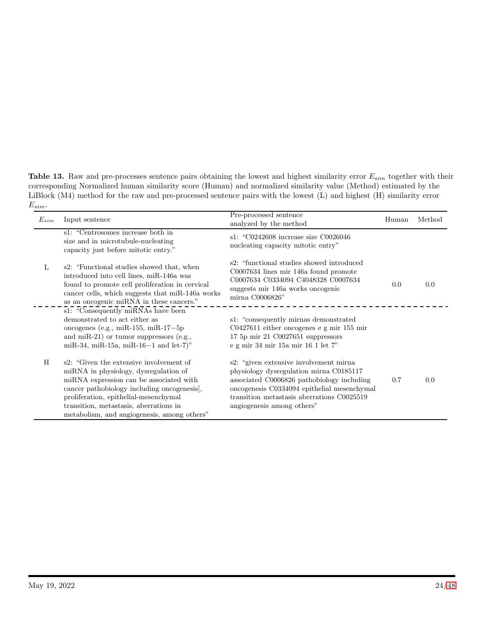<span id="page-23-0"></span>Table 13. Raw and pre-processes sentence pairs obtaining the lowest and highest similarity error  $E_{sim}$  together with their corresponding Normalized human similarity score (Human) and normalized similarity value (Method) estimated by the LiBlock (M4) method for the raw and pre-processed sentence pairs with the lowest (L) and highest (H) similarity error  $E_{sim}$ .

| $E_{sim}$ | Input sentence                                                                                                                                                                                                                                                                                              | Pre-processed sentence<br>analyzed by the method                                                                                                                                                                                                             | Human | Method |
|-----------|-------------------------------------------------------------------------------------------------------------------------------------------------------------------------------------------------------------------------------------------------------------------------------------------------------------|--------------------------------------------------------------------------------------------------------------------------------------------------------------------------------------------------------------------------------------------------------------|-------|--------|
|           | s1: "Centrosomes increase both in<br>size and in microtubule-nucleating<br>capacity just before mitotic entry."                                                                                                                                                                                             | s1: "C0242608 increase size C0026046<br>nucleating capacity mitotic entry"                                                                                                                                                                                   |       |        |
| L         | s2: "Functional studies showed that, when<br>introduced into cell lines, miR-146a was<br>found to promote cell proliferation in cervical<br>cancer cells, which suggests that miR-146a works<br>as an oncogenic miRNA in these cancers."                                                                    | s2: "functional studies showed introduced"<br>C0007634 lines mir 146a found promote<br>C0007634 C0334094 C4048328 C0007634<br>suggests mir 146a works oncogenic<br>mirna C0006826"                                                                           | 0.0   | 0.0    |
|           | s1: "Consequently miRNAs have been<br>demonstrated to act either as<br>oncogenes (e.g., miR-155, miR-17 $-5p$ )<br>and miR-21) or tumor suppressors (e.g.,<br>miR-34, miR-15a, miR-16-1 and let-7)"                                                                                                         | s1: "consequently mirnas demonstrated"<br>$C0427611$ either oncogenes e g mir 155 mir<br>17 5p mir 21 C0027651 suppressors<br>e g mir 34 mir 15a mir 16 1 let 7"                                                                                             |       |        |
| H         | s2: "Given the extensive involvement of<br>miRNA in physiology, dysregulation of<br>miRNA expression can be associated with<br>cancer pathobiology including oncogenesis.<br>proliferation, epithelial-mesenchymal<br>transition, metastasis, aberrations in<br>metabolism, and angiogenesis, among others" | s2: "given extensive involvement mirnal"<br>physiology dysregulation mirna C0185117<br>associated C0006826 pathobiology including<br>oncogenesis C0334094 epithelial mesenchymal<br>transition metastasis aberrations C0025519<br>angiogenesis among others" | 0.7   | 0.0    |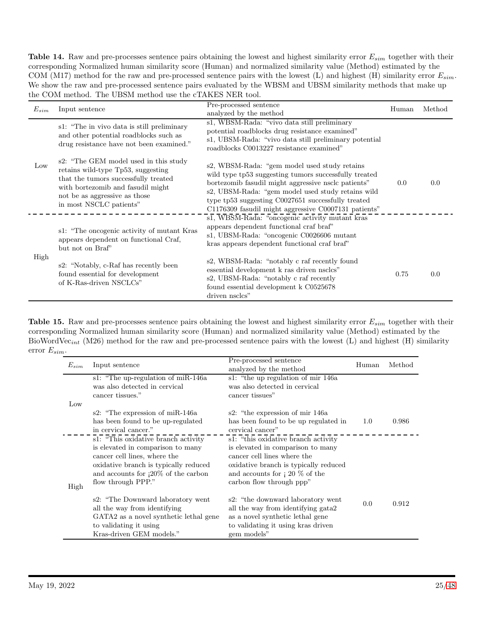<span id="page-24-0"></span>**Table 14.** Raw and pre-processes sentence pairs obtaining the lowest and highest similarity error  $E_{sim}$  together with their corresponding Normalized human similarity score (Human) and normalized similarity value (Method) estimated by the COM (M17) method for the raw and pre-processed sentence pairs with the lowest (L) and highest (H) similarity error  $E_{sim}$ . We show the raw and pre-processed sentence pairs evaluated by the WBSM and UBSM similarity methods that make up the COM method. The UBSM method use the cTAKES NER tool.

| $E_{sim}$ | Input sentence                                                                                                                                                                                                       | Pre-processed sentence<br>analyzed by the method                                                                                                                                                                                                                                                                                 | Human | Method |
|-----------|----------------------------------------------------------------------------------------------------------------------------------------------------------------------------------------------------------------------|----------------------------------------------------------------------------------------------------------------------------------------------------------------------------------------------------------------------------------------------------------------------------------------------------------------------------------|-------|--------|
| Low       | s1: "The in vivo data is still preliminary<br>and other potential roadblocks such as<br>drug resistance have not been examined."                                                                                     | s1, WBSM-Rada: "vivo data still preliminary<br>potential roadblocks drug resistance examined"<br>s1, UBSM-Rada: "vivo data still preliminary potential<br>roadblocks C0013227 resistance examined"                                                                                                                               |       |        |
|           | s2: "The GEM model used in this study<br>retains wild-type Tp53, suggesting<br>that the tumors successfully treated<br>with bortezomib and fasudil might<br>not be as aggressive as those<br>in most NSCLC patients" | s2, WBSM-Rada: "gem model used study retains"<br>wild type tp53 suggesting tumors successfully treated<br>bortezomib fasudil might aggressive nsclc patients"<br>s2, UBSM-Rada: "gem model used study retains wild<br>type tp53 suggesting C0027651 successfully treated<br>C1176309 fasudil might aggressive C0007131 patients" | 0.0   | 0.0    |
|           | s1: "The oncogenic activity of mutant Kras<br>appears dependent on functional Craf,<br>but not on Braf"                                                                                                              | s1, WBSM-Rada: "oncogenic activity mutant kras<br>appears dependent functional craf braf"<br>s1, UBSM-Rada: "oncogenic C0026606 mutant<br>kras appears dependent functional craf braf"                                                                                                                                           |       |        |
| High      | s2: "Notably, c-Raf has recently been<br>found essential for development<br>of K-Ras-driven NSCLCs"                                                                                                                  | s2, WBSM-Rada: "notably c raf recently found<br>essential development k ras driven nsclcs"<br>s2, UBSM-Rada: "notably c raf recently<br>found essential development k C0525678<br>driven nsclcs"                                                                                                                                 | 0.75  | 0.0    |

**Table 15.** Raw and pre-processes sentence pairs obtaining the lowest and highest similarity error  $E_{sim}$  together with their corresponding Normalized human similarity score (Human) and normalized similarity value (Method) estimated by the BioWordVec<sub>int</sub> (M26) method for the raw and pre-processed sentence pairs with the lowest (L) and highest (H) similarity error  $E_{sim}$ .

<span id="page-24-1"></span>

| $E_{sim}$ | Input sentence                                                                                                                                                                                                     | Pre-processed sentence<br>analyzed by the method                                                                                                                                                                          | Human | Method |
|-----------|--------------------------------------------------------------------------------------------------------------------------------------------------------------------------------------------------------------------|---------------------------------------------------------------------------------------------------------------------------------------------------------------------------------------------------------------------------|-------|--------|
|           | s1: "The up-regulation of miR-146a<br>was also detected in cervical<br>cancer tissues."                                                                                                                            | s1: "the up regulation of mir 146a<br>was also detected in cervical<br>cancer tissues"                                                                                                                                    |       |        |
| Low       | s2: "The expression of miR-146a"<br>has been found to be up-regulated<br>in cervical cancer."                                                                                                                      | s2: "the expression of mir 146a<br>has been found to be up regulated in<br>cervical cancer"                                                                                                                               | 1.0   | 0.986  |
| High      | s1: "This oxidative branch activity"<br>is elevated in comparison to many<br>cancer cell lines, where the<br>oxidative branch is typically reduced<br>and accounts for $120\%$ of the carbon<br>flow through PPP." | s1: "this oxidative branch activity"<br>is elevated in comparison to many<br>cancer cell lines where the<br>oxidative branch is typically reduced<br>and accounts for $\frac{1}{20}$ % of the<br>carbon flow through ppp" |       |        |
|           | s2: "The Downward laboratory went"<br>all the way from identifying<br>GATA2 as a novel synthetic lethal gene<br>to validating it using<br>Kras-driven GEM models."                                                 | s2: "the downward laboratory went<br>all the way from identifying gata2<br>as a novel synthetic lethal gene<br>to validating it using kras driven<br>gem models"                                                          | 0.0   | 0.912  |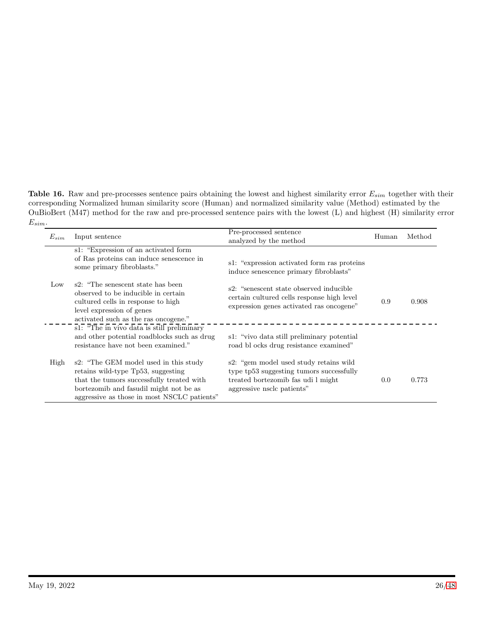**Table 16.** Raw and pre-processes sentence pairs obtaining the lowest and highest similarity error  $E_{sim}$  together with their corresponding Normalized human similarity score (Human) and normalized similarity value (Method) estimated by the OuBioBert (M47) method for the raw and pre-processed sentence pairs with the lowest (L) and highest (H) similarity error  $E_{sim}$ .

<span id="page-25-0"></span>

| $E_{sim}$ | Input sentence                                                                                                                                                                                                    | Pre-processed sentence<br>analyzed by the method                                                                                                       | Human | Method |
|-----------|-------------------------------------------------------------------------------------------------------------------------------------------------------------------------------------------------------------------|--------------------------------------------------------------------------------------------------------------------------------------------------------|-------|--------|
|           | s1: "Expression of an activated form<br>of Ras proteins can induce senescence in<br>some primary fibroblasts."                                                                                                    | s1: "expression activated form ras proteins"<br>induce senescence primary fibroblasts"                                                                 |       |        |
| Low       | s2: "The senescent state has been<br>observed to be inducible in certain<br>cultured cells in response to high<br>level expression of genes<br>activated such as the ras oncogene."                               | s2: "senescent state observed inducible"<br>certain cultured cells response high level<br>expression genes activated ras oncogene"                     | 0.9   | 0.908  |
|           | s1: "The in vivo data is still preliminary<br>and other potential roadblocks such as drug<br>resistance have not been examined."                                                                                  | s1: "vivo data still preliminary potential<br>road bl ocks drug resistance examined"                                                                   |       |        |
| High      | s2: "The GEM model used in this study<br>retains wild-type Tp53, suggesting<br>that the tumors successfully treated with<br>bortezomib and fasudil might not be as<br>aggressive as those in most NSCLC patients" | s2: "gem model used study retains wild<br>type tp53 suggesting tumors successfully<br>treated bortezomib fas udi l might<br>aggressive nsclc patients" | 0.0   | 0.773  |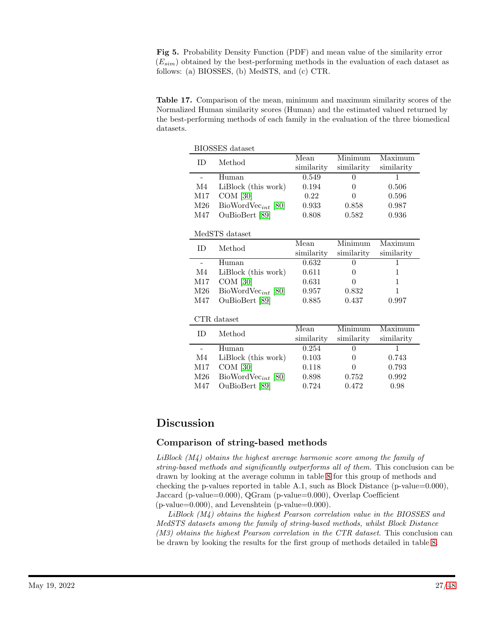<span id="page-26-1"></span>Fig 5. Probability Density Function (PDF) and mean value of the similarity error  $(E_{sim})$  obtained by the best-performing methods in the evaluation of each dataset as follows: (a) BIOSSES, (b) MedSTS, and (c) CTR.

<span id="page-26-0"></span>Table 17. Comparison of the mean, minimum and maximum similarity scores of the Normalized Human similarity scores (Human) and the estimated valued returned by the best-performing methods of each family in the evaluation of the three biomedical datasets.

| <b>BIOSSES</b> dataset   |                         |            |            |            |  |  |  |
|--------------------------|-------------------------|------------|------------|------------|--|--|--|
| ID                       | Method                  | Mean       | Minimum    | Maximum    |  |  |  |
|                          |                         | similarity | similarity | similarity |  |  |  |
| $\overline{\phantom{a}}$ | Human                   | 0.549      | $\theta$   | 1          |  |  |  |
| M4                       | LiBlock (this work)     | 0.194      | 0          | 0.506      |  |  |  |
| M17                      | $COM$ [30]              | 0.22       | $\theta$   | 0.596      |  |  |  |
| M26                      | $BiowordVec_{int}$ [80] | 0.933      | 0.858      | 0.987      |  |  |  |
| M47                      | OuBioBert [89]          | 0.808      | 0.582      | 0.936      |  |  |  |
|                          |                         |            |            |            |  |  |  |
|                          | MedSTS dataset          |            |            |            |  |  |  |
| ID                       | Method                  | Mean       | Minimum    | Maximum    |  |  |  |
|                          |                         | similarity | similarity | similarity |  |  |  |
| $\overline{a}$           | Human                   | 0.632      | 0          | 1          |  |  |  |
| M4                       | LiBlock (this work)     | 0.611      | 0          | 1          |  |  |  |
| M17                      | $COM$ [30]              | 0.631      | 0          | 1          |  |  |  |
| M26                      | $BiowordVec_{int}$ [80] | 0.957      | 0.832      | 1          |  |  |  |
| M47                      | OuBioBert [89]          | 0.885      | 0.437      | 0.997      |  |  |  |
|                          |                         |            |            |            |  |  |  |
|                          | CTR dataset             |            |            |            |  |  |  |
| ID                       | Method                  | Mean       | Minimum    | Maximum    |  |  |  |
|                          |                         | similarity | similarity | similarity |  |  |  |
| $\overline{a}$           | Human                   | 0.254      | 0          | 1          |  |  |  |
| M4                       | LiBlock (this work)     | 0.103      | $\theta$   | 0.743      |  |  |  |
| M17                      | $COM$ [30]              | 0.118      | $\theta$   | 0.793      |  |  |  |
| M26                      | $BiowordVec_{int}$ [80] | 0.898      | 0.752      | 0.992      |  |  |  |
| M47                      | OuBioBert [89]          | 0.724      | 0.472      | 0.98       |  |  |  |

# Discussion

### Comparison of string-based methods

LiBlock (M4) obtains the highest average harmonic score among the family of string-based methods and significantly outperforms all of them. This conclusion can be drawn by looking at the average column in table [8](#page-20-0) for this group of methods and checking the p-values reported in table A.1, such as Block Distance (p-value= $0.000$ ), Jaccard (p-value=0.000), QGram (p-value=0.000), Overlap Coefficient  $(p-value=0.000)$ , and Levenshtein  $(p-value=0.000)$ .

LiBlock (M4) obtains the highest Pearson correlation value in the BIOSSES and MedSTS datasets among the family of string-based methods, whilst Block Distance  $(M3)$  obtains the highest Pearson correlation in the CTR dataset. This conclusion can be drawn by looking the results for the first group of methods detailed in table [8.](#page-20-0)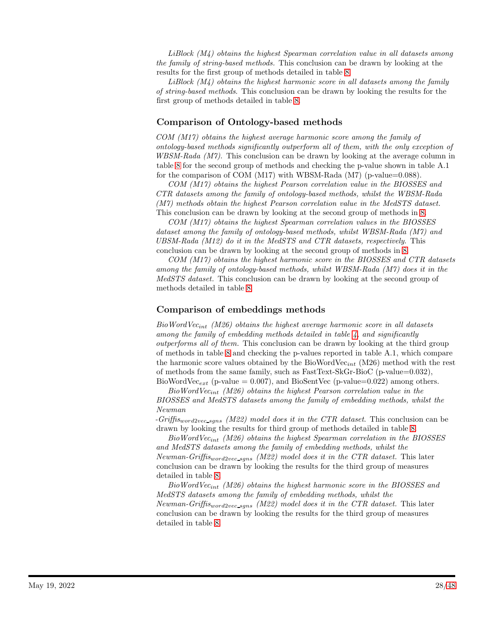LiBlock (M4) obtains the highest Spearman correlation value in all datasets among the family of string-based methods. This conclusion can be drawn by looking at the results for the first group of methods detailed in table [8.](#page-20-0)

LiBlock (M4) obtains the highest harmonic score in all datasets among the family of string-based methods. This conclusion can be drawn by looking the results for the first group of methods detailed in table [8.](#page-20-0)

### Comparison of Ontology-based methods

COM (M17) obtains the highest average harmonic score among the family of ontology-based methods significantly outperform all of them, with the only exception of  $WBSM-Rada (M7)$ . This conclusion can be drawn by looking at the average column in table [8](#page-20-0) for the second group of methods and checking the p-value shown in table A.1 for the comparison of COM  $(M17)$  with WBSM-Rada  $(M7)$  (p-value=0.088).

COM (M17) obtains the highest Pearson correlation value in the BIOSSES and CTR datasets among the family of ontology-based methods, whilst the WBSM-Rada (M7) methods obtain the highest Pearson correlation value in the MedSTS dataset. This conclusion can be drawn by looking at the second group of methods in [8.](#page-20-0)

COM (M17) obtains the highest Spearman correlation values in the BIOSSES dataset among the family of ontology-based methods, whilst WBSM-Rada (M7) and UBSM-Rada (M12) do it in the MedSTS and CTR datasets, respectively. This conclusion can be drawn by looking at the second group of methods in [8.](#page-20-0)

COM (M17) obtains the highest harmonic score in the BIOSSES and CTR datasets among the family of ontology-based methods, whilst WBSM-Rada (M7) does it in the MedSTS dataset. This conclusion can be drawn by looking at the second group of methods detailed in table [8.](#page-20-0)

### Comparison of embeddings methods

 $BioWordVec<sub>int</sub> (M26) obtains the highest average harmonic score in all datasets$ among the family of embedding methods detailed in table  $\lambda$ , and significantly outperforms all of them. This conclusion can be drawn by looking at the third group of methods in table [8](#page-20-0) and checking the p-values reported in table A.1, which compare the harmonic score values obtained by the BioWordVec<sub>int</sub> (M26) method with the rest of methods from the same family, such as FastText-SkGr-BioC (p-value=0.032), BioWordVec<sub>ext</sub> (p-value = 0.007), and BioSentVec (p-value=0.022) among others.

 $BioWordVec_{int}$  (M26) obtains the highest Pearson correlation value in the BIOSSES and MedSTS datasets among the family of embedding methods, whilst the Newman

 $-Griftis_{word2vec\_spns}$  (M22) model does it in the CTR dataset. This conclusion can be drawn by looking the results for third group of methods detailed in table [8.](#page-20-0)

BioWordVecint (M26) obtains the highest Spearman correlation in the BIOSSES and MedSTS datasets among the family of embedding methods, whilst the Newman-Griffis<sub>word2vec\_sgns</sub> (M22) model does it in the CTR dataset. This later conclusion can be drawn by looking the results for the third group of measures detailed in table [8.](#page-20-0)

 $BioWordVec<sub>int</sub> (M26) obtains the highest harmonic score in the BIOSSES and$ MedSTS datasets among the family of embedding methods, whilst the Newman-Griffis<sub>word2vec\_sgns</sub> (M22) model does it in the CTR dataset. This later conclusion can be drawn by looking the results for the third group of measures detailed in table [8.](#page-20-0)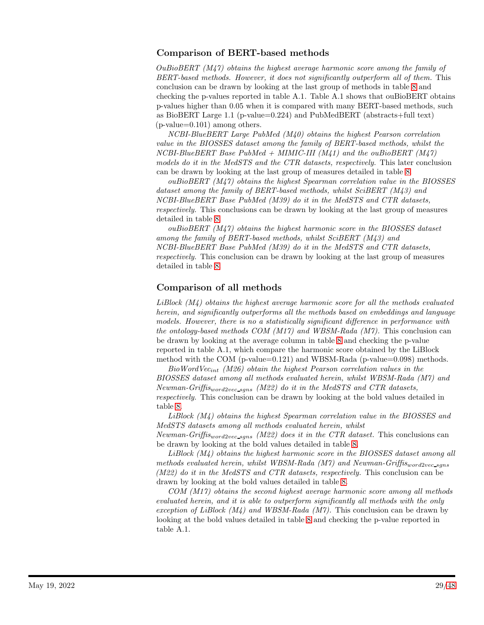### Comparison of BERT-based methods

OuBioBERT  $(M47)$  obtains the highest average harmonic score among the family of BERT-based methods. However, it does not significantly outperform all of them. This conclusion can be drawn by looking at the last group of methods in table [8](#page-20-0) and checking the p-values reported in table A.1. Table A.1 shows that ouBioBERT obtains p-values higher than 0.05 when it is compared with many BERT-based methods, such as BioBERT Large 1.1 (p-value=0.224) and PubMedBERT (abstracts+full text)  $(p-value=0.101)$  among others.

NCBI-BlueBERT Large PubMed (M40) obtains the highest Pearson correlation value in the BIOSSES dataset among the family of BERT-based methods, whilst the  $NCBI-BlueBERT$  Base  $PubMed + MIMIC-III (M41)$  and the ouBioBERT  $(M47)$ models do it in the MedSTS and the CTR datasets, respectively. This later conclusion can be drawn by looking at the last group of measures detailed in table [8.](#page-20-0)

ouBioBERT (M47) obtains the highest Spearman correlation value in the BIOSSES dataset among the family of BERT-based methods, whilst SciBERT (M43) and NCBI-BlueBERT Base PubMed (M39) do it in the MedSTS and CTR datasets, respectively. This conclusions can be drawn by looking at the last group of measures detailed in table [8.](#page-20-0)

 $ouBioBERT (M47)$  obtains the highest harmonic score in the BIOSSES dataset among the family of BERT-based methods, whilst SciBERT (M43) and NCBI-BlueBERT Base PubMed (M39) do it in the MedSTS and CTR datasets, respectively. This conclusion can be drawn by looking at the last group of measures detailed in table [8.](#page-20-0)

## Comparison of all methods

LiBlock (M4) obtains the highest average harmonic score for all the methods evaluated herein, and significantly outperforms all the methods based on embeddings and language models. However, there is no a statistically significant difference in performance with the ontology-based methods COM (M17) and WBSM-Rada (M7). This conclusion can be drawn by looking at the average column in table [8](#page-20-0) and checking the p-value reported in table A.1, which compare the harmonic score obtained by the LiBlock method with the COM (p-value=0.121) and WBSM-Rada (p-value=0.098) methods.

 $BioWordVec<sub>int</sub> (M26) obtain the highest Pearson correlation values in the$ BIOSSES dataset among all methods evaluated herein, whilst WBSM-Rada (M7) and Newman-Griffis<sub>word2vec\_sqns</sub> (M22) do it in the MedSTS and CTR datasets, respectively. This conclusion can be drawn by looking at the bold values detailed in table [8.](#page-20-0)

LiBlock (M4) obtains the highest Spearman correlation value in the BIOSSES and MedSTS datasets among all methods evaluated herein, whilst

Newman-Griffis<sub>word2vec</sub> s<sub>gns</sub> (M22) does it in the CTR dataset. This conclusions can be drawn by looking at the bold values detailed in table [8.](#page-20-0)

LiBlock (M4) obtains the highest harmonic score in the BIOSSES dataset among all methods evaluated herein, whilst WBSM-Rada  $(M7)$  and Newman-Griffis<sub>word2vec-sans</sub>  $(M22)$  do it in the MedSTS and CTR datasets, respectively. This conclusion can be drawn by looking at the bold values detailed in table [8.](#page-20-0)

COM (M17) obtains the second highest average harmonic score among all methods evaluated herein, and it is able to outperform significantly all methods with the only exception of LiBlock  $(M_4)$  and WBSM-Rada  $(M7)$ . This conclusion can be drawn by looking at the bold values detailed in table [8](#page-20-0) and checking the p-value reported in table A.1.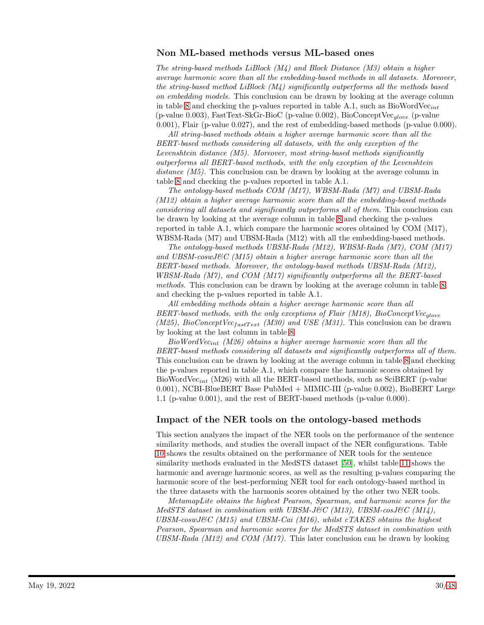### Non ML-based methods versus ML-based ones

The string-based methods LiBlock  $(M_4)$  and Block Distance  $(M3)$  obtain a higher average harmonic score than all the embedding-based methods in all datasets. Moreover, the string-based method LiBlock (M4) significantly outperforms all the methods based on embedding models. This conclusion can be drawn by looking at the average column in table [8](#page-20-0) and checking the p-values reported in table A.1, such as  $BiowordVec_{int}$ (p-value 0.003), FastText-SkGr-BioC (p-value 0.002), BioConceptVec $_{glove}$  (p-value 0.001), Flair (p-value 0.027), and the rest of embedding-based methods (p-value 0.000).

All string-based methods obtain a higher average harmonic score than all the BERT-based methods considering all datasets, with the only exception of the Levenshtein distance (M5). Moreover, most string-based methods significantly outperforms all BERT-based methods, with the only exception of the Levenshtein distance  $(M5)$ . This conclusion can be drawn by looking at the average column in table [8](#page-20-0) and checking the p-values reported in table A.1.

The ontology-based methods COM (M17), WBSM-Rada (M7) and UBSM-Rada (M12) obtain a higher average harmonic score than all the embedding-based methods considering all datasets and significantly outperforms all of them. This conclusion can be drawn by looking at the average column in table [8](#page-20-0) and checking the p-values reported in table A.1, which compare the harmonic scores obtained by COM (M17), WBSM-Rada (M7) and UBSM-Rada (M12) with all the embedding-based methods.

The ontology-based methods UBSM-Rada (M12), WBSM-Rada (M7), COM (M17) and  $UBSM-coswJ\&C(M15)$  obtain a higher average harmonic score than all the BERT-based methods. Moreover, the ontology-based methods UBSM-Rada (M12), WBSM-Rada (M7), and COM (M17) significantly outperforms all the BERT-based methods. This conclusion can be drawn by looking at the average column in table [8](#page-20-0) and checking the p-values reported in table A.1.

All embedding methods obtain a higher average harmonic score than all BERT-based methods, with the only exceptions of Flair  $(M18)$ , BioConceptVec<sub>glove</sub> (M25), BioConceptVec<sub>fastText</sub> (M30) and USE (M31). This conclusion can be drawn by looking at the last column in table [8.](#page-20-0)

BioWordVec<sub>int</sub> (M26) obtains a higher average harmonic score than all the BERT-based methods considering all datasets and significantly outperforms all of them. This conclusion can be drawn by looking at the average column in table [8](#page-20-0) and checking the p-values reported in table A.1, which compare the harmonic scores obtained by BioWordVec<sub>int</sub> (M26) with all the BERT-based methods, such as SciBERT (p-value 0.001), NCBI-BlueBERT Base PubMed + MIMIC-III (p-value 0.002), BioBERT Large 1.1 (p-value 0.001), and the rest of BERT-based methods (p-value 0.000).

### Impact of the NER tools on the ontology-based methods

This section analyzes the impact of the NER tools on the performance of the sentence similarity methods, and studies the overall impact of the NER configurations. Table [10](#page-22-1) shows the results obtained on the performance of NER tools for the sentence similarity methods evaluated in the MedSTS dataset [\[50\]](#page-43-6), whilst table [11](#page-22-2) shows the harmonic and average harmonic scores, as well as the resulting p-values comparing the harmonic score of the best-performing NER tool for each ontology-based method in the three datasets with the harmonis scores obtained by the other two NER tools.

MetamapLite obtains the highest Pearson, Spearman, and harmonic scores for the MedSTS dataset in combination with UBSM-J&C (M13), UBSM-cosJ&C (M14),  $UBSM\text{-}coswJ\mathcal{C}$  (M15) and UBSM-Cai (M16), whilst cTAKES obtains the highest Pearson, Spearman and harmonic scores for the MedSTS dataset in combination with  $UBSM-Rada$  ( $M12$ ) and  $COM$  ( $M17$ ). This later conclusion can be drawn by looking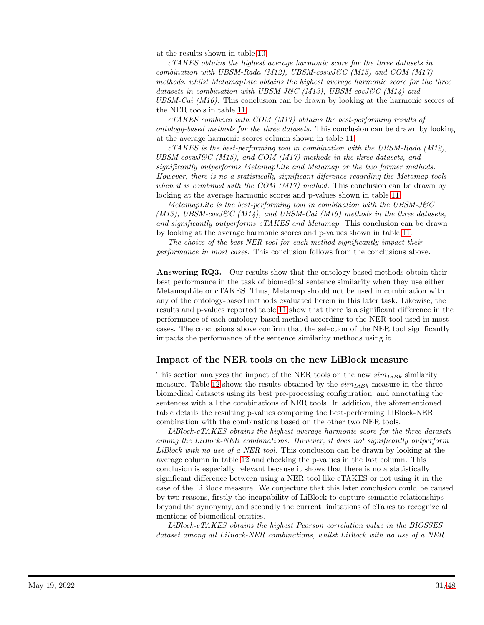at the results shown in table [10.](#page-22-1)

cTAKES obtains the highest average harmonic score for the three datasets in combination with UBSM-Rada (M12), UBSM-coswJ&C (M15) and COM (M17) methods, whilst MetamapLite obtains the highest average harmonic score for the three datasets in combination with UBSM-J&C (M13), UBSM-cosJ&C (M14) and UBSM-Cai  $(M16)$ . This conclusion can be drawn by looking at the harmonic scores of the NER tools in table [11.](#page-22-2)

cTAKES combined with COM (M17) obtains the best-performing results of ontology-based methods for the three datasets. This conclusion can be drawn by looking at the average harmonic scores column shown in table [11.](#page-22-2)

cTAKES is the best-performing tool in combination with the UBSM-Rada (M12),  $UBSM-coswJ\&C(M15)$ , and  $COM(M17)$  methods in the three datasets, and significantly outperforms MetamapLite and Metamap or the two former methods. However, there is no a statistically significant diference regarding the Metamap tools when it is combined with the COM  $(M17)$  method. This conclusion can be drawn by looking at the average harmonic scores and p-values shown in table [11.](#page-22-2)

MetamapLite is the best-performing tool in combination with the  $UBSM-J\&C$ (M13), UBSM-cosJ&C (M14), and UBSM-Cai (M16) methods in the three datasets, and significantly outperforms cTAKES and Metamap. This conclusion can be drawn by looking at the average harmonic scores and p-values shown in table [11.](#page-22-2)

The choice of the best NER tool for each method significantly impact their performance in most cases. This conclusion follows from the conclusions above.

Answering RQ3. Our results show that the ontology-based methods obtain their best performance in the task of biomedical sentence similarity when they use either MetamapLite or cTAKES. Thus, Metamap should not be used in combination with any of the ontology-based methods evaluated herein in this later task. Likewise, the results and p-values reported table [11](#page-22-2) show that there is a significant difference in the performance of each ontology-based method according to the NER tool used in most cases. The conclusions above confirm that the selection of the NER tool significantly impacts the performance of the sentence similarity methods using it.

### Impact of the NER tools on the new LiBlock measure

This section analyzes the impact of the NER tools on the new  $\sin\theta_{LBk}$  similarity measure. Table [12](#page-22-0) shows the results obtained by the  $\text{sim}_{\text{LiBk}}$  measure in the three biomedical datasets using its best pre-processing configuration, and annotating the sentences with all the combinations of NER tools. In addition, the aforementioned table details the resulting p-values comparing the best-performing LiBlock-NER combination with the combinations based on the other two NER tools.

LiBlock-cTAKES obtains the highest average harmonic score for the three datasets among the LiBlock-NER combinations. However, it does not significantly outperform LiBlock with no use of a NER tool. This conclusion can be drawn by looking at the average column in table [12](#page-22-0) and checking the p-values in the last column. This conclusion is especially relevant because it shows that there is no a statistically significant difference between using a NER tool like cTAKES or not using it in the case of the LiBlock measure. We conjecture that this later conclusion could be caused by two reasons, firstly the incapability of LiBlock to capture semantic relationships beyond the synonymy, and secondly the current limitations of cTakes to recognize all mentions of biomedical entities.

LiBlock-cTAKES obtains the highest Pearson correlation value in the BIOSSES dataset among all LiBlock-NER combinations, whilst LiBlock with no use of a NER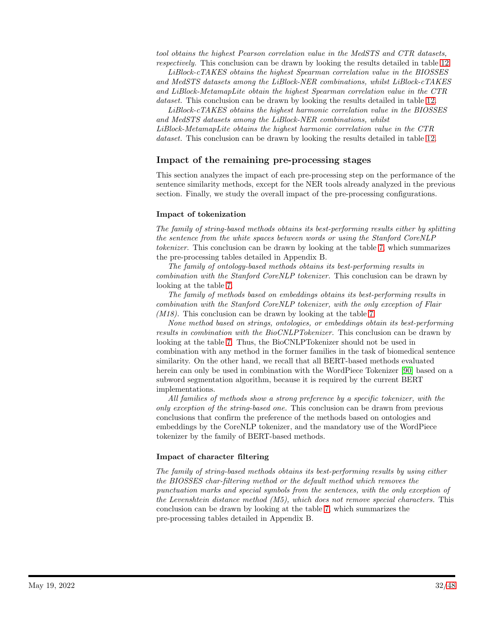tool obtains the highest Pearson correlation value in the MedSTS and CTR datasets, respectively. This conclusion can be drawn by looking the results detailed in table [12.](#page-22-0)

LiBlock-cTAKES obtains the highest Spearman correlation value in the BIOSSES and MedSTS datasets among the LiBlock-NER combinations, whilst LiBlock-cTAKES and LiBlock-MetamapLite obtain the highest Spearman correlation value in the CTR dataset. This conclusion can be drawn by looking the results detailed in table [12.](#page-22-0)

LiBlock-cTAKES obtains the highest harmonic correlation value in the BIOSSES and MedSTS datasets among the LiBlock-NER combinations, whilst LiBlock-MetamapLite obtains the highest harmonic correlation value in the CTR dataset. This conclusion can be drawn by looking the results detailed in table [12.](#page-22-0)

### Impact of the remaining pre-processing stages

This section analyzes the impact of each pre-processing step on the performance of the sentence similarity methods, except for the NER tools already analyzed in the previous section. Finally, we study the overall impact of the pre-processing configurations.

#### Impact of tokenization

The family of string-based methods obtains its best-performing results either by splitting the sentence from the white spaces between words or using the Stanford CoreNLP tokenizer. This conclusion can be drawn by looking at the table [7,](#page-19-0) which summarizes the pre-processing tables detailed in Appendix B.

The family of ontology-based methods obtains its best-performing results in combination with the Stanford CoreNLP tokenizer. This conclusion can be drawn by looking at the table [7.](#page-19-0)

The family of methods based on embeddings obtains its best-performing results in combination with the Stanford CoreNLP tokenizer, with the only exception of Flair  $(M18)$ . This conclusion can be drawn by looking at the table [7.](#page-19-0)

None method based on strings, ontologies, or embeddings obtain its best-performing results in combination with the BioCNLPTokenizer. This conclusion can be drawn by looking at the table [7.](#page-19-0) Thus, the BioCNLPTokenizer should not be used in combination with any method in the former families in the task of biomedical sentence similarity. On the other hand, we recall that all BERT-based methods evaluated herein can only be used in combination with the WordPiece Tokenizer [\[90\]](#page-46-0) based on a subword segmentation algorithm, because it is required by the current BERT implementations.

All families of methods show a strong preference by a specific tokenizer, with the only exception of the string-based one. This conclusion can be drawn from previous conclusions that confirm the preference of the methods based on ontologies and embeddings by the CoreNLP tokenizer, and the mandatory use of the WordPiece tokenizer by the family of BERT-based methods.

### Impact of character filtering

The family of string-based methods obtains its best-performing results by using either the BIOSSES char-filtering method or the default method which removes the punctuation marks and special symbols from the sentences, with the only exception of the Levenshtein distance method (M5), which does not remove special characters. This conclusion can be drawn by looking at the table [7,](#page-19-0) which summarizes the pre-processing tables detailed in Appendix B.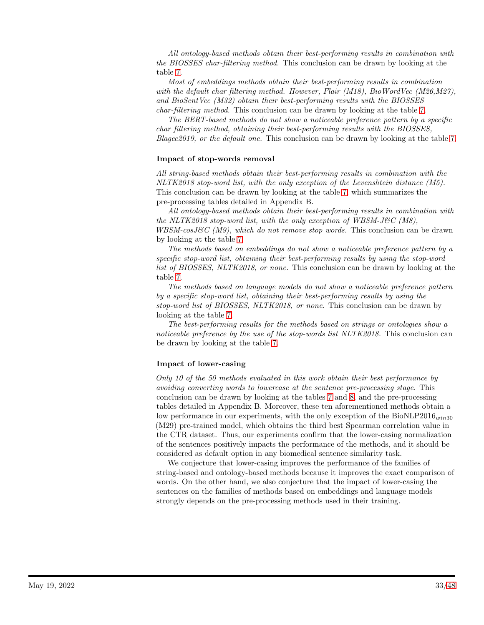All ontology-based methods obtain their best-performing results in combination with the BIOSSES char-filtering method. This conclusion can be drawn by looking at the table [7.](#page-19-0)

Most of embeddings methods obtain their best-performing results in combination with the default char filtering method. However, Flair (M18), BioWordVec (M26,M27), and BioSentVec (M32) obtain their best-performing results with the BIOSSES char-filtering method. This conclusion can be drawn by looking at the table [7.](#page-19-0)

The BERT-based methods do not show a noticeable preference pattern by a specific char filtering method, obtaining their best-performing results with the BIOSSES,  $Blagec2019$ , or the default one. This conclusion can be drawn by looking at the table [7.](#page-19-0)

#### Impact of stop-words removal

All string-based methods obtain their best-performing results in combination with the NLTK2018 stop-word list, with the only exception of the Levenshtein distance (M5). This conclusion can be drawn by looking at the table [7,](#page-19-0) which summarizes the pre-processing tables detailed in Appendix B.

All ontology-based methods obtain their best-performing results in combination with the NLTK2018 stop-word list, with the only exception of WBSM-J&C  $(M8)$ ,  $WBSM-cosJ\mathcal{C}(M9)$ , which do not remove stop words. This conclusion can be drawn by looking at the table [7.](#page-19-0)

The methods based on embeddings do not show a noticeable preference pattern by a specific stop-word list, obtaining their best-performing results by using the stop-word list of BIOSSES, NLTK2018, or none. This conclusion can be drawn by looking at the table [7.](#page-19-0)

The methods based on language models do not show a noticeable preference pattern by a specific stop-word list, obtaining their best-performing results by using the stop-word list of BIOSSES, NLTK2018, or none. This conclusion can be drawn by looking at the table [7.](#page-19-0)

The best-performing results for the methods based on strings or ontologies show a noticeable preference by the use of the stop-words list NLTK2018. This conclusion can be drawn by looking at the table [7.](#page-19-0)

#### Impact of lower-casing

Only 10 of the 50 methods evaluated in this work obtain their best performance by avoiding converting words to lowercase at the sentence pre-processing stage. This conclusion can be drawn by looking at the tables [7](#page-19-0) and [8,](#page-20-0) and the pre-processing tables detailed in Appendix B. Moreover, these ten aforementioned methods obtain a low performance in our experiments, with the only exception of the  $BioNLP2016_{win30}$ (M29) pre-trained model, which obtains the third best Spearman correlation value in the CTR dataset. Thus, our experiments confirm that the lower-casing normalization of the sentences positively impacts the performance of the methods, and it should be considered as default option in any biomedical sentence similarity task.

We conjecture that lower-casing improves the performance of the families of string-based and ontology-based methods because it improves the exact comparison of words. On the other hand, we also conjecture that the impact of lower-casing the sentences on the families of methods based on embeddings and language models strongly depends on the pre-processing methods used in their training.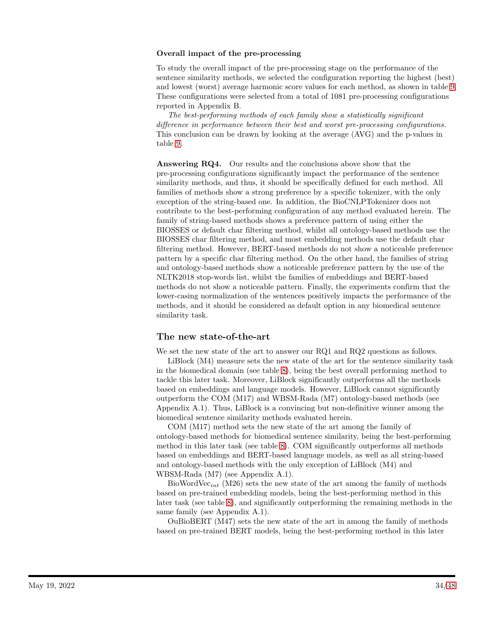#### Overall impact of the pre-processing

To study the overall impact of the pre-processing stage on the performance of the sentence similarity methods, we selected the configuration reporting the highest (best) and lowest (worst) average harmonic score values for each method, as shown in table [9.](#page-21-0) These configurations were selected from a total of 1081 pre-processing configurations reported in Appendix B.

The best-performing methods of each family show a statistically significant difference in performance between their best and worst pre-processing configurations. This conclusion can be drawn by looking at the average (AVG) and the p-values in table [9.](#page-21-0)

Answering RQ4. Our results and the conclusions above show that the pre-processing configurations significantly impact the performance of the sentence similarity methods, and thus, it should be specifically defined for each method. All families of methods show a strong preference by a specific tokenizer, with the only exception of the string-based one. In addition, the BioCNLPTokenizer does not contribute to the best-performing configuration of any method evaluated herein. The family of string-based methods shows a preference pattern of using either the BIOSSES or default char filtering method, whilst all ontology-based methods use the BIOSSES char filtering method, and most embedding methods use the default char filtering method. However, BERT-based methods do not show a noticeable preference pattern by a specific char filtering method. On the other hand, the families of string and ontology-based methods show a noticeable preference pattern by the use of the NLTK2018 stop-words list, whilst the families of embeddings and BERT-based methods do not show a noticeable pattern. Finally, the experiments confirm that the lower-casing normalization of the sentences positively impacts the performance of the methods, and it should be considered as default option in any biomedical sentence similarity task.

### The new state-of-the-art

We set the new state of the art to answer our RQ1 and RQ2 questions as follows.

LiBlock (M4) measure sets the new state of the art for the sentence similarity task in the biomedical domain (see table [8\)](#page-20-0), being the best overall performing method to tackle this later task. Moreover, LiBlock significantly outperforms all the methods based on embeddings and language models. However, LiBlock cannot significantly outperform the COM (M17) and WBSM-Rada (M7) ontology-based methods (see Appendix A.1). Thus, LiBlock is a convincing but non-definitive winner among the biomedical sentence similarity methods evaluated herein.

COM (M17) method sets the new state of the art among the family of ontology-based methods for biomedical sentence similarity, being the best-performing method in this later task (see table [8\)](#page-20-0). COM significantly outperforms all methods based on embeddings and BERT-based language models, as well as all string-based and ontology-based methods with the only exception of LiBlock (M4) and WBSM-Rada (M7) (see Appendix A.1).

BioWordVec<sub>int</sub> (M26) sets the new state of the art among the family of methods based on pre-trained embedding models, being the best-performing method in this later task (see table [8\)](#page-20-0), and significantly outperforming the remaining methods in the same family (see Appendix A.1).

OuBioBERT (M47) sets the new state of the art in among the family of methods based on pre-trained BERT models, being the best-performing method in this later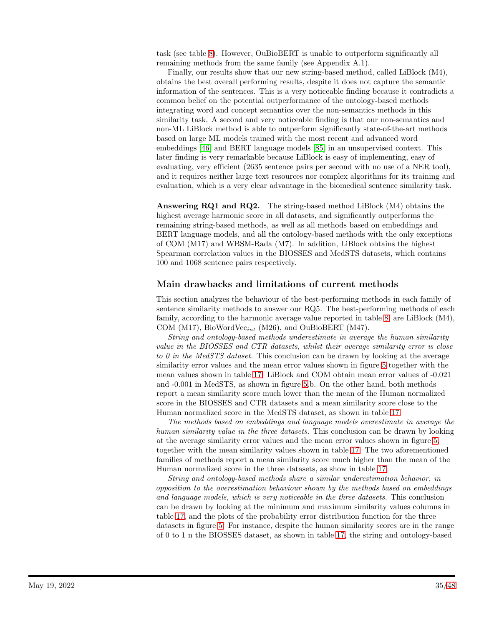task (see table [8\)](#page-20-0). However, OuBioBERT is unable to outperform significantly all remaining methods from the same family (see Appendix A.1).

Finally, our results show that our new string-based method, called LiBlock (M4), obtains the best overall performing results, despite it does not capture the semantic information of the sentences. This is a very noticeable finding because it contradicts a common belief on the potential outperformance of the ontology-based methods integrating word and concept semantics over the non-semantics methods in this similarity task. A second and very noticeable finding is that our non-semantics and non-ML LiBlock method is able to outperform significantly state-of-the-art methods based on large ML models trained with the most recent and advanced word embeddings [\[46\]](#page-43-2) and BERT language models [\[85\]](#page-46-1) in an unsupervised context. This later finding is very remarkable because LiBlock is easy of implementing, easy of evaluating, very efficient (2635 sentence pairs per second with no use of a NER tool), and it requires neither large text resources nor complex algorithms for its training and evaluation, which is a very clear advantage in the biomedical sentence similarity task.

Answering RQ1 and RQ2. The string-based method LiBlock (M4) obtains the highest average harmonic score in all datasets, and significantly outperforms the remaining string-based methods, as well as all methods based on embeddings and BERT language models, and all the ontology-based methods with the only exceptions of COM (M17) and WBSM-Rada (M7). In addition, LiBlock obtains the highest Spearman correlation values in the BIOSSES and MedSTS datasets, which contains 100 and 1068 sentence pairs respectively.

### Main drawbacks and limitations of current methods

This section analyzes the behaviour of the best-performing methods in each family of sentence similarity methods to answer our RQ5. The best-performing methods of each family, according to the harmonic average value reported in table [8,](#page-20-0) are LiBlock (M4), COM (M17), BioWordVec<sub>int</sub> (M26), and OuBioBERT (M47).

String and ontology-based methods underestimate in average the human similarity value in the BIOSSES and CTR datasets, whilst their average similarity error is close to 0 in the MedSTS dataset. This conclusion can be drawn by looking at the average similarity error values and the mean error values shown in figure [5](#page-26-1) together with the mean values shown in table [17.](#page-26-0) LiBlock and COM obtain mean error values of -0.021 and -0.001 in MedSTS, as shown in figure [5.](#page-26-1)b. On the other hand, both methods report a mean similarity score much lower than the mean of the Human normalized score in the BIOSSES and CTR datasets and a mean similarity score close to the Human normalized score in the MedSTS dataset, as shown in table [17.](#page-26-0)

The methods based on embeddings and language models overestimate in average the human similarity value in the three datasets. This conclusion can be drawn by looking at the average similarity error values and the mean error values shown in figure [5,](#page-26-1) together with the mean similarity values shown in table [17.](#page-26-0) The two aforementioned families of methods report a mean similarity score much higher than the mean of the Human normalized score in the three datasets, as show in table [17.](#page-26-0)

String and ontology-based methods share a similar underestimation behavior, in opposition to the overestimation behaviour shown by the methods based on embeddings and language models, which is very noticeable in the three datasets. This conclusion can be drawn by looking at the minimum and maximum similarity values columns in table [17,](#page-26-0) and the plots of the probability error distribution function for the three datasets in figure [5.](#page-26-1) For instance, despite the human similarity scores are in the range of 0 to 1 n the BIOSSES dataset, as shown in table [17,](#page-26-0) the string and ontology-based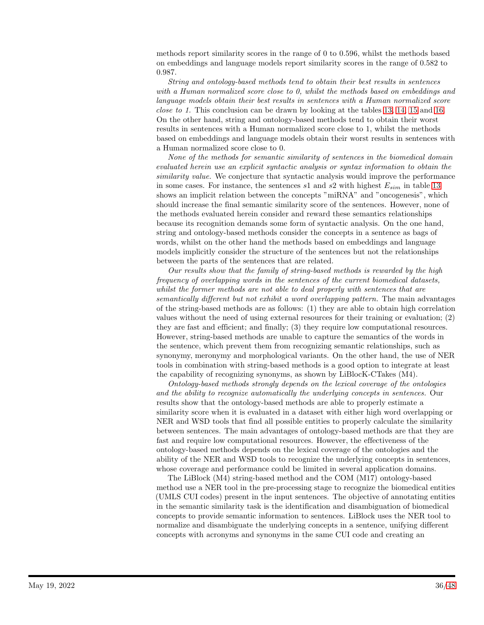methods report similarity scores in the range of 0 to 0.596, whilst the methods based on embeddings and language models report similarity scores in the range of 0.582 to 0.987.

String and ontology-based methods tend to obtain their best results in sentences with a Human normalized score close to 0, whilst the methods based on embeddings and language models obtain their best results in sentences with a Human normalized score close to 1. This conclusion can be drawn by looking at the tables [13,](#page-23-0) [14,](#page-24-0) [15](#page-24-1) and [16.](#page-25-0) On the other hand, string and ontology-based methods tend to obtain their worst results in sentences with a Human normalized score close to 1, whilst the methods based on embeddings and language models obtain their worst results in sentences with a Human normalized score close to 0.

None of the methods for semantic similarity of sentences in the biomedical domain evaluated herein use an explicit syntactic analysis or syntax information to obtain the similarity value. We conjecture that syntactic analysis would improve the performance in some cases. For instance, the sentences  $s1$  and  $s2$  with highest  $E_{sim}$  in table [13](#page-23-0) shows an implicit relation between the concepts "miRNA" and "oncogenesis", which should increase the final semantic similarity score of the sentences. However, none of the methods evaluated herein consider and reward these semantics relationships because its recognition demands some form of syntactic analysis. On the one hand, string and ontology-based methods consider the concepts in a sentence as bags of words, whilst on the other hand the methods based on embeddings and language models implicitly consider the structure of the sentences but not the relationships between the parts of the sentences that are related.

Our results show that the family of string-based methods is rewarded by the high frequency of overlapping words in the sentences of the current biomedical datasets, whilst the former methods are not able to deal properly with sentences that are semantically different but not exhibit a word overlapping pattern. The main advantages of the string-based methods are as follows: (1) they are able to obtain high correlation values without the need of using external resources for their training or evaluation; (2) they are fast and efficient; and finally; (3) they require low computational resources. However, string-based methods are unable to capture the semantics of the words in the sentence, which prevent them from recognizing semantic relationships, such as synonymy, meronymy and morphological variants. On the other hand, the use of NER tools in combination with string-based methods is a good option to integrate at least the capability of recognizing synonyms, as shown by LiBlocK-CTakes (M4).

Ontology-based methods strongly depends on the lexical coverage of the ontologies and the ability to recognize automatically the underlying concepts in sentences. Our results show that the ontology-based methods are able to properly estimate a similarity score when it is evaluated in a dataset with either high word overlapping or NER and WSD tools that find all possible entities to properly calculate the similarity between sentences. The main advantages of ontology-based methods are that they are fast and require low computational resources. However, the effectiveness of the ontology-based methods depends on the lexical coverage of the ontologies and the ability of the NER and WSD tools to recognize the underlying concepts in sentences, whose coverage and performance could be limited in several application domains.

The LiBlock (M4) string-based method and the COM (M17) ontology-based method use a NER tool in the pre-processing stage to recognize the biomedical entities (UMLS CUI codes) present in the input sentences. The objective of annotating entities in the semantic similarity task is the identification and disambiguation of biomedical concepts to provide semantic information to sentences. LiBlock uses the NER tool to normalize and disambiguate the underlying concepts in a sentence, unifying different concepts with acronyms and synonyms in the same CUI code and creating an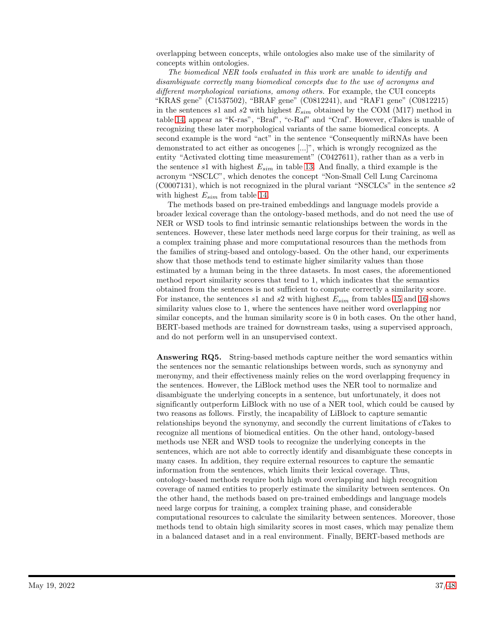overlapping between concepts, while ontologies also make use of the similarity of concepts within ontologies.

The biomedical NER tools evaluated in this work are unable to identify and disambiguate correctly many biomedical concepts due to the use of acronyms and different morphological variations, among others. For example, the CUI concepts "KRAS gene" (C1537502), "BRAF gene" (C0812241), and "RAF1 gene" (C0812215) in the sentences s1 and s2 with highest  $E_{sim}$  obtained by the COM (M17) method in table [14,](#page-24-0) appear as "K-ras", "Braf", "c-Raf" and "Craf'. However, cTakes is unable of recognizing these later morphological variants of the same biomedical concepts. A second example is the word "act" in the sentence "Consequently miRNAs have been demonstrated to act either as oncogenes [...]", which is wrongly recognized as the entity "Activated clotting time measurement" (C0427611), rather than as a verb in the sentence s1 with highest  $E_{sim}$  in table [13.](#page-23-0) And finally, a third example is the acronym "NSCLC", which denotes the concept "Non-Small Cell Lung Carcinoma (C0007131), which is not recognized in the plural variant "NSCLCs" in the sentence s2 with highest  $E_{sim}$  from table [14.](#page-24-0)

The methods based on pre-trained embeddings and language models provide a broader lexical coverage than the ontology-based methods, and do not need the use of NER or WSD tools to find intrinsic semantic relationships between the words in the sentences. However, these later methods need large corpus for their training, as well as a complex training phase and more computational resources than the methods from the families of string-based and ontology-based. On the other hand, our experiments show that those methods tend to estimate higher similarity values than those estimated by a human being in the three datasets. In most cases, the aforementioned method report similarity scores that tend to 1, which indicates that the semantics obtained from the sentences is not sufficient to compute correctly a similarity score. For instance, the sentences  $s1$  and  $s2$  with highest  $E_{sim}$  from tables [15](#page-24-1) and [16](#page-25-0) shows similarity values close to 1, where the sentences have neither word overlapping nor similar concepts, and the human similarity score is 0 in both cases. On the other hand, BERT-based methods are trained for downstream tasks, using a supervised approach, and do not perform well in an unsupervised context.

Answering RQ5. String-based methods capture neither the word semantics within the sentences nor the semantic relationships between words, such as synonymy and meronymy, and their effectiveness mainly relies on the word overlapping frequency in the sentences. However, the LiBlock method uses the NER tool to normalize and disambiguate the underlying concepts in a sentence, but unfortunately, it does not significantly outperform LiBlock with no use of a NER tool, which could be caused by two reasons as follows. Firstly, the incapability of LiBlock to capture semantic relationships beyond the synonymy, and secondly the current limitations of cTakes to recognize all mentions of biomedical entities. On the other hand, ontology-based methods use NER and WSD tools to recognize the underlying concepts in the sentences, which are not able to correctly identify and disambiguate these concepts in many cases. In addition, they require external resources to capture the semantic information from the sentences, which limits their lexical coverage. Thus, ontology-based methods require both high word overlapping and high recognition coverage of named entities to properly estimate the similarity between sentences. On the other hand, the methods based on pre-trained embeddings and language models need large corpus for training, a complex training phase, and considerable computational resources to calculate the similarity between sentences. Moreover, those methods tend to obtain high similarity scores in most cases, which may penalize them in a balanced dataset and in a real environment. Finally, BERT-based methods are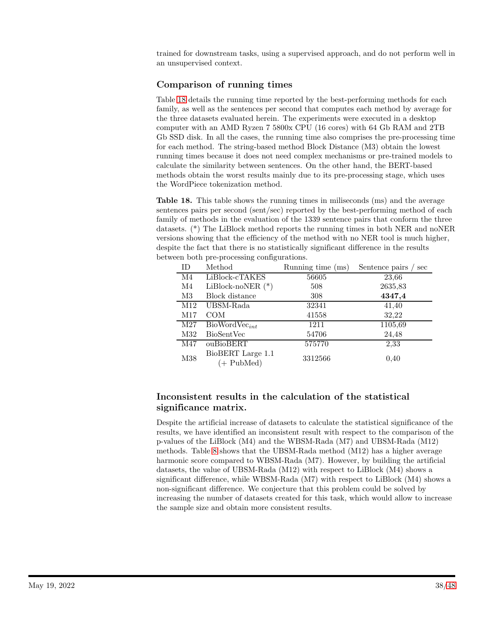trained for downstream tasks, using a supervised approach, and do not perform well in an unsupervised context.

## Comparison of running times

Table [18](#page-37-0) details the running time reported by the best-performing methods for each family, as well as the sentences per second that computes each method by average for the three datasets evaluated herein. The experiments were executed in a desktop computer with an AMD Ryzen 7 5800x CPU (16 cores) with 64 Gb RAM and 2TB Gb SSD disk. In all the cases, the running time also comprises the pre-processing time for each method. The string-based method Block Distance (M3) obtain the lowest running times because it does not need complex mechanisms or pre-trained models to calculate the similarity between sentences. On the other hand, the BERT-based methods obtain the worst results mainly due to its pre-processing stage, which uses the WordPiece tokenization method.

<span id="page-37-0"></span>Table 18. This table shows the running times in miliseconds (ms) and the average sentences pairs per second (sent/sec) reported by the best-performing method of each family of methods in the evaluation of the 1339 sentence pairs that conform the three datasets. (\*) The LiBlock method reports the running times in both NER and noNER versions showing that the efficiency of the method with no NER tool is much higher, despite the fact that there is no statistically significant difference in the results between both pre-processing configurations.

| <b>ID</b>       | Method                               | Running time (ms) | Sentence pairs<br>sec |
|-----------------|--------------------------------------|-------------------|-----------------------|
| $\rm M4$        | LiBlock-cTAKES                       | 56605             | 23,66                 |
| M4              | LiBlock-noNER $(*)$                  | 508               | 2635,83               |
| M3              | Block distance                       | 308               | 4347,4                |
| M <sub>12</sub> | UBSM-Rada                            | 32341             | 41,40                 |
| M17             | <b>COM</b>                           | 41558             | 32,22                 |
| M27             | $BiowordVec_{int}$                   | 1211              | 1105,69               |
| M32             | BioSentVec                           | 54706             | 24,48                 |
| M47             | ouBioBERT                            | 575770            | 2,33                  |
| M38             | BioBERT Large 1.1<br>$(+$ PubMed $)$ | 3312566           | 0.40                  |

## Inconsistent results in the calculation of the statistical significance matrix.

Despite the artificial increase of datasets to calculate the statistical significance of the results, we have identified an inconsistent result with respect to the comparison of the p-values of the LiBlock (M4) and the WBSM-Rada (M7) and UBSM-Rada (M12) methods. Table [8](#page-20-0) shows that the UBSM-Rada method (M12) has a higher average harmonic score compared to WBSM-Rada (M7). However, by building the artificial datasets, the value of UBSM-Rada (M12) with respect to LiBlock (M4) shows a significant difference, while WBSM-Rada (M7) with respect to LiBlock (M4) shows a non-significant difference. We conjecture that this problem could be solved by increasing the number of datasets created for this task, which would allow to increase the sample size and obtain more consistent results.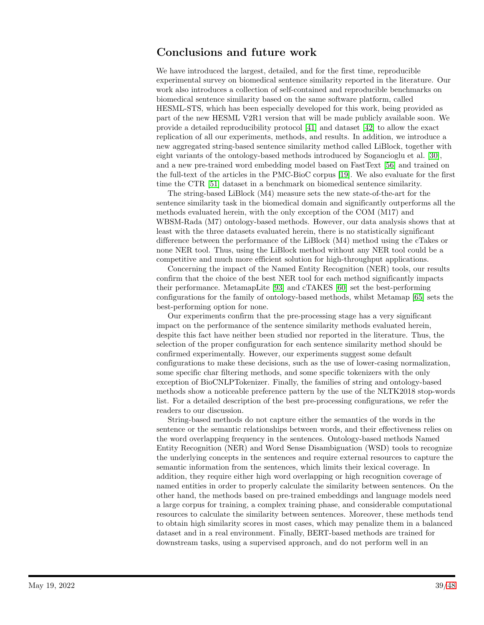# Conclusions and future work

We have introduced the largest, detailed, and for the first time, reproducible experimental survey on biomedical sentence similarity reported in the literature. Our work also introduces a collection of self-contained and reproducible benchmarks on biomedical sentence similarity based on the same software platform, called HESML-STS, which has been especially developed for this work, being provided as part of the new HESML V2R1 version that will be made publicly available soon. We provide a detailed reproducibility protocol [\[41\]](#page-42-13) and dataset [\[42\]](#page-43-0) to allow the exact replication of all our experiments, methods, and results. In addition, we introduce a new aggregated string-based sentence similarity method called LiBlock, together with eight variants of the ontology-based methods introduced by Sogancioglu et al. [\[30\]](#page-42-2), and a new pre-trained word embedding model based on FastText [\[56\]](#page-44-1) and trained on the full-text of the articles in the PMC-BioC corpus [\[19\]](#page-41-4). We also evaluate for the first time the CTR [\[51\]](#page-43-7) dataset in a benchmark on biomedical sentence similarity.

The string-based LiBlock (M4) measure sets the new state-of-the-art for the sentence similarity task in the biomedical domain and significantly outperforms all the methods evaluated herein, with the only exception of the COM (M17) and WBSM-Rada (M7) ontology-based methods. However, our data analysis shows that at least with the three datasets evaluated herein, there is no statistically significant difference between the performance of the LiBlock (M4) method using the cTakes or none NER tool. Thus, using the LiBlock method without any NER tool could be a competitive and much more efficient solution for high-throughput applications.

Concerning the impact of the Named Entity Recognition (NER) tools, our results confirm that the choice of the best NER tool for each method significantly impacts their performance. MetamapLite [\[93\]](#page-46-8) and cTAKES [\[60\]](#page-44-5) set the best-performing configurations for the family of ontology-based methods, whilst Metamap [\[65\]](#page-44-10) sets the best-performing option for none.

Our experiments confirm that the pre-processing stage has a very significant impact on the performance of the sentence similarity methods evaluated herein, despite this fact have neither been studied nor reported in the literature. Thus, the selection of the proper configuration for each sentence similarity method should be confirmed experimentally. However, our experiments suggest some default configurations to make these decisions, such as the use of lower-casing normalization, some specific char filtering methods, and some specific tokenizers with the only exception of BioCNLPTokenizer. Finally, the families of string and ontology-based methods show a noticeable preference pattern by the use of the NLTK2018 stop-words list. For a detailed description of the best pre-processing configurations, we refer the readers to our discussion.

String-based methods do not capture either the semantics of the words in the sentence or the semantic relationships between words, and their effectiveness relies on the word overlapping frequency in the sentences. Ontology-based methods Named Entity Recognition (NER) and Word Sense Disambiguation (WSD) tools to recognize the underlying concepts in the sentences and require external resources to capture the semantic information from the sentences, which limits their lexical coverage. In addition, they require either high word overlapping or high recognition coverage of named entities in order to properly calculate the similarity between sentences. On the other hand, the methods based on pre-trained embeddings and language models need a large corpus for training, a complex training phase, and considerable computational resources to calculate the similarity between sentences. Moreover, these methods tend to obtain high similarity scores in most cases, which may penalize them in a balanced dataset and in a real environment. Finally, BERT-based methods are trained for downstream tasks, using a supervised approach, and do not perform well in an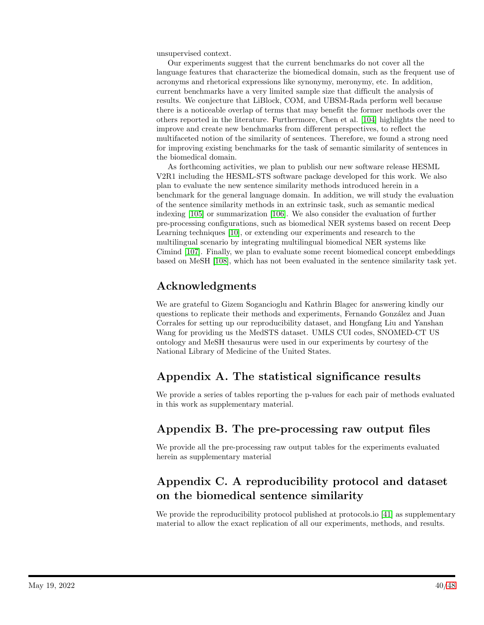unsupervised context.

Our experiments suggest that the current benchmarks do not cover all the language features that characterize the biomedical domain, such as the frequent use of acronyms and rhetorical expressions like synonymy, meronymy, etc. In addition, current benchmarks have a very limited sample size that difficult the analysis of results. We conjecture that LiBlock, COM, and UBSM-Rada perform well because there is a noticeable overlap of terms that may benefit the former methods over the others reported in the literature. Furthermore, Chen et al. [\[104\]](#page-47-7) highlights the need to improve and create new benchmarks from different perspectives, to reflect the multifaceted notion of the similarity of sentences. Therefore, we found a strong need for improving existing benchmarks for the task of semantic similarity of sentences in the biomedical domain.

As forthcoming activities, we plan to publish our new software release HESML V2R1 including the HESML-STS software package developed for this work. We also plan to evaluate the new sentence similarity methods introduced herein in a benchmark for the general language domain. In addition, we will study the evaluation of the sentence similarity methods in an extrinsic task, such as semantic medical indexing [\[105\]](#page-47-8) or summarization [\[106\]](#page-47-9). We also consider the evaluation of further pre-processing configurations, such as biomedical NER systems based on recent Deep Learning techniques [\[10\]](#page-40-8), or extending our experiments and research to the multilingual scenario by integrating multilingual biomedical NER systems like Cimind [\[107\]](#page-47-10). Finally, we plan to evaluate some recent biomedical concept embeddings based on MeSH [\[108\]](#page-47-11), which has not been evaluated in the sentence similarity task yet.

# Acknowledgments

We are grateful to Gizem Sogancioglu and Kathrin Blagec for answering kindly our questions to replicate their methods and experiments, Fernando González and Juan Corrales for setting up our reproducibility dataset, and Hongfang Liu and Yanshan Wang for providing us the MedSTS dataset. UMLS CUI codes, SNOMED-CT US ontology and MeSH thesaurus were used in our experiments by courtesy of the National Library of Medicine of the United States.

# Appendix A. The statistical significance results

We provide a series of tables reporting the p-values for each pair of methods evaluated in this work as supplementary material.

# Appendix B. The pre-processing raw output files

We provide all the pre-processing raw output tables for the experiments evaluated herein as supplementary material

# Appendix C. A reproducibility protocol and dataset on the biomedical sentence similarity

We provide the reproducibility protocol published at protocols.io [\[41\]](#page-42-13) as supplementary material to allow the exact replication of all our experiments, methods, and results.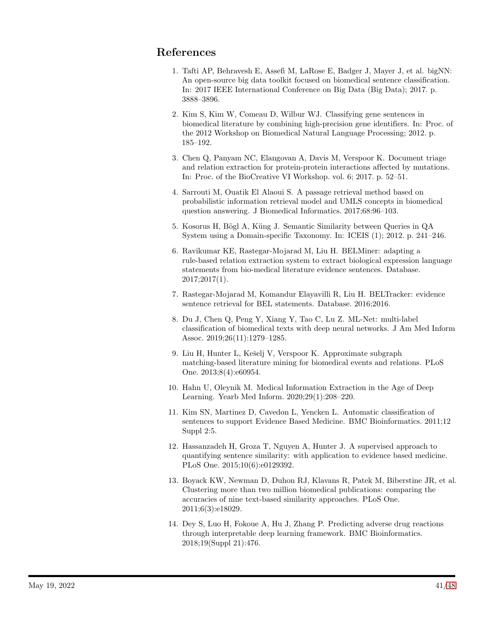# <span id="page-40-0"></span>References

- 1. Tafti AP, Behravesh E, Assefi M, LaRose E, Badger J, Mayer J, et al. bigNN: An open-source big data toolkit focused on biomedical sentence classification. In: 2017 IEEE International Conference on Big Data (Big Data); 2017. p. 3888–3896.
- 2. Kim S, Kim W, Comeau D, Wilbur WJ. Classifying gene sentences in biomedical literature by combining high-precision gene identifiers. In: Proc. of the 2012 Workshop on Biomedical Natural Language Processing; 2012. p. 185–192.
- <span id="page-40-1"></span>3. Chen Q, Panyam NC, Elangovan A, Davis M, Verspoor K. Document triage and relation extraction for protein-protein interactions affected by mutations. In: Proc. of the BioCreative VI Workshop. vol. 6; 2017. p. 52–51.
- <span id="page-40-2"></span>4. Sarrouti M, Ouatik El Alaoui S. A passage retrieval method based on probabilistic information retrieval model and UMLS concepts in biomedical question answering. J Biomedical Informatics. 2017;68:96–103.
- <span id="page-40-3"></span>5. Kosorus H, Bögl A, Küng J. Semantic Similarity between Queries in QA System using a Domain-specific Taxonomy. In: ICEIS (1); 2012. p. 241–246.
- <span id="page-40-4"></span>6. Ravikumar KE, Rastegar-Mojarad M, Liu H. BELMiner: adapting a rule-based relation extraction system to extract biological expression language statements from bio-medical literature evidence sentences. Database. 2017;2017(1).
- <span id="page-40-5"></span>7. Rastegar-Mojarad M, Komandur Elayavilli R, Liu H. BELTracker: evidence sentence retrieval for BEL statements. Database. 2016;2016.
- <span id="page-40-6"></span>8. Du J, Chen Q, Peng Y, Xiang Y, Tao C, Lu Z. ML-Net: multi-label classification of biomedical texts with deep neural networks. J Am Med Inform Assoc. 2019;26(11):1279–1285.
- <span id="page-40-7"></span>9. Liu H, Hunter L, Kešelj V, Verspoor K. Approximate subgraph matching-based literature mining for biomedical events and relations. PLoS One. 2013;8(4):e60954.
- <span id="page-40-8"></span>10. Hahn U, Oleynik M. Medical Information Extraction in the Age of Deep Learning. Yearb Med Inform. 2020;29(1):208–220.
- <span id="page-40-9"></span>11. Kim SN, Martinez D, Cavedon L, Yencken L. Automatic classification of sentences to support Evidence Based Medicine. BMC Bioinformatics. 2011;12 Suppl 2:5.
- <span id="page-40-10"></span>12. Hassanzadeh H, Groza T, Nguyen A, Hunter J. A supervised approach to quantifying sentence similarity: with application to evidence based medicine. PLoS One. 2015;10(6):e0129392.
- <span id="page-40-11"></span>13. Boyack KW, Newman D, Duhon RJ, Klavans R, Patek M, Biberstine JR, et al. Clustering more than two million biomedical publications: comparing the accuracies of nine text-based similarity approaches. PLoS One. 2011;6(3):e18029.
- <span id="page-40-12"></span>14. Dey S, Luo H, Fokoue A, Hu J, Zhang P. Predicting adverse drug reactions through interpretable deep learning framework. BMC Bioinformatics. 2018;19(Suppl 21):476.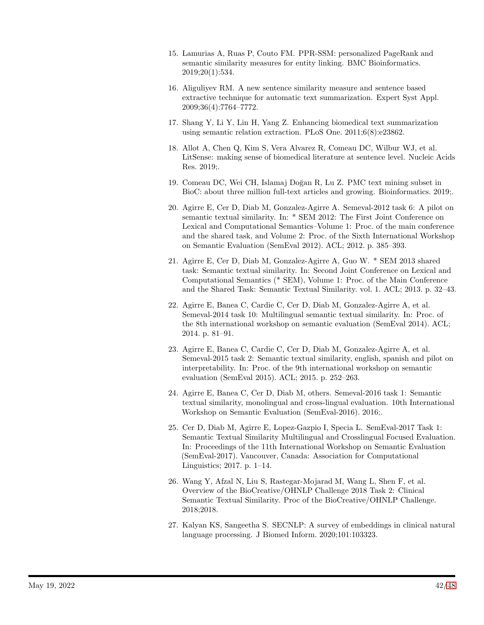- <span id="page-41-0"></span>15. Lamurias A, Ruas P, Couto FM. PPR-SSM: personalized PageRank and semantic similarity measures for entity linking. BMC Bioinformatics. 2019;20(1):534.
- <span id="page-41-1"></span>16. Aliguliyev RM. A new sentence similarity measure and sentence based extractive technique for automatic text summarization. Expert Syst Appl. 2009;36(4):7764–7772.
- <span id="page-41-2"></span>17. Shang Y, Li Y, Lin H, Yang Z. Enhancing biomedical text summarization using semantic relation extraction. PLoS One. 2011;6(8):e23862.
- <span id="page-41-3"></span>18. Allot A, Chen Q, Kim S, Vera Alvarez R, Comeau DC, Wilbur WJ, et al. LitSense: making sense of biomedical literature at sentence level. Nucleic Acids Res. 2019;.
- <span id="page-41-4"></span>19. Comeau DC, Wei CH, Islamaj Do˘gan R, Lu Z. PMC text mining subset in BioC: about three million full-text articles and growing. Bioinformatics. 2019;.
- <span id="page-41-5"></span>20. Agirre E, Cer D, Diab M, Gonzalez-Agirre A. Semeval-2012 task 6: A pilot on semantic textual similarity. In: \* SEM 2012: The First Joint Conference on Lexical and Computational Semantics–Volume 1: Proc. of the main conference and the shared task, and Volume 2: Proc. of the Sixth International Workshop on Semantic Evaluation (SemEval 2012). ACL; 2012. p. 385–393.
- 21. Agirre E, Cer D, Diab M, Gonzalez-Agirre A, Guo W. \* SEM 2013 shared task: Semantic textual similarity. In: Second Joint Conference on Lexical and Computational Semantics (\* SEM), Volume 1: Proc. of the Main Conference and the Shared Task: Semantic Textual Similarity. vol. 1. ACL; 2013. p. 32–43.
- 22. Agirre E, Banea C, Cardie C, Cer D, Diab M, Gonzalez-Agirre A, et al. Semeval-2014 task 10: Multilingual semantic textual similarity. In: Proc. of the 8th international workshop on semantic evaluation (SemEval 2014). ACL; 2014. p. 81–91.
- 23. Agirre E, Banea C, Cardie C, Cer D, Diab M, Gonzalez-Agirre A, et al. Semeval-2015 task 2: Semantic textual similarity, english, spanish and pilot on interpretability. In: Proc. of the 9th international workshop on semantic evaluation (SemEval 2015). ACL; 2015. p. 252–263.
- 24. Agirre E, Banea C, Cer D, Diab M, others. Semeval-2016 task 1: Semantic textual similarity, monolingual and cross-lingual evaluation. 10th International Workshop on Semantic Evaluation (SemEval-2016). 2016;.
- <span id="page-41-6"></span>25. Cer D, Diab M, Agirre E, Lopez-Gazpio I, Specia L. SemEval-2017 Task 1: Semantic Textual Similarity Multilingual and Crosslingual Focused Evaluation. In: Proceedings of the 11th International Workshop on Semantic Evaluation (SemEval-2017). Vancouver, Canada: Association for Computational Linguistics; 2017. p. 1–14.
- <span id="page-41-7"></span>26. Wang Y, Afzal N, Liu S, Rastegar-Mojarad M, Wang L, Shen F, et al. Overview of the BioCreative/OHNLP Challenge 2018 Task 2: Clinical Semantic Textual Similarity. Proc of the BioCreative/OHNLP Challenge. 2018;2018.
- <span id="page-41-8"></span>27. Kalyan KS, Sangeetha S. SECNLP: A survey of embeddings in clinical natural language processing. J Biomed Inform. 2020;101:103323.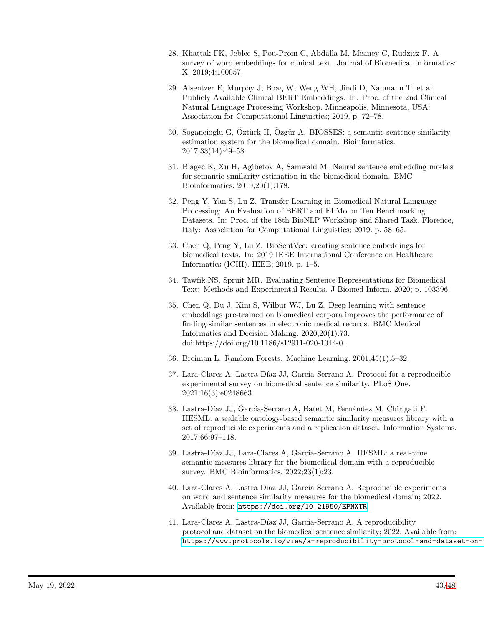- <span id="page-42-0"></span>28. Khattak FK, Jeblee S, Pou-Prom C, Abdalla M, Meaney C, Rudzicz F. A survey of word embeddings for clinical text. Journal of Biomedical Informatics: X. 2019;4:100057.
- <span id="page-42-1"></span>29. Alsentzer E, Murphy J, Boag W, Weng WH, Jindi D, Naumann T, et al. Publicly Available Clinical BERT Embeddings. In: Proc. of the 2nd Clinical Natural Language Processing Workshop. Minneapolis, Minnesota, USA: Association for Computational Linguistics; 2019. p. 72–78.
- <span id="page-42-2"></span>30. Sogancioglu G, Öztürk H, Özgür A. BIOSSES: a semantic sentence similarity estimation system for the biomedical domain. Bioinformatics. 2017;33(14):49–58.
- <span id="page-42-3"></span>31. Blagec K, Xu H, Agibetov A, Samwald M. Neural sentence embedding models for semantic similarity estimation in the biomedical domain. BMC Bioinformatics. 2019;20(1):178.
- <span id="page-42-4"></span>32. Peng Y, Yan S, Lu Z. Transfer Learning in Biomedical Natural Language Processing: An Evaluation of BERT and ELMo on Ten Benchmarking Datasets. In: Proc. of the 18th BioNLP Workshop and Shared Task. Florence, Italy: Association for Computational Linguistics; 2019. p. 58–65.
- <span id="page-42-5"></span>33. Chen Q, Peng Y, Lu Z. BioSentVec: creating sentence embeddings for biomedical texts. In: 2019 IEEE International Conference on Healthcare Informatics (ICHI). IEEE; 2019. p. 1–5.
- <span id="page-42-6"></span>34. Tawfik NS, Spruit MR. Evaluating Sentence Representations for Biomedical Text: Methods and Experimental Results. J Biomed Inform. 2020; p. 103396.
- <span id="page-42-7"></span>35. Chen Q, Du J, Kim S, Wilbur WJ, Lu Z. Deep learning with sentence embeddings pre-trained on biomedical corpora improves the performance of finding similar sentences in electronic medical records. BMC Medical Informatics and Decision Making. 2020;20(1):73. doi:https://doi.org/10.1186/s12911-020-1044-0.
- <span id="page-42-9"></span><span id="page-42-8"></span>36. Breiman L. Random Forests. Machine Learning. 2001;45(1):5–32.
- 37. Lara-Clares A, Lastra-Díaz JJ, Garcia-Serrano A. Protocol for a reproducible experimental survey on biomedical sentence similarity. PLoS One. 2021;16(3):e0248663.
- <span id="page-42-10"></span>38. Lastra-Díaz JJ, García-Serrano A, Batet M, Fernández M, Chirigati F. HESML: a scalable ontology-based semantic similarity measures library with a set of reproducible experiments and a replication dataset. Information Systems. 2017;66:97–118.
- <span id="page-42-11"></span>39. Lastra-Díaz JJ, Lara-Clares A, Garcia-Serrano A. HESML: a real-time semantic measures library for the biomedical domain with a reproducible survey. BMC Bioinformatics.  $2022;23(1):23$ .
- <span id="page-42-12"></span>40. Lara-Clares A, Lastra Diaz JJ, Garcia Serrano A. Reproducible experiments on word and sentence similarity measures for the biomedical domain; 2022. Available from: <https://doi.org/10.21950/EPNXTR>.
- <span id="page-42-13"></span>41. Lara-Clares A, Lastra-Díaz JJ, Garcia-Serrano A. A reproducibility protocol and dataset on the biomedical sentence similarity; 2022. Available from: https://www.protocols.io/view/a-reproducibility-protocol-and-dataset-on-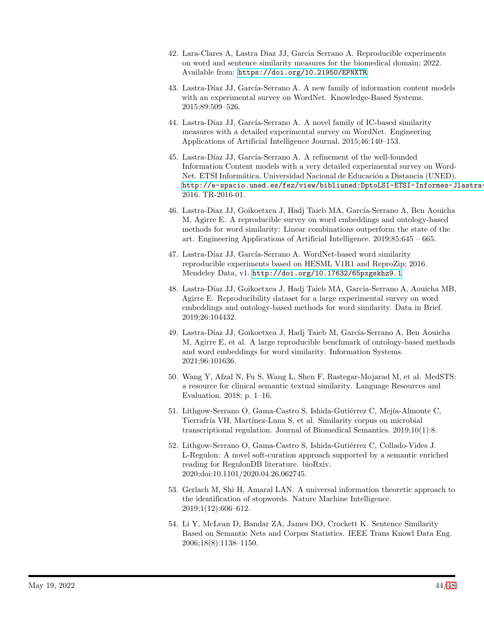- <span id="page-43-0"></span>42. Lara-Clares A, Lastra Diaz JJ, Garcia Serrano A. Reproducible experiments on word and sentence similarity measures for the biomedical domain; 2022. Available from: <https://doi.org/10.21950/EPNXTR>.
- <span id="page-43-1"></span>43. Lastra-Díaz JJ, García-Serrano A. A new family of information content models with an experimental survey on WordNet. Knowledge-Based Systems. 2015;89:509–526.
- <span id="page-43-11"></span>44. Lastra-Díaz JJ, García-Serrano A. A novel family of IC-based similarity measures with a detailed experimental survey on WordNet. Engineering Applications of Artificial Intelligence Journal. 2015;46:140–153.
- 45. Lastra-Díaz JJ, García-Serrano A. A refinement of the well-founded Information Content models with a very detailed experimental survey on Word-Net. ETSI Informática. Universidad Nacional de Educación a Distancia (UNED). http://e-spacio.uned.es/fez/view/bibliuned:DptoLSI-ETSI-Informes-Jlastra-2016. TR-2016-01.
- <span id="page-43-2"></span>46. Lastra-Diaz JJ, Goikoetxea J, Hadj Taieb MA, García-Serrano A, Ben Aouicha M, Agirre E. A reproducible survey on word embeddings and ontology-based methods for word similarity: Linear combinations outperform the state of the art. Engineering Applications of Artificial Intelligence. 2019;85:645 – 665.
- <span id="page-43-3"></span>47. Lastra-Díaz JJ, García-Serrano A. WordNet-based word similarity reproducible experiments based on HESML V1R1 and ReproZip; 2016. Mendeley Data, v1. <http://doi.org/10.17632/65pxgskhz9.1>.
- <span id="page-43-4"></span>48. Lastra-Díaz JJ, Goikoetxea J, Hadj Taieb MA, García-Serrano A, Aouicha MB, Agirre E. Reproducibility dataset for a large experimental survey on word embeddings and ontology-based methods for word similarity. Data in Brief. 2019;26:104432.
- <span id="page-43-5"></span>49. Lastra-Díaz JJ, Goikoetxea J, Hadj Taieb M, García-Serrano A, Ben Aouicha M, Agirre E, et al. A large reproducible benchmark of ontology-based methods and word embeddings for word similarity. Information Systems. 2021;96:101636.
- <span id="page-43-6"></span>50. Wang Y, Afzal N, Fu S, Wang L, Shen F, Rastegar-Mojarad M, et al. MedSTS: a resource for clinical semantic textual similarity. Language Resources and Evaluation. 2018; p. 1–16.
- <span id="page-43-7"></span>51. Lithgow-Serrano O, Gama-Castro S, Ishida-Gutiérrez C, Mejía-Almonte C, Tierrafría VH, Martínez-Luna S, et al. Similarity corpus on microbial transcriptional regulation. Journal of Biomedical Semantics. 2019;10(1):8.
- <span id="page-43-8"></span>52. Lithgow-Serrano O, Gama-Castro S, Ishida-Gutiérrez C, Collado-Vides J. L-Regulon: A novel soft-curation approach supported by a semantic enriched reading for RegulonDB literature. bioRxiv. 2020;doi:10.1101/2020.04.26.062745.
- <span id="page-43-9"></span>53. Gerlach M, Shi H, Amaral LAN. A universal information theoretic approach to the identification of stopwords. Nature Machine Intelligence. 2019;1(12):606–612.
- <span id="page-43-10"></span>54. Li Y, McLean D, Bandar ZA, James DO, Crockett K. Sentence Similarity Based on Semantic Nets and Corpus Statistics. IEEE Trans Knowl Data Eng. 2006;18(8):1138–1150.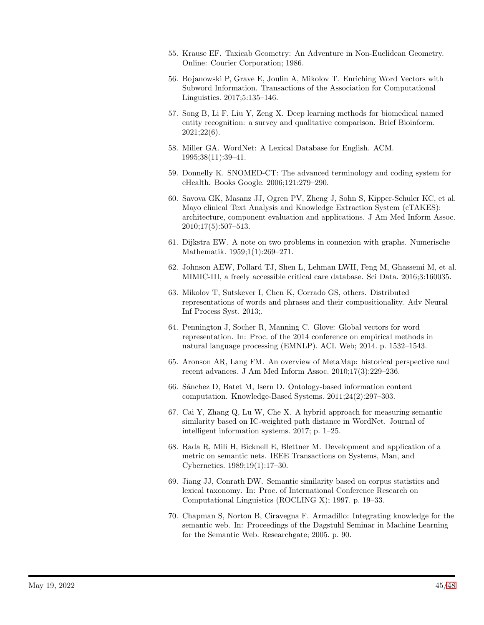- <span id="page-44-1"></span><span id="page-44-0"></span>55. Krause EF. Taxicab Geometry: An Adventure in Non-Euclidean Geometry. Online: Courier Corporation; 1986.
- 56. Bojanowski P, Grave E, Joulin A, Mikolov T. Enriching Word Vectors with Subword Information. Transactions of the Association for Computational Linguistics. 2017;5:135–146.
- <span id="page-44-2"></span>57. Song B, Li F, Liu Y, Zeng X. Deep learning methods for biomedical named entity recognition: a survey and qualitative comparison. Brief Bioinform. 2021;22(6).
- <span id="page-44-3"></span>58. Miller GA. WordNet: A Lexical Database for English. ACM. 1995;38(11):39–41.
- <span id="page-44-5"></span><span id="page-44-4"></span>59. Donnelly K. SNOMED-CT: The advanced terminology and coding system for eHealth. Books Google. 2006;121:279–290.
- 60. Savova GK, Masanz JJ, Ogren PV, Zheng J, Sohn S, Kipper-Schuler KC, et al. Mayo clinical Text Analysis and Knowledge Extraction System (cTAKES): architecture, component evaluation and applications. J Am Med Inform Assoc. 2010;17(5):507–513.
- <span id="page-44-6"></span>61. Dijkstra EW. A note on two problems in connexion with graphs. Numerische Mathematik. 1959;1(1):269–271.
- <span id="page-44-7"></span>62. Johnson AEW, Pollard TJ, Shen L, Lehman LWH, Feng M, Ghassemi M, et al. MIMIC-III, a freely accessible critical care database. Sci Data. 2016;3:160035.
- <span id="page-44-8"></span>63. Mikolov T, Sutskever I, Chen K, Corrado GS, others. Distributed representations of words and phrases and their compositionality. Adv Neural Inf Process Syst. 2013;.
- <span id="page-44-9"></span>64. Pennington J, Socher R, Manning C. Glove: Global vectors for word representation. In: Proc. of the 2014 conference on empirical methods in natural language processing (EMNLP). ACL Web; 2014. p. 1532–1543.
- <span id="page-44-10"></span>65. Aronson AR, Lang FM. An overview of MetaMap: historical perspective and recent advances. J Am Med Inform Assoc. 2010;17(3):229–236.
- <span id="page-44-11"></span>66. S´anchez D, Batet M, Isern D. Ontology-based information content computation. Knowledge-Based Systems. 2011;24(2):297–303.
- <span id="page-44-12"></span>67. Cai Y, Zhang Q, Lu W, Che X. A hybrid approach for measuring semantic similarity based on IC-weighted path distance in WordNet. Journal of intelligent information systems. 2017; p. 1–25.
- <span id="page-44-13"></span>68. Rada R, Mili H, Bicknell E, Blettner M. Development and application of a metric on semantic nets. IEEE Transactions on Systems, Man, and Cybernetics. 1989;19(1):17–30.
- <span id="page-44-14"></span>69. Jiang JJ, Conrath DW. Semantic similarity based on corpus statistics and lexical taxonomy. In: Proc. of International Conference Research on Computational Linguistics (ROCLING X); 1997. p. 19–33.
- <span id="page-44-15"></span>70. Chapman S, Norton B, Ciravegna F. Armadillo: Integrating knowledge for the semantic web. In: Proceedings of the Dagstuhl Seminar in Machine Learning for the Semantic Web. Researchgate; 2005. p. 90.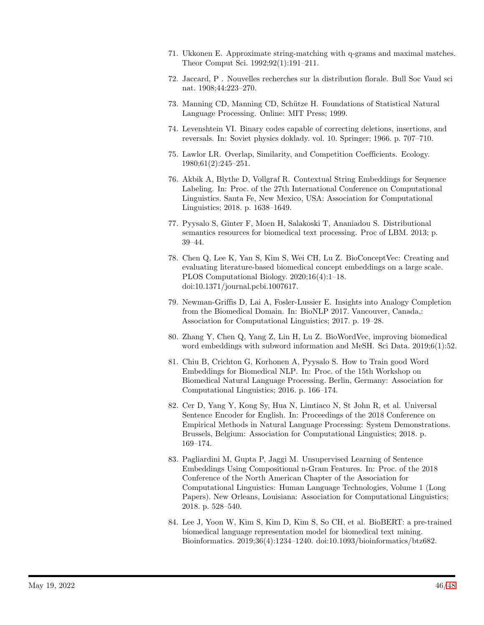- <span id="page-45-0"></span>71. Ukkonen E. Approximate string-matching with q-grams and maximal matches. Theor Comput Sci. 1992;92(1):191–211.
- <span id="page-45-2"></span><span id="page-45-1"></span>72. Jaccard, P . Nouvelles recherches sur la distribution florale. Bull Soc Vaud sci nat. 1908;44:223–270.
- <span id="page-45-3"></span>73. Manning CD, Manning CD, Sch¨utze H. Foundations of Statistical Natural Language Processing. Online: MIT Press; 1999.
- <span id="page-45-4"></span>74. Levenshtein VI. Binary codes capable of correcting deletions, insertions, and reversals. In: Soviet physics doklady. vol. 10. Springer; 1966. p. 707–710.
- 75. Lawlor LR. Overlap, Similarity, and Competition Coefficients. Ecology. 1980;61(2):245–251.
- <span id="page-45-5"></span>76. Akbik A, Blythe D, Vollgraf R. Contextual String Embeddings for Sequence Labeling. In: Proc. of the 27th International Conference on Computational Linguistics. Santa Fe, New Mexico, USA: Association for Computational Linguistics; 2018. p. 1638–1649.
- <span id="page-45-6"></span>77. Pyysalo S, Ginter F, Moen H, Salakoski T, Ananiadou S. Distributional semantics resources for biomedical text processing. Proc of LBM. 2013; p. 39–44.
- <span id="page-45-7"></span>78. Chen Q, Lee K, Yan S, Kim S, Wei CH, Lu Z. BioConceptVec: Creating and evaluating literature-based biomedical concept embeddings on a large scale. PLOS Computational Biology. 2020;16(4):1–18. doi:10.1371/journal.pcbi.1007617.
- <span id="page-45-8"></span>79. Newman-Griffis D, Lai A, Fosler-Lussier E. Insights into Analogy Completion from the Biomedical Domain. In: BioNLP 2017. Vancouver, Canada,: Association for Computational Linguistics; 2017. p. 19–28.
- <span id="page-45-9"></span>80. Zhang Y, Chen Q, Yang Z, Lin H, Lu Z. BioWordVec, improving biomedical word embeddings with subword information and MeSH. Sci Data. 2019;6(1):52.
- <span id="page-45-10"></span>81. Chiu B, Crichton G, Korhonen A, Pyysalo S. How to Train good Word Embeddings for Biomedical NLP. In: Proc. of the 15th Workshop on Biomedical Natural Language Processing. Berlin, Germany: Association for Computational Linguistics; 2016. p. 166–174.
- <span id="page-45-11"></span>82. Cer D, Yang Y, Kong Sy, Hua N, Limtiaco N, St John R, et al. Universal Sentence Encoder for English. In: Proceedings of the 2018 Conference on Empirical Methods in Natural Language Processing: System Demonstrations. Brussels, Belgium: Association for Computational Linguistics; 2018. p. 169–174.
- <span id="page-45-12"></span>83. Pagliardini M, Gupta P, Jaggi M. Unsupervised Learning of Sentence Embeddings Using Compositional n-Gram Features. In: Proc. of the 2018 Conference of the North American Chapter of the Association for Computational Linguistics: Human Language Technologies, Volume 1 (Long Papers). New Orleans, Louisiana: Association for Computational Linguistics; 2018. p. 528–540.
- <span id="page-45-13"></span>84. Lee J, Yoon W, Kim S, Kim D, Kim S, So CH, et al. BioBERT: a pre-trained biomedical language representation model for biomedical text mining. Bioinformatics. 2019;36(4):1234–1240. doi:10.1093/bioinformatics/btz682.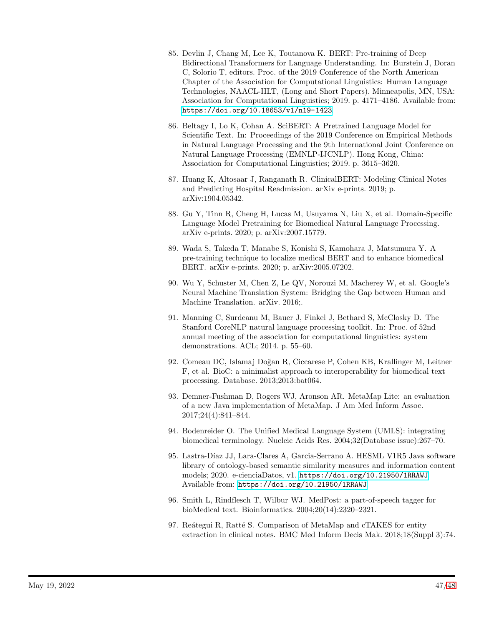- <span id="page-46-1"></span>85. Devlin J, Chang M, Lee K, Toutanova K. BERT: Pre-training of Deep Bidirectional Transformers for Language Understanding. In: Burstein J, Doran C, Solorio T, editors. Proc. of the 2019 Conference of the North American Chapter of the Association for Computational Linguistics: Human Language Technologies, NAACL-HLT, (Long and Short Papers). Minneapolis, MN, USA: Association for Computational Linguistics; 2019. p. 4171–4186. Available from: <https://doi.org/10.18653/v1/n19-1423>.
- <span id="page-46-2"></span>86. Beltagy I, Lo K, Cohan A. SciBERT: A Pretrained Language Model for Scientific Text. In: Proceedings of the 2019 Conference on Empirical Methods in Natural Language Processing and the 9th International Joint Conference on Natural Language Processing (EMNLP-IJCNLP). Hong Kong, China: Association for Computational Linguistics; 2019. p. 3615–3620.
- <span id="page-46-3"></span>87. Huang K, Altosaar J, Ranganath R. ClinicalBERT: Modeling Clinical Notes and Predicting Hospital Readmission. arXiv e-prints. 2019; p. arXiv:1904.05342.
- <span id="page-46-4"></span>88. Gu Y, Tinn R, Cheng H, Lucas M, Usuyama N, Liu X, et al. Domain-Specific Language Model Pretraining for Biomedical Natural Language Processing. arXiv e-prints. 2020; p. arXiv:2007.15779.
- <span id="page-46-5"></span>89. Wada S, Takeda T, Manabe S, Konishi S, Kamohara J, Matsumura Y. A pre-training technique to localize medical BERT and to enhance biomedical BERT. arXiv e-prints. 2020; p. arXiv:2005.07202.
- <span id="page-46-0"></span>90. Wu Y, Schuster M, Chen Z, Le QV, Norouzi M, Macherey W, et al. Google's Neural Machine Translation System: Bridging the Gap between Human and Machine Translation. arXiv. 2016;.
- <span id="page-46-6"></span>91. Manning C, Surdeanu M, Bauer J, Finkel J, Bethard S, McClosky D. The Stanford CoreNLP natural language processing toolkit. In: Proc. of 52nd annual meeting of the association for computational linguistics: system demonstrations. ACL; 2014. p. 55–60.
- <span id="page-46-7"></span>92. Comeau DC, Islamaj Do˘gan R, Ciccarese P, Cohen KB, Krallinger M, Leitner F, et al. BioC: a minimalist approach to interoperability for biomedical text processing. Database. 2013;2013:bat064.
- <span id="page-46-8"></span>93. Demner-Fushman D, Rogers WJ, Aronson AR. MetaMap Lite: an evaluation of a new Java implementation of MetaMap. J Am Med Inform Assoc. 2017;24(4):841–844.
- <span id="page-46-9"></span>94. Bodenreider O. The Unified Medical Language System (UMLS): integrating biomedical terminology. Nucleic Acids Res. 2004;32(Database issue):267–70.
- <span id="page-46-10"></span>95. Lastra-Díaz JJ, Lara-Clares A, Garcia-Serrano A. HESML V1R5 Java software library of ontology-based semantic similarity measures and information content models; 2020. e-cienciaDatos, v1. <https://doi.org/10.21950/1RRAWJ>. Available from: <https://doi.org/10.21950/1RRAWJ>.
- <span id="page-46-11"></span>96. Smith L, Rindflesch T, Wilbur WJ. MedPost: a part-of-speech tagger for bioMedical text. Bioinformatics. 2004;20(14):2320–2321.
- <span id="page-46-12"></span>97. Reátegui R, Ratté S. Comparison of MetaMap and cTAKES for entity extraction in clinical notes. BMC Med Inform Decis Mak. 2018;18(Suppl 3):74.